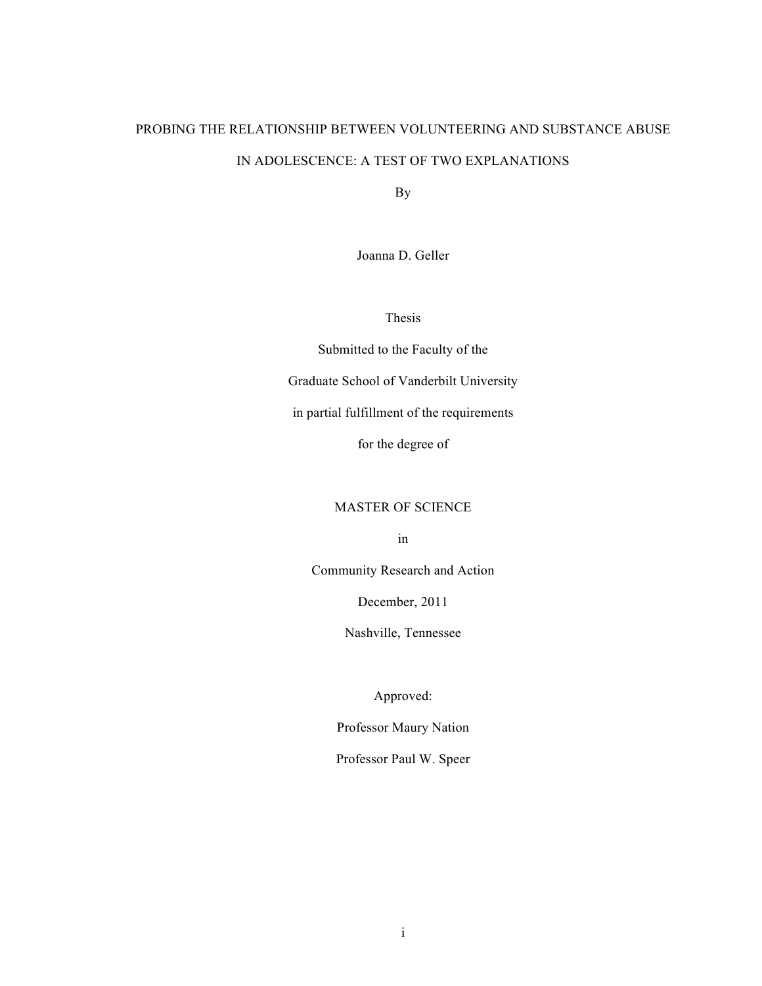# PROBING THE RELATIONSHIP BETWEEN VOLUNTEERING AND SUBSTANCE ABUSE IN ADOLESCENCE: A TEST OF TWO EXPLANATIONS

By

Joanna D. Geller

Thesis

Submitted to the Faculty of the Graduate School of Vanderbilt University in partial fulfillment of the requirements for the degree of

## MASTER OF SCIENCE

in

Community Research and Action

December, 2011

Nashville, Tennessee

Approved:

Professor Maury Nation

Professor Paul W. Speer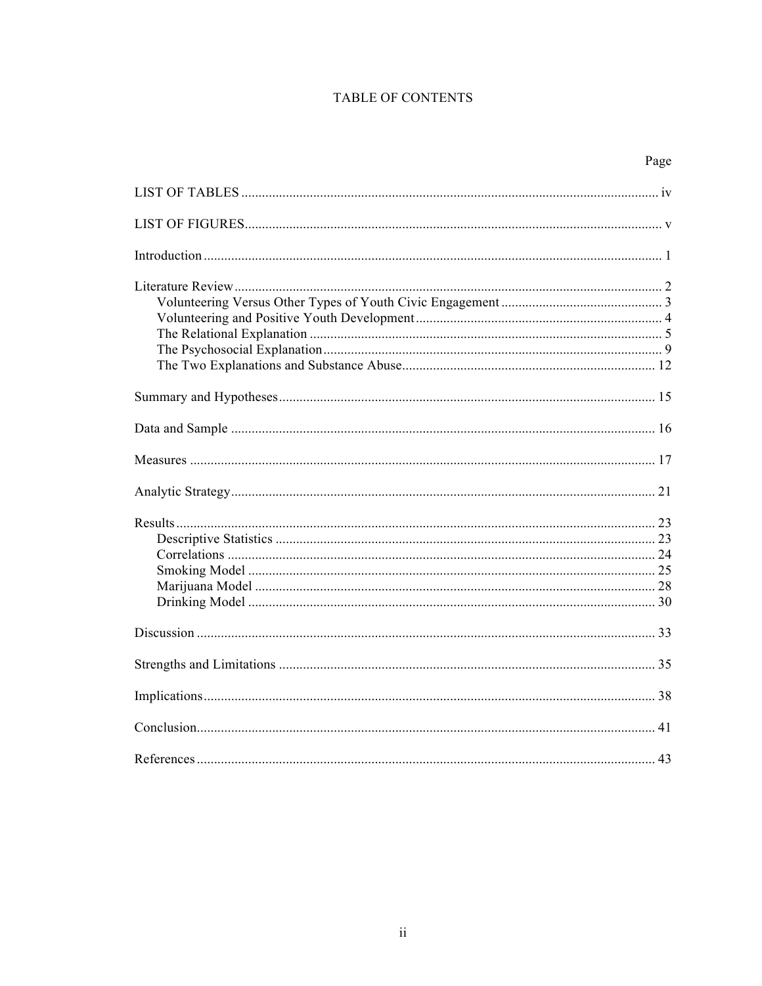## **TABLE OF CONTENTS**

| Page |
|------|
|      |
|      |
|      |
|      |
|      |
|      |
|      |
|      |
|      |
|      |
|      |
|      |
|      |
|      |
|      |
|      |
|      |
|      |
|      |
|      |
|      |
|      |
|      |
|      |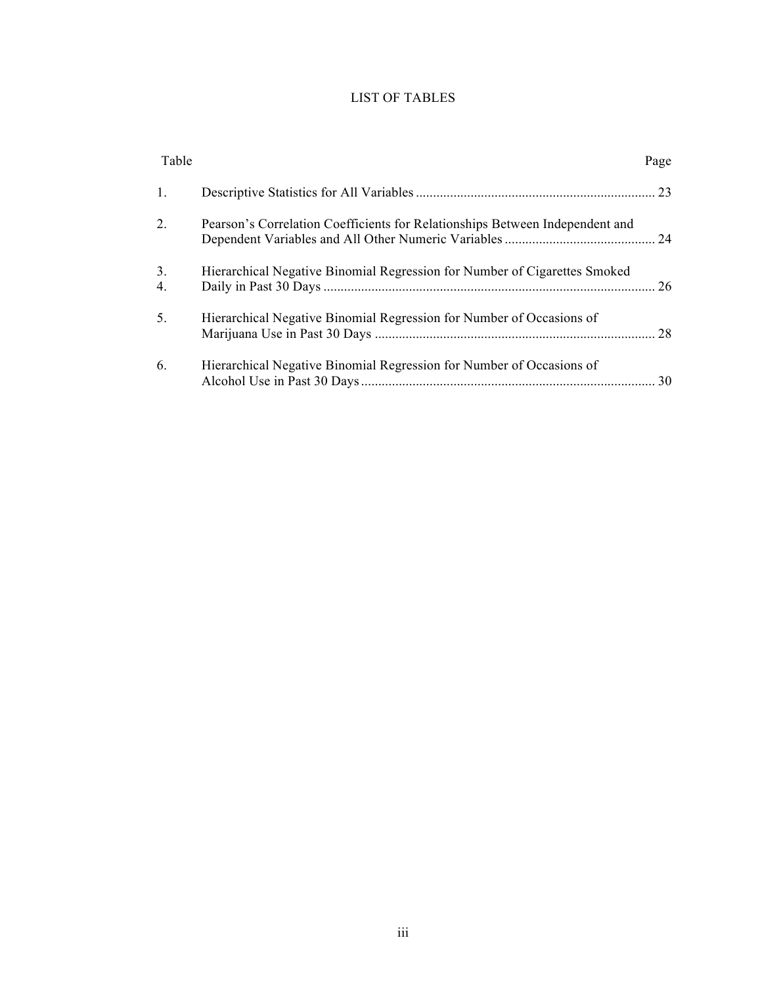## LIST OF TABLES

| Table          |                                                                              | Page |
|----------------|------------------------------------------------------------------------------|------|
| $\mathbf{1}$ . |                                                                              |      |
| 2.             | Pearson's Correlation Coefficients for Relationships Between Independent and |      |
| 3.<br>4.       | Hierarchical Negative Binomial Regression for Number of Cigarettes Smoked    |      |
| 5.             | Hierarchical Negative Binomial Regression for Number of Occasions of         |      |
| 6.             | Hierarchical Negative Binomial Regression for Number of Occasions of         | 30   |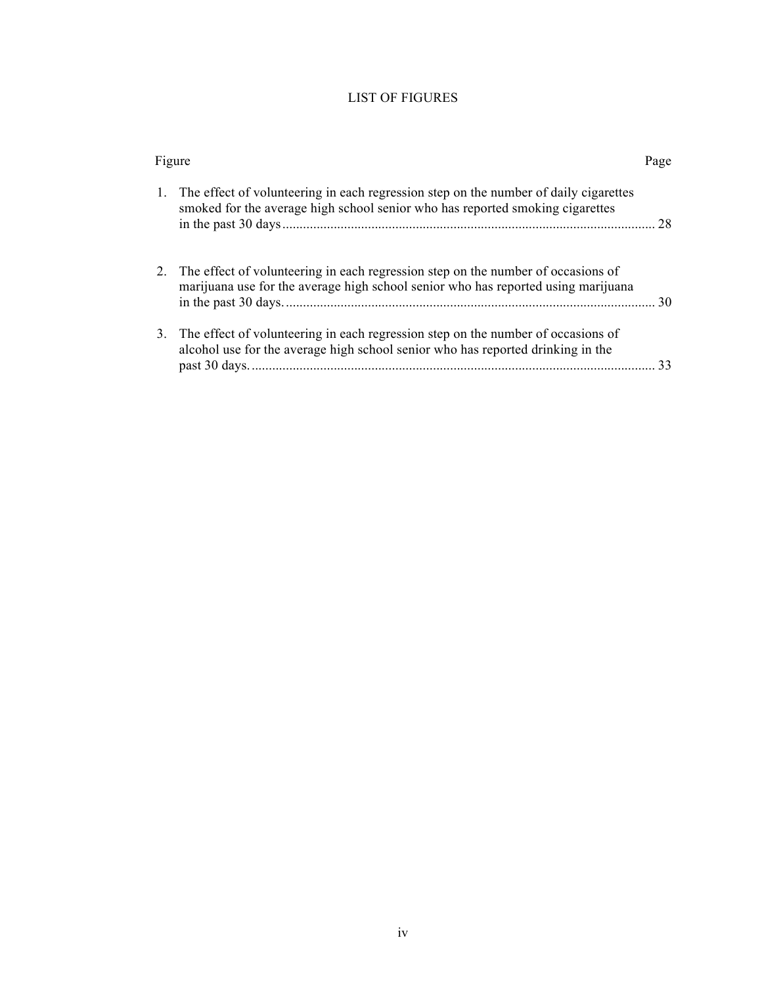## LIST OF FIGURES

|  | Figure                                                                                                                                                                   | Page |
|--|--------------------------------------------------------------------------------------------------------------------------------------------------------------------------|------|
|  | 1. The effect of volunteering in each regression step on the number of daily cigarettes<br>smoked for the average high school senior who has reported smoking cigarettes | 28   |
|  | 2. The effect of volunteering in each regression step on the number of occasions of<br>marijuana use for the average high school senior who has reported using marijuana | 30   |
|  | 3. The effect of volunteering in each regression step on the number of occasions of<br>alcohol use for the average high school senior who has reported drinking in the   | 33   |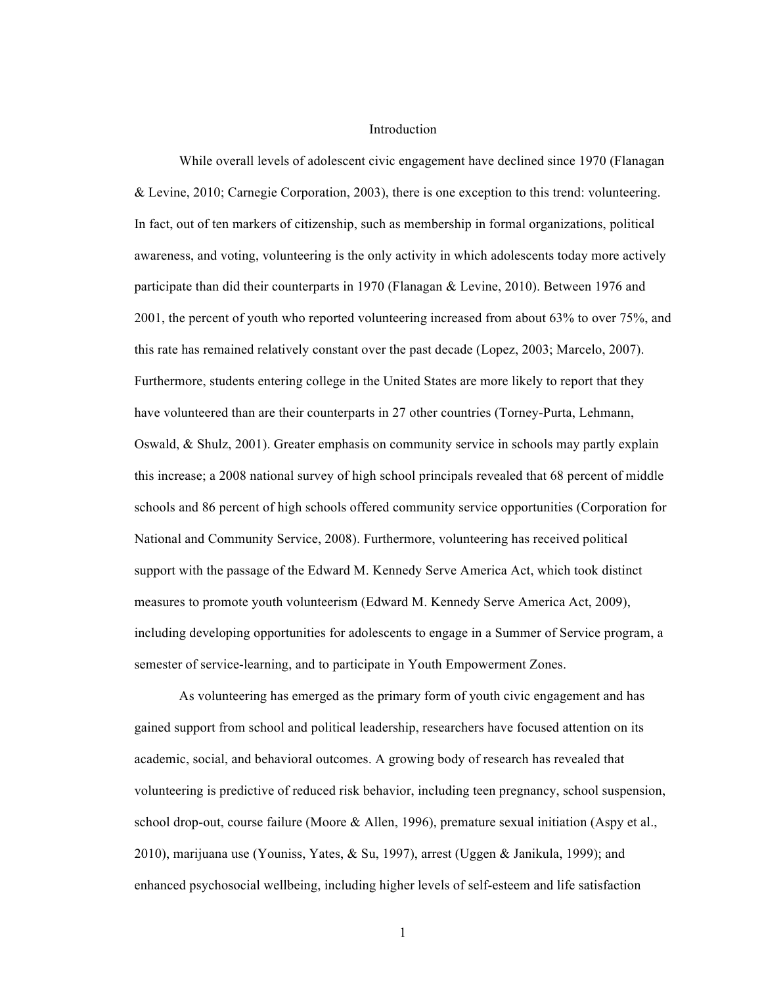#### Introduction

While overall levels of adolescent civic engagement have declined since 1970 (Flanagan & Levine, 2010; Carnegie Corporation, 2003), there is one exception to this trend: volunteering. In fact, out of ten markers of citizenship, such as membership in formal organizations, political awareness, and voting, volunteering is the only activity in which adolescents today more actively participate than did their counterparts in 1970 (Flanagan & Levine, 2010). Between 1976 and 2001, the percent of youth who reported volunteering increased from about 63% to over 75%, and this rate has remained relatively constant over the past decade (Lopez, 2003; Marcelo, 2007). Furthermore, students entering college in the United States are more likely to report that they have volunteered than are their counterparts in 27 other countries (Torney-Purta, Lehmann, Oswald, & Shulz, 2001). Greater emphasis on community service in schools may partly explain this increase; a 2008 national survey of high school principals revealed that 68 percent of middle schools and 86 percent of high schools offered community service opportunities (Corporation for National and Community Service, 2008). Furthermore, volunteering has received political support with the passage of the Edward M. Kennedy Serve America Act, which took distinct measures to promote youth volunteerism (Edward M. Kennedy Serve America Act, 2009), including developing opportunities for adolescents to engage in a Summer of Service program, a semester of service-learning, and to participate in Youth Empowerment Zones.

As volunteering has emerged as the primary form of youth civic engagement and has gained support from school and political leadership, researchers have focused attention on its academic, social, and behavioral outcomes. A growing body of research has revealed that volunteering is predictive of reduced risk behavior, including teen pregnancy, school suspension, school drop-out, course failure (Moore  $\&$  Allen, 1996), premature sexual initiation (Aspy et al., 2010), marijuana use (Youniss, Yates, & Su, 1997), arrest (Uggen & Janikula, 1999); and enhanced psychosocial wellbeing, including higher levels of self-esteem and life satisfaction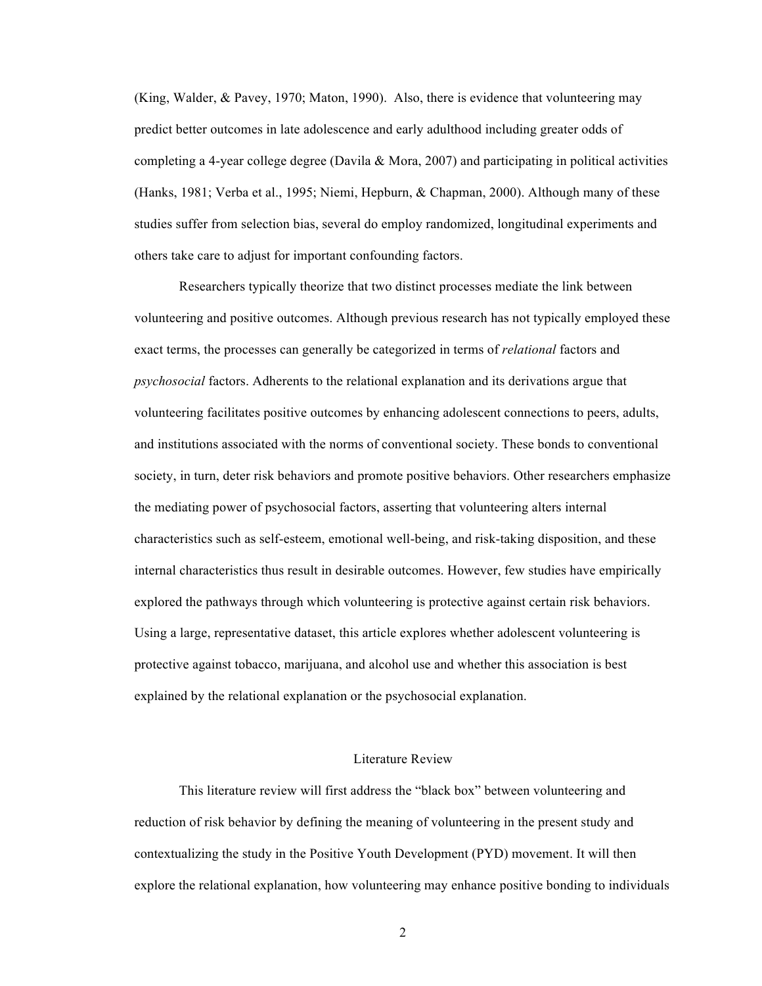(King, Walder, & Pavey, 1970; Maton, 1990). Also, there is evidence that volunteering may predict better outcomes in late adolescence and early adulthood including greater odds of completing a 4-year college degree (Davila & Mora, 2007) and participating in political activities (Hanks, 1981; Verba et al., 1995; Niemi, Hepburn, & Chapman, 2000). Although many of these studies suffer from selection bias, several do employ randomized, longitudinal experiments and others take care to adjust for important confounding factors.

Researchers typically theorize that two distinct processes mediate the link between volunteering and positive outcomes. Although previous research has not typically employed these exact terms, the processes can generally be categorized in terms of *relational* factors and *psychosocial* factors. Adherents to the relational explanation and its derivations argue that volunteering facilitates positive outcomes by enhancing adolescent connections to peers, adults, and institutions associated with the norms of conventional society. These bonds to conventional society, in turn, deter risk behaviors and promote positive behaviors. Other researchers emphasize the mediating power of psychosocial factors, asserting that volunteering alters internal characteristics such as self-esteem, emotional well-being, and risk-taking disposition, and these internal characteristics thus result in desirable outcomes. However, few studies have empirically explored the pathways through which volunteering is protective against certain risk behaviors. Using a large, representative dataset, this article explores whether adolescent volunteering is protective against tobacco, marijuana, and alcohol use and whether this association is best explained by the relational explanation or the psychosocial explanation.

#### Literature Review

This literature review will first address the "black box" between volunteering and reduction of risk behavior by defining the meaning of volunteering in the present study and contextualizing the study in the Positive Youth Development (PYD) movement. It will then explore the relational explanation, how volunteering may enhance positive bonding to individuals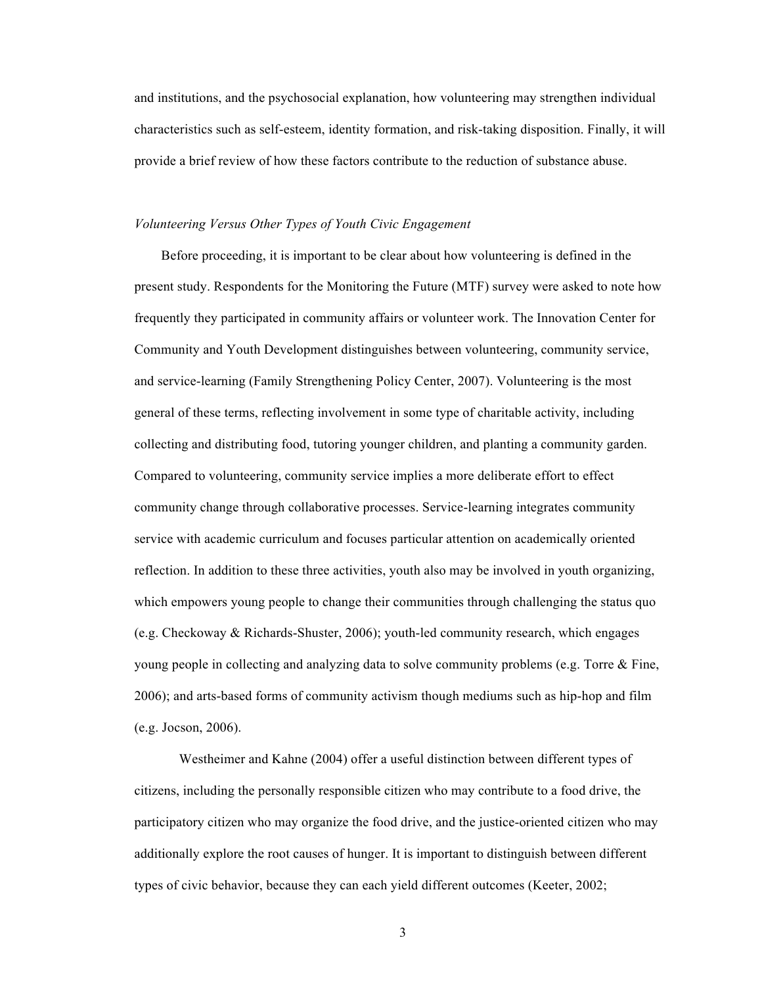and institutions, and the psychosocial explanation, how volunteering may strengthen individual characteristics such as self-esteem, identity formation, and risk-taking disposition. Finally, it will provide a brief review of how these factors contribute to the reduction of substance abuse.

#### *Volunteering Versus Other Types of Youth Civic Engagement*

Before proceeding, it is important to be clear about how volunteering is defined in the present study. Respondents for the Monitoring the Future (MTF) survey were asked to note how frequently they participated in community affairs or volunteer work. The Innovation Center for Community and Youth Development distinguishes between volunteering, community service, and service-learning (Family Strengthening Policy Center, 2007). Volunteering is the most general of these terms, reflecting involvement in some type of charitable activity, including collecting and distributing food, tutoring younger children, and planting a community garden. Compared to volunteering, community service implies a more deliberate effort to effect community change through collaborative processes. Service-learning integrates community service with academic curriculum and focuses particular attention on academically oriented reflection. In addition to these three activities, youth also may be involved in youth organizing, which empowers young people to change their communities through challenging the status quo (e.g. Checkoway & Richards-Shuster, 2006); youth-led community research, which engages young people in collecting and analyzing data to solve community problems (e.g. Torre & Fine, 2006); and arts-based forms of community activism though mediums such as hip-hop and film (e.g. Jocson, 2006).

Westheimer and Kahne (2004) offer a useful distinction between different types of citizens, including the personally responsible citizen who may contribute to a food drive, the participatory citizen who may organize the food drive, and the justice-oriented citizen who may additionally explore the root causes of hunger. It is important to distinguish between different types of civic behavior, because they can each yield different outcomes (Keeter, 2002;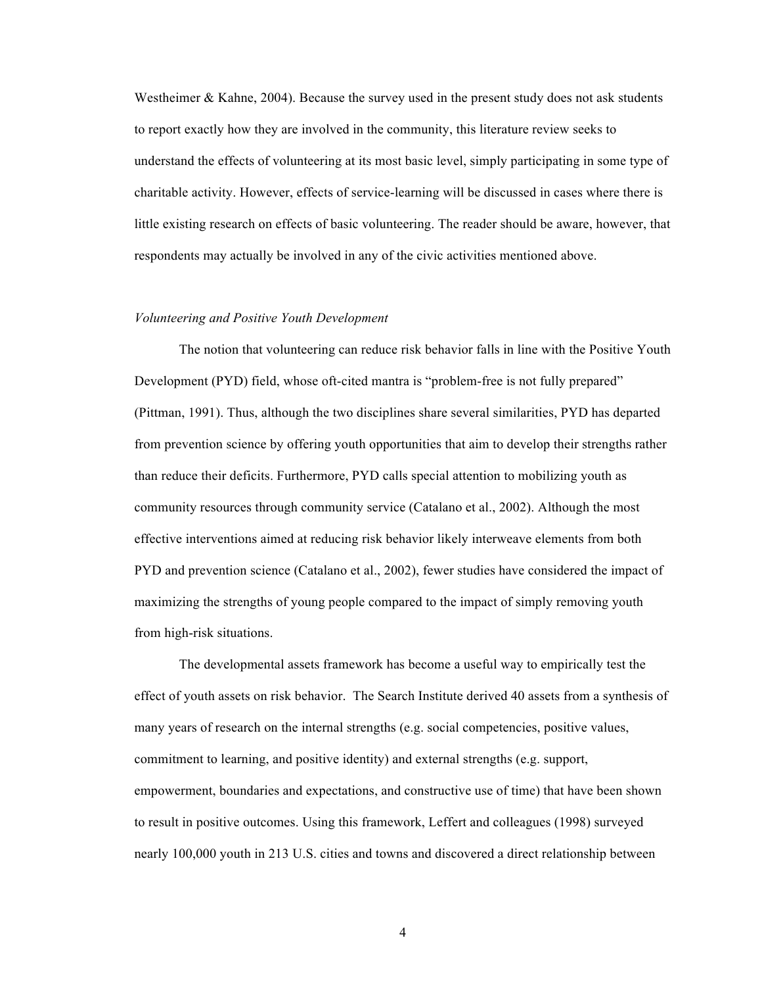Westheimer  $\&$  Kahne, 2004). Because the survey used in the present study does not ask students to report exactly how they are involved in the community, this literature review seeks to understand the effects of volunteering at its most basic level, simply participating in some type of charitable activity. However, effects of service-learning will be discussed in cases where there is little existing research on effects of basic volunteering. The reader should be aware, however, that respondents may actually be involved in any of the civic activities mentioned above.

#### *Volunteering and Positive Youth Development*

The notion that volunteering can reduce risk behavior falls in line with the Positive Youth Development (PYD) field, whose oft-cited mantra is "problem-free is not fully prepared" (Pittman, 1991). Thus, although the two disciplines share several similarities, PYD has departed from prevention science by offering youth opportunities that aim to develop their strengths rather than reduce their deficits. Furthermore, PYD calls special attention to mobilizing youth as community resources through community service (Catalano et al., 2002). Although the most effective interventions aimed at reducing risk behavior likely interweave elements from both PYD and prevention science (Catalano et al., 2002), fewer studies have considered the impact of maximizing the strengths of young people compared to the impact of simply removing youth from high-risk situations.

The developmental assets framework has become a useful way to empirically test the effect of youth assets on risk behavior. The Search Institute derived 40 assets from a synthesis of many years of research on the internal strengths (e.g. social competencies, positive values, commitment to learning, and positive identity) and external strengths (e.g. support, empowerment, boundaries and expectations, and constructive use of time) that have been shown to result in positive outcomes. Using this framework, Leffert and colleagues (1998) surveyed nearly 100,000 youth in 213 U.S. cities and towns and discovered a direct relationship between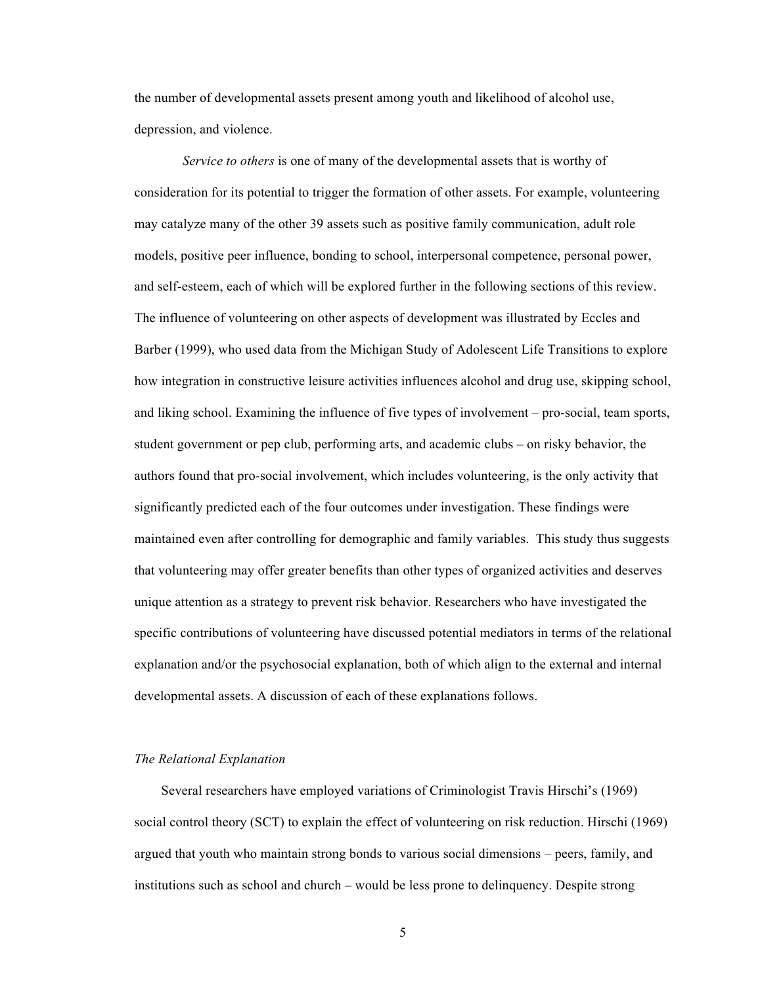the number of developmental assets present among youth and likelihood of alcohol use, depression, and violence.

*Service to others* is one of many of the developmental assets that is worthy of consideration for its potential to trigger the formation of other assets. For example, volunteering may catalyze many of the other 39 assets such as positive family communication, adult role models, positive peer influence, bonding to school, interpersonal competence, personal power, and self-esteem, each of which will be explored further in the following sections of this review. The influence of volunteering on other aspects of development was illustrated by Eccles and Barber (1999), who used data from the Michigan Study of Adolescent Life Transitions to explore how integration in constructive leisure activities influences alcohol and drug use, skipping school, and liking school. Examining the influence of five types of involvement – pro-social, team sports, student government or pep club, performing arts, and academic clubs – on risky behavior, the authors found that pro-social involvement, which includes volunteering, is the only activity that significantly predicted each of the four outcomes under investigation. These findings were maintained even after controlling for demographic and family variables. This study thus suggests that volunteering may offer greater benefits than other types of organized activities and deserves unique attention as a strategy to prevent risk behavior. Researchers who have investigated the specific contributions of volunteering have discussed potential mediators in terms of the relational explanation and/or the psychosocial explanation, both of which align to the external and internal developmental assets. A discussion of each of these explanations follows.

#### *The Relational Explanation*

Several researchers have employed variations of Criminologist Travis Hirschi's (1969) social control theory (SCT) to explain the effect of volunteering on risk reduction. Hirschi (1969) argued that youth who maintain strong bonds to various social dimensions – peers, family, and institutions such as school and church – would be less prone to delinquency. Despite strong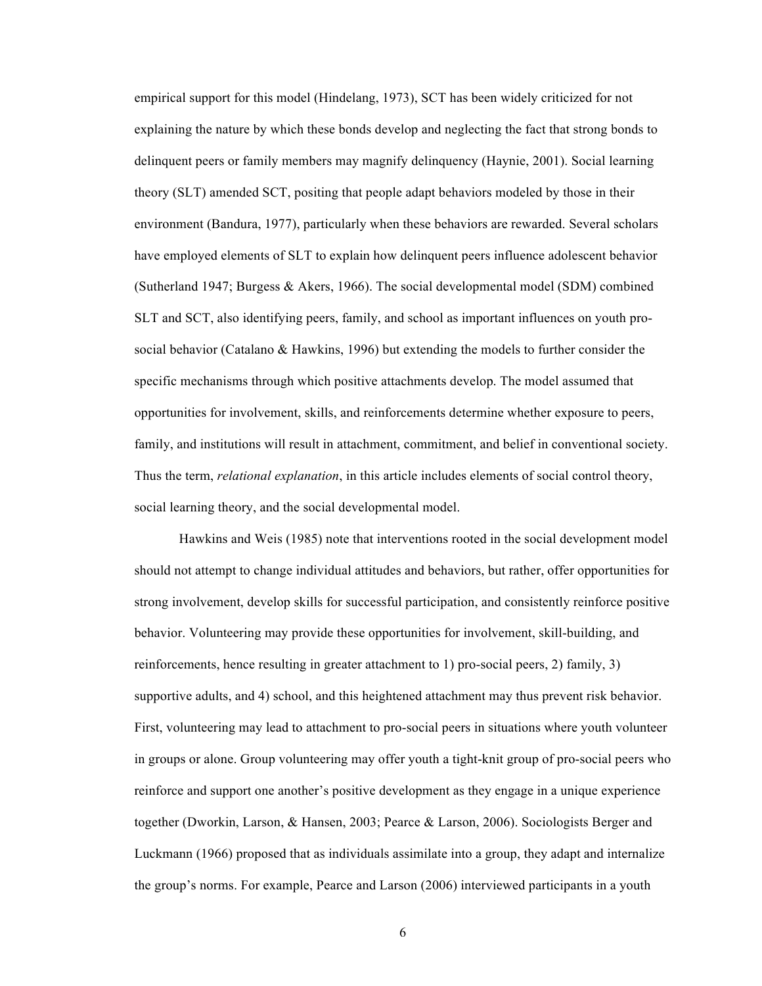empirical support for this model (Hindelang, 1973), SCT has been widely criticized for not explaining the nature by which these bonds develop and neglecting the fact that strong bonds to delinquent peers or family members may magnify delinquency (Haynie, 2001). Social learning theory (SLT) amended SCT, positing that people adapt behaviors modeled by those in their environment (Bandura, 1977), particularly when these behaviors are rewarded. Several scholars have employed elements of SLT to explain how delinquent peers influence adolescent behavior (Sutherland 1947; Burgess & Akers, 1966). The social developmental model (SDM) combined SLT and SCT, also identifying peers, family, and school as important influences on youth prosocial behavior (Catalano & Hawkins, 1996) but extending the models to further consider the specific mechanisms through which positive attachments develop. The model assumed that opportunities for involvement, skills, and reinforcements determine whether exposure to peers, family, and institutions will result in attachment, commitment, and belief in conventional society. Thus the term, *relational explanation*, in this article includes elements of social control theory, social learning theory, and the social developmental model.

Hawkins and Weis (1985) note that interventions rooted in the social development model should not attempt to change individual attitudes and behaviors, but rather, offer opportunities for strong involvement, develop skills for successful participation, and consistently reinforce positive behavior. Volunteering may provide these opportunities for involvement, skill-building, and reinforcements, hence resulting in greater attachment to 1) pro-social peers, 2) family, 3) supportive adults, and 4) school, and this heightened attachment may thus prevent risk behavior. First, volunteering may lead to attachment to pro-social peers in situations where youth volunteer in groups or alone. Group volunteering may offer youth a tight-knit group of pro-social peers who reinforce and support one another's positive development as they engage in a unique experience together (Dworkin, Larson, & Hansen, 2003; Pearce & Larson, 2006). Sociologists Berger and Luckmann (1966) proposed that as individuals assimilate into a group, they adapt and internalize the group's norms. For example, Pearce and Larson (2006) interviewed participants in a youth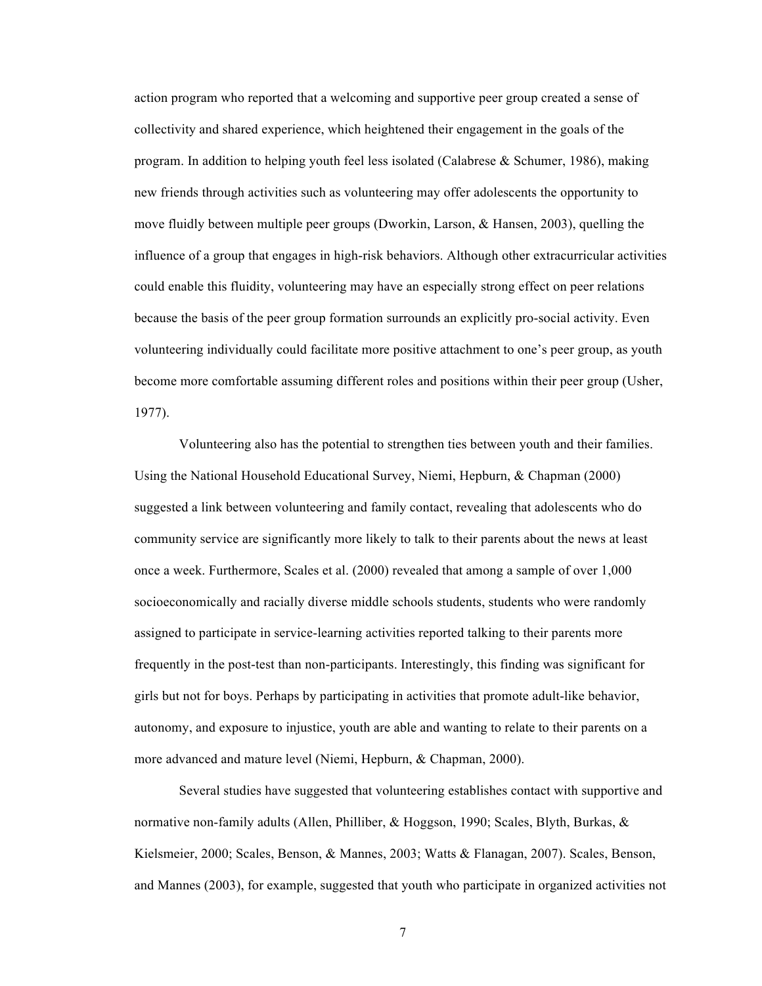action program who reported that a welcoming and supportive peer group created a sense of collectivity and shared experience, which heightened their engagement in the goals of the program. In addition to helping youth feel less isolated (Calabrese & Schumer, 1986), making new friends through activities such as volunteering may offer adolescents the opportunity to move fluidly between multiple peer groups (Dworkin, Larson, & Hansen, 2003), quelling the influence of a group that engages in high-risk behaviors. Although other extracurricular activities could enable this fluidity, volunteering may have an especially strong effect on peer relations because the basis of the peer group formation surrounds an explicitly pro-social activity. Even volunteering individually could facilitate more positive attachment to one's peer group, as youth become more comfortable assuming different roles and positions within their peer group (Usher, 1977).

Volunteering also has the potential to strengthen ties between youth and their families. Using the National Household Educational Survey, Niemi, Hepburn, & Chapman (2000) suggested a link between volunteering and family contact, revealing that adolescents who do community service are significantly more likely to talk to their parents about the news at least once a week. Furthermore, Scales et al. (2000) revealed that among a sample of over 1,000 socioeconomically and racially diverse middle schools students, students who were randomly assigned to participate in service-learning activities reported talking to their parents more frequently in the post-test than non-participants. Interestingly, this finding was significant for girls but not for boys. Perhaps by participating in activities that promote adult-like behavior, autonomy, and exposure to injustice, youth are able and wanting to relate to their parents on a more advanced and mature level (Niemi, Hepburn, & Chapman, 2000).

Several studies have suggested that volunteering establishes contact with supportive and normative non-family adults (Allen, Philliber, & Hoggson, 1990; Scales, Blyth, Burkas, & Kielsmeier, 2000; Scales, Benson, & Mannes, 2003; Watts & Flanagan, 2007). Scales, Benson, and Mannes (2003), for example, suggested that youth who participate in organized activities not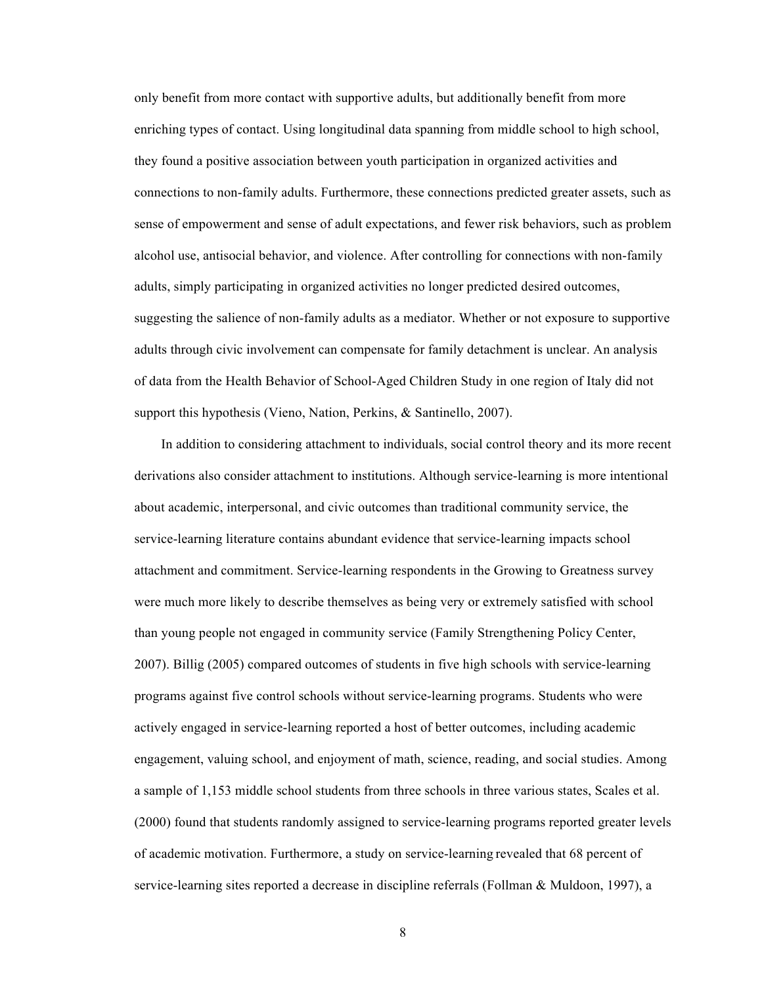only benefit from more contact with supportive adults, but additionally benefit from more enriching types of contact. Using longitudinal data spanning from middle school to high school, they found a positive association between youth participation in organized activities and connections to non-family adults. Furthermore, these connections predicted greater assets, such as sense of empowerment and sense of adult expectations, and fewer risk behaviors, such as problem alcohol use, antisocial behavior, and violence. After controlling for connections with non-family adults, simply participating in organized activities no longer predicted desired outcomes, suggesting the salience of non-family adults as a mediator. Whether or not exposure to supportive adults through civic involvement can compensate for family detachment is unclear. An analysis of data from the Health Behavior of School-Aged Children Study in one region of Italy did not support this hypothesis (Vieno, Nation, Perkins, & Santinello, 2007).

In addition to considering attachment to individuals, social control theory and its more recent derivations also consider attachment to institutions. Although service-learning is more intentional about academic, interpersonal, and civic outcomes than traditional community service, the service-learning literature contains abundant evidence that service-learning impacts school attachment and commitment. Service-learning respondents in the Growing to Greatness survey were much more likely to describe themselves as being very or extremely satisfied with school than young people not engaged in community service (Family Strengthening Policy Center, 2007). Billig (2005) compared outcomes of students in five high schools with service-learning programs against five control schools without service-learning programs. Students who were actively engaged in service-learning reported a host of better outcomes, including academic engagement, valuing school, and enjoyment of math, science, reading, and social studies. Among a sample of 1,153 middle school students from three schools in three various states, Scales et al. (2000) found that students randomly assigned to service-learning programs reported greater levels of academic motivation. Furthermore, a study on service-learning revealed that 68 percent of service-learning sites reported a decrease in discipline referrals (Follman & Muldoon, 1997), a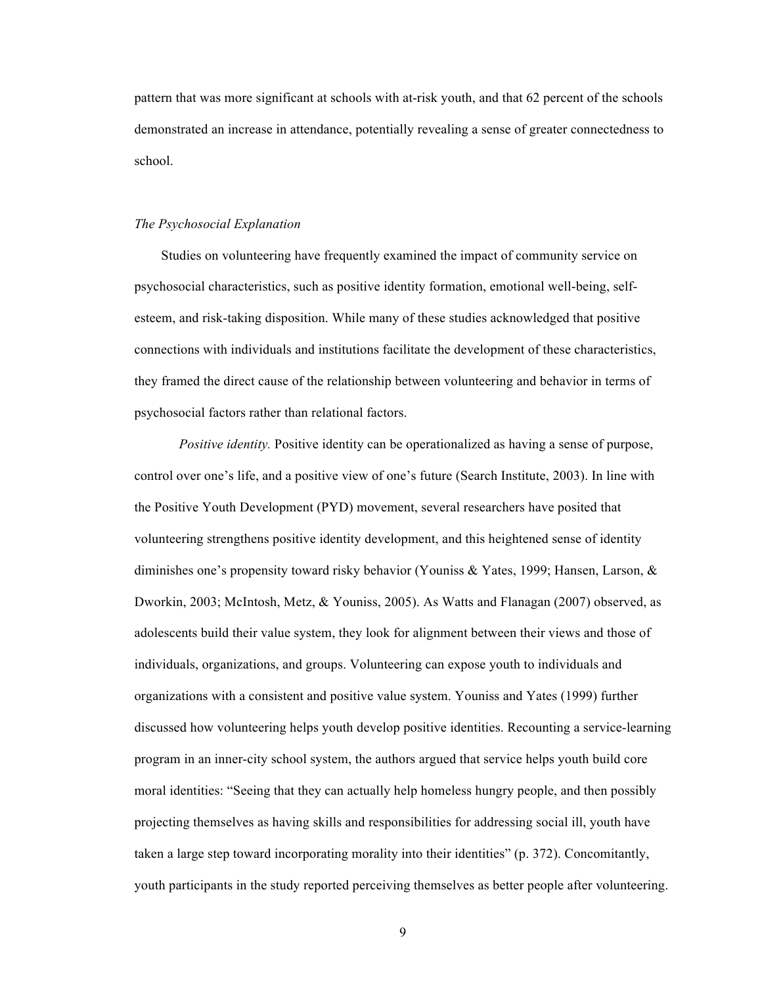pattern that was more significant at schools with at-risk youth, and that 62 percent of the schools demonstrated an increase in attendance, potentially revealing a sense of greater connectedness to school.

#### *The Psychosocial Explanation*

Studies on volunteering have frequently examined the impact of community service on psychosocial characteristics, such as positive identity formation, emotional well-being, selfesteem, and risk-taking disposition. While many of these studies acknowledged that positive connections with individuals and institutions facilitate the development of these characteristics, they framed the direct cause of the relationship between volunteering and behavior in terms of psychosocial factors rather than relational factors.

*Positive identity.* Positive identity can be operationalized as having a sense of purpose, control over one's life, and a positive view of one's future (Search Institute, 2003). In line with the Positive Youth Development (PYD) movement, several researchers have posited that volunteering strengthens positive identity development, and this heightened sense of identity diminishes one's propensity toward risky behavior (Youniss & Yates, 1999; Hansen, Larson, & Dworkin, 2003; McIntosh, Metz, & Youniss, 2005). As Watts and Flanagan (2007) observed, as adolescents build their value system, they look for alignment between their views and those of individuals, organizations, and groups. Volunteering can expose youth to individuals and organizations with a consistent and positive value system. Youniss and Yates (1999) further discussed how volunteering helps youth develop positive identities. Recounting a service-learning program in an inner-city school system, the authors argued that service helps youth build core moral identities: "Seeing that they can actually help homeless hungry people, and then possibly projecting themselves as having skills and responsibilities for addressing social ill, youth have taken a large step toward incorporating morality into their identities" (p. 372). Concomitantly, youth participants in the study reported perceiving themselves as better people after volunteering.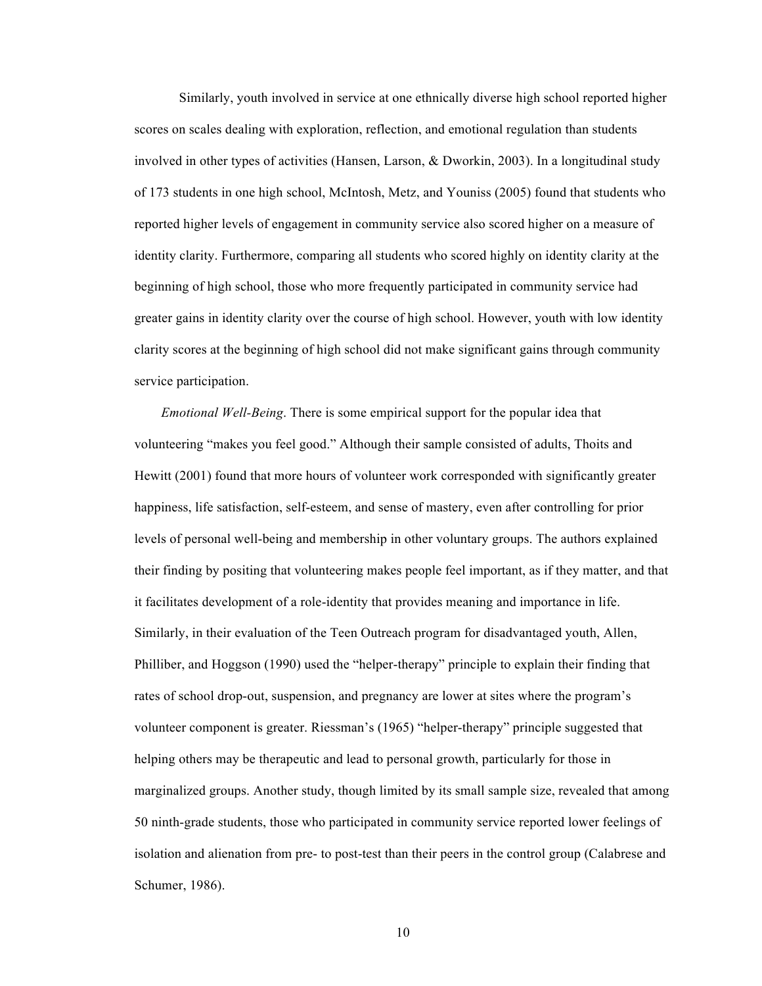Similarly, youth involved in service at one ethnically diverse high school reported higher scores on scales dealing with exploration, reflection, and emotional regulation than students involved in other types of activities (Hansen, Larson, & Dworkin, 2003). In a longitudinal study of 173 students in one high school, McIntosh, Metz, and Youniss (2005) found that students who reported higher levels of engagement in community service also scored higher on a measure of identity clarity. Furthermore, comparing all students who scored highly on identity clarity at the beginning of high school, those who more frequently participated in community service had greater gains in identity clarity over the course of high school. However, youth with low identity clarity scores at the beginning of high school did not make significant gains through community service participation.

*Emotional Well-Being*. There is some empirical support for the popular idea that volunteering "makes you feel good." Although their sample consisted of adults, Thoits and Hewitt (2001) found that more hours of volunteer work corresponded with significantly greater happiness, life satisfaction, self-esteem, and sense of mastery, even after controlling for prior levels of personal well-being and membership in other voluntary groups. The authors explained their finding by positing that volunteering makes people feel important, as if they matter, and that it facilitates development of a role-identity that provides meaning and importance in life. Similarly, in their evaluation of the Teen Outreach program for disadvantaged youth, Allen, Philliber, and Hoggson (1990) used the "helper-therapy" principle to explain their finding that rates of school drop-out, suspension, and pregnancy are lower at sites where the program's volunteer component is greater. Riessman's (1965) "helper-therapy" principle suggested that helping others may be therapeutic and lead to personal growth, particularly for those in marginalized groups. Another study, though limited by its small sample size, revealed that among 50 ninth-grade students, those who participated in community service reported lower feelings of isolation and alienation from pre- to post-test than their peers in the control group (Calabrese and Schumer, 1986).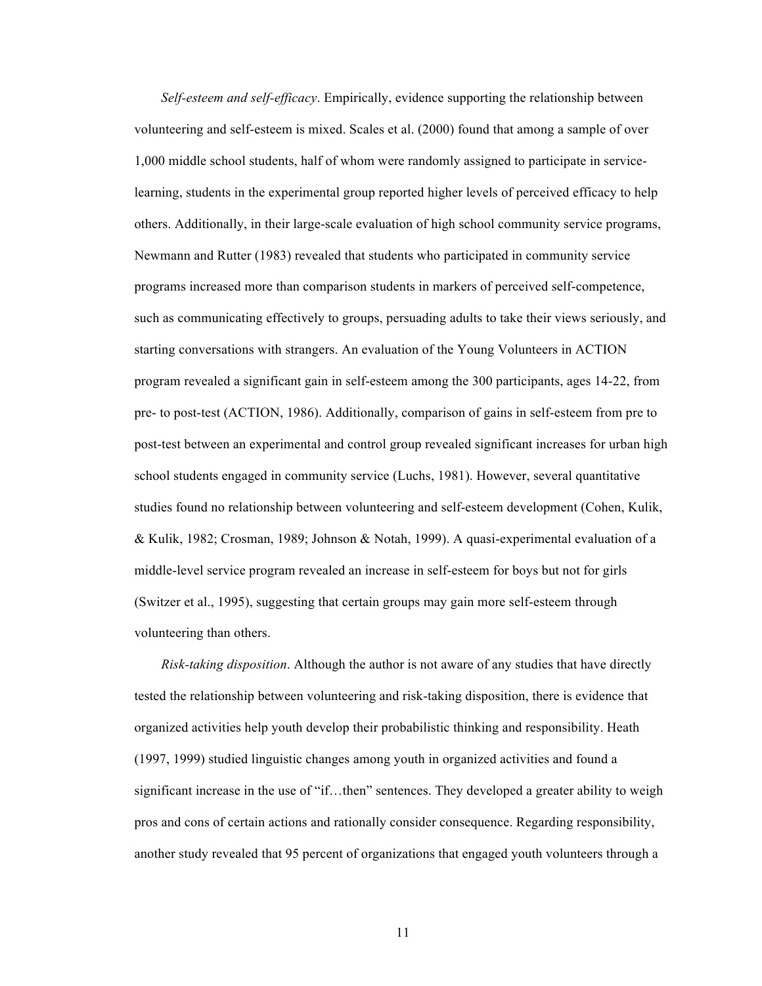*Self-esteem and self-efficacy*. Empirically, evidence supporting the relationship between volunteering and self-esteem is mixed. Scales et al. (2000) found that among a sample of over 1,000 middle school students, half of whom were randomly assigned to participate in servicelearning, students in the experimental group reported higher levels of perceived efficacy to help others. Additionally, in their large-scale evaluation of high school community service programs, Newmann and Rutter (1983) revealed that students who participated in community service programs increased more than comparison students in markers of perceived self-competence, such as communicating effectively to groups, persuading adults to take their views seriously, and starting conversations with strangers. An evaluation of the Young Volunteers in ACTION program revealed a significant gain in self-esteem among the 300 participants, ages 14-22, from pre- to post-test (ACTION, 1986). Additionally, comparison of gains in self-esteem from pre to post-test between an experimental and control group revealed significant increases for urban high school students engaged in community service (Luchs, 1981). However, several quantitative studies found no relationship between volunteering and self-esteem development (Cohen, Kulik, & Kulik, 1982; Crosman, 1989; Johnson & Notah, 1999). A quasi-experimental evaluation of a middle-level service program revealed an increase in self-esteem for boys but not for girls (Switzer et al., 1995), suggesting that certain groups may gain more self-esteem through volunteering than others.

*Risk-taking disposition*. Although the author is not aware of any studies that have directly tested the relationship between volunteering and risk-taking disposition, there is evidence that organized activities help youth develop their probabilistic thinking and responsibility. Heath (1997, 1999) studied linguistic changes among youth in organized activities and found a significant increase in the use of "if…then" sentences. They developed a greater ability to weigh pros and cons of certain actions and rationally consider consequence. Regarding responsibility, another study revealed that 95 percent of organizations that engaged youth volunteers through a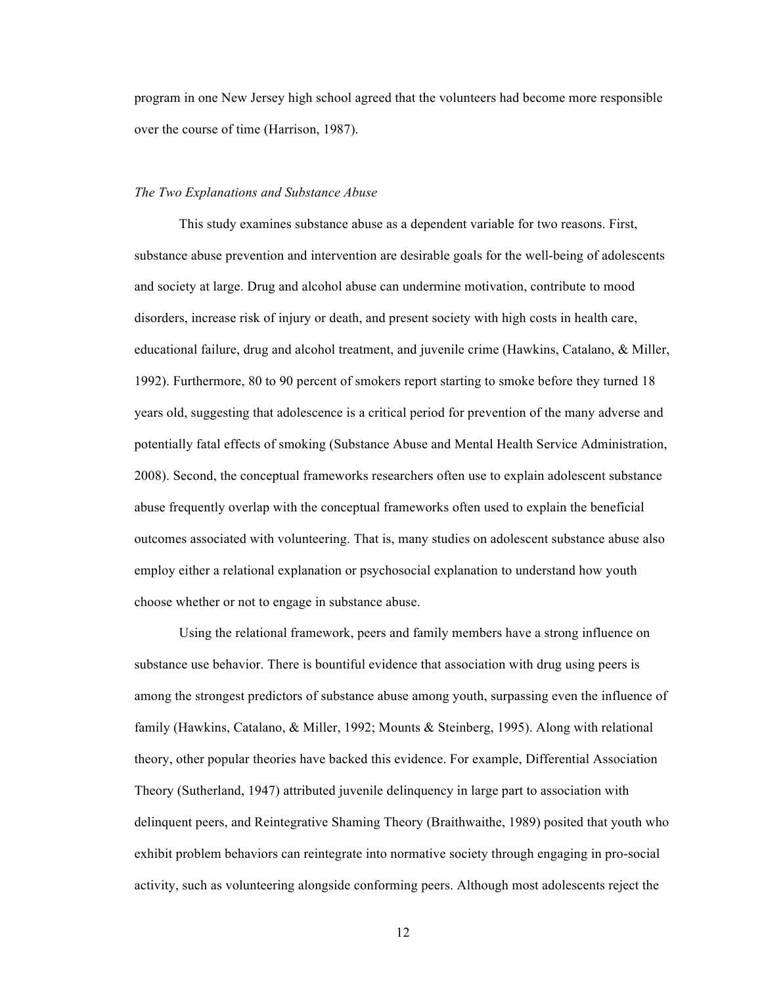program in one New Jersey high school agreed that the volunteers had become more responsible over the course of time (Harrison, 1987).

#### *The Two Explanations and Substance Abuse*

This study examines substance abuse as a dependent variable for two reasons. First, substance abuse prevention and intervention are desirable goals for the well-being of adolescents and society at large. Drug and alcohol abuse can undermine motivation, contribute to mood disorders, increase risk of injury or death, and present society with high costs in health care, educational failure, drug and alcohol treatment, and juvenile crime (Hawkins, Catalano, & Miller, 1992). Furthermore, 80 to 90 percent of smokers report starting to smoke before they turned 18 years old, suggesting that adolescence is a critical period for prevention of the many adverse and potentially fatal effects of smoking (Substance Abuse and Mental Health Service Administration, 2008). Second, the conceptual frameworks researchers often use to explain adolescent substance abuse frequently overlap with the conceptual frameworks often used to explain the beneficial outcomes associated with volunteering. That is, many studies on adolescent substance abuse also employ either a relational explanation or psychosocial explanation to understand how youth choose whether or not to engage in substance abuse.

Using the relational framework, peers and family members have a strong influence on substance use behavior. There is bountiful evidence that association with drug using peers is among the strongest predictors of substance abuse among youth, surpassing even the influence of family (Hawkins, Catalano, & Miller, 1992; Mounts & Steinberg, 1995). Along with relational theory, other popular theories have backed this evidence. For example, Differential Association Theory (Sutherland, 1947) attributed juvenile delinquency in large part to association with delinquent peers, and Reintegrative Shaming Theory (Braithwaithe, 1989) posited that youth who exhibit problem behaviors can reintegrate into normative society through engaging in pro-social activity, such as volunteering alongside conforming peers. Although most adolescents reject the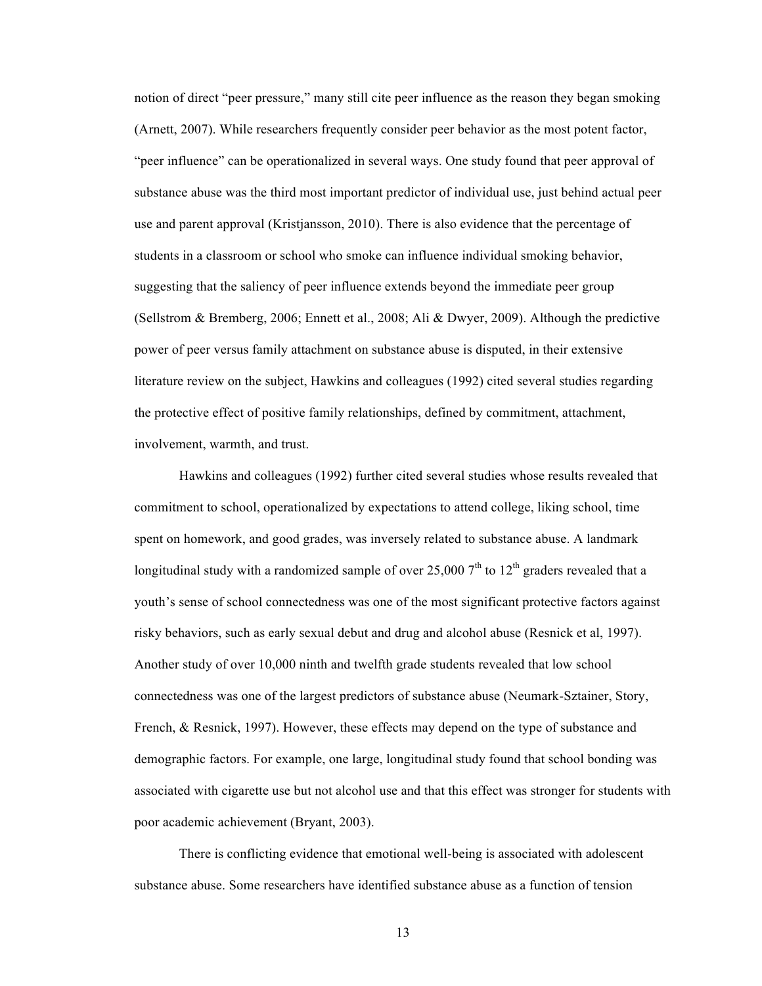notion of direct "peer pressure," many still cite peer influence as the reason they began smoking (Arnett, 2007). While researchers frequently consider peer behavior as the most potent factor, "peer influence" can be operationalized in several ways. One study found that peer approval of substance abuse was the third most important predictor of individual use, just behind actual peer use and parent approval (Kristjansson, 2010). There is also evidence that the percentage of students in a classroom or school who smoke can influence individual smoking behavior, suggesting that the saliency of peer influence extends beyond the immediate peer group (Sellstrom & Bremberg, 2006; Ennett et al., 2008; Ali & Dwyer, 2009). Although the predictive power of peer versus family attachment on substance abuse is disputed, in their extensive literature review on the subject, Hawkins and colleagues (1992) cited several studies regarding the protective effect of positive family relationships, defined by commitment, attachment, involvement, warmth, and trust.

Hawkins and colleagues (1992) further cited several studies whose results revealed that commitment to school, operationalized by expectations to attend college, liking school, time spent on homework, and good grades, was inversely related to substance abuse. A landmark longitudinal study with a randomized sample of over 25,000  $7<sup>th</sup>$  to 12<sup>th</sup> graders revealed that a youth's sense of school connectedness was one of the most significant protective factors against risky behaviors, such as early sexual debut and drug and alcohol abuse (Resnick et al, 1997). Another study of over 10,000 ninth and twelfth grade students revealed that low school connectedness was one of the largest predictors of substance abuse (Neumark-Sztainer, Story, French, & Resnick, 1997). However, these effects may depend on the type of substance and demographic factors. For example, one large, longitudinal study found that school bonding was associated with cigarette use but not alcohol use and that this effect was stronger for students with poor academic achievement (Bryant, 2003).

There is conflicting evidence that emotional well-being is associated with adolescent substance abuse. Some researchers have identified substance abuse as a function of tension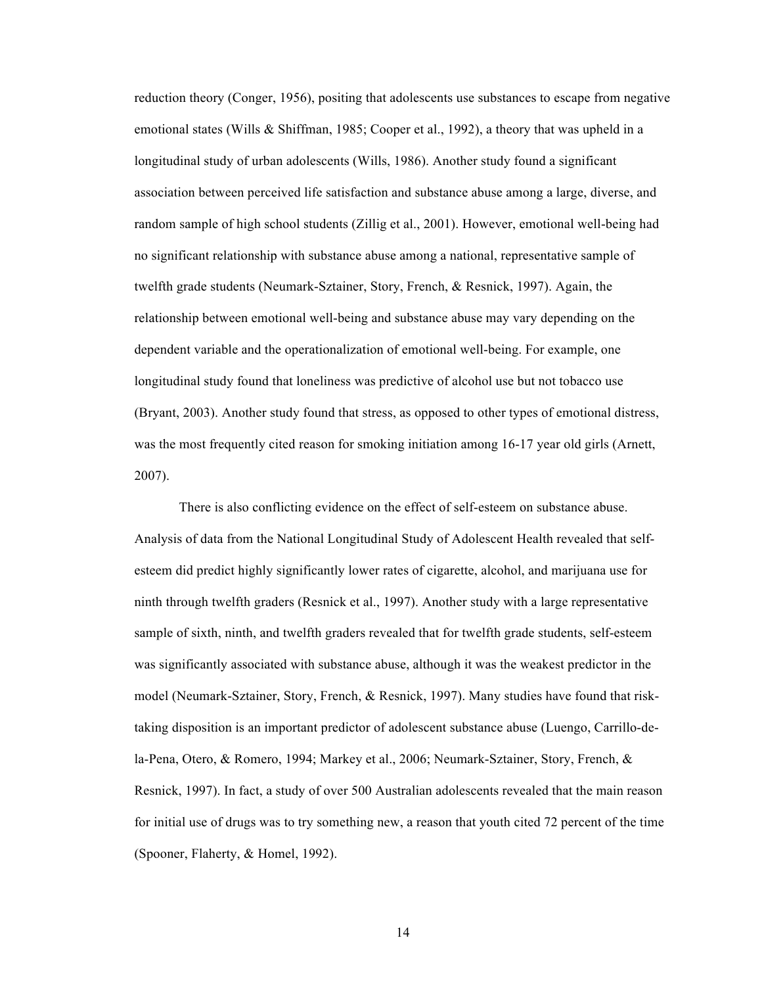reduction theory (Conger, 1956), positing that adolescents use substances to escape from negative emotional states (Wills & Shiffman, 1985; Cooper et al., 1992), a theory that was upheld in a longitudinal study of urban adolescents (Wills, 1986). Another study found a significant association between perceived life satisfaction and substance abuse among a large, diverse, and random sample of high school students (Zillig et al., 2001). However, emotional well-being had no significant relationship with substance abuse among a national, representative sample of twelfth grade students (Neumark-Sztainer, Story, French, & Resnick, 1997). Again, the relationship between emotional well-being and substance abuse may vary depending on the dependent variable and the operationalization of emotional well-being. For example, one longitudinal study found that loneliness was predictive of alcohol use but not tobacco use (Bryant, 2003). Another study found that stress, as opposed to other types of emotional distress, was the most frequently cited reason for smoking initiation among 16-17 year old girls (Arnett, 2007).

There is also conflicting evidence on the effect of self-esteem on substance abuse. Analysis of data from the National Longitudinal Study of Adolescent Health revealed that selfesteem did predict highly significantly lower rates of cigarette, alcohol, and marijuana use for ninth through twelfth graders (Resnick et al., 1997). Another study with a large representative sample of sixth, ninth, and twelfth graders revealed that for twelfth grade students, self-esteem was significantly associated with substance abuse, although it was the weakest predictor in the model (Neumark-Sztainer, Story, French, & Resnick, 1997). Many studies have found that risktaking disposition is an important predictor of adolescent substance abuse (Luengo, Carrillo-dela-Pena, Otero, & Romero, 1994; Markey et al., 2006; Neumark-Sztainer, Story, French, & Resnick, 1997). In fact, a study of over 500 Australian adolescents revealed that the main reason for initial use of drugs was to try something new, a reason that youth cited 72 percent of the time (Spooner, Flaherty, & Homel, 1992).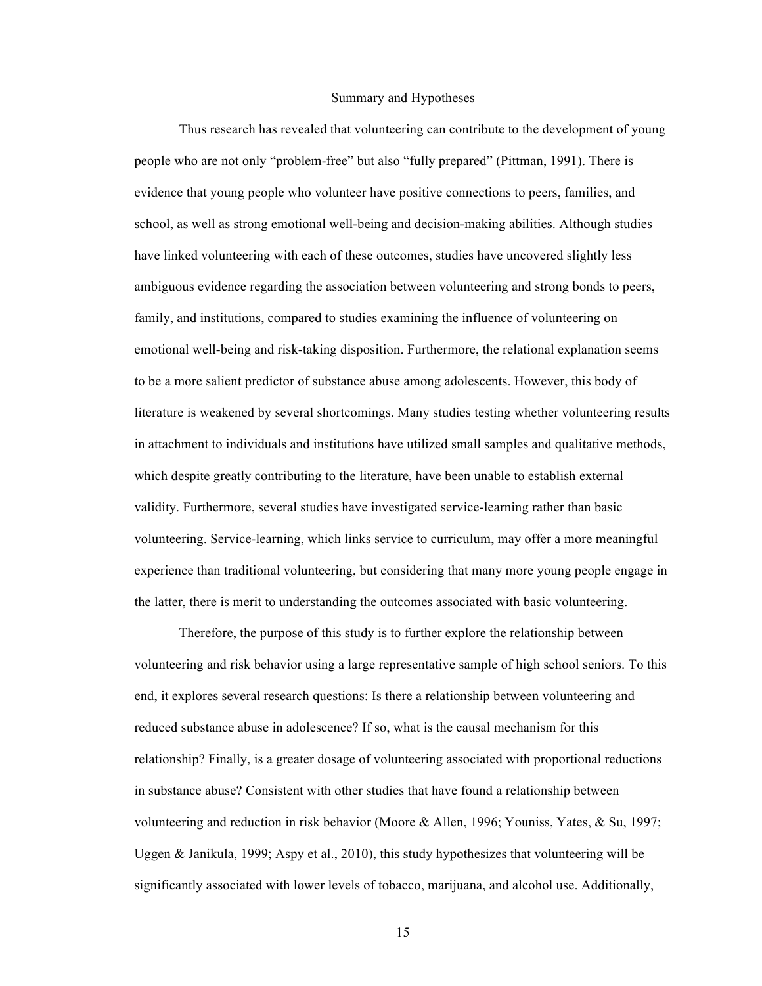#### Summary and Hypotheses

Thus research has revealed that volunteering can contribute to the development of young people who are not only "problem-free" but also "fully prepared" (Pittman, 1991). There is evidence that young people who volunteer have positive connections to peers, families, and school, as well as strong emotional well-being and decision-making abilities. Although studies have linked volunteering with each of these outcomes, studies have uncovered slightly less ambiguous evidence regarding the association between volunteering and strong bonds to peers, family, and institutions, compared to studies examining the influence of volunteering on emotional well-being and risk-taking disposition. Furthermore, the relational explanation seems to be a more salient predictor of substance abuse among adolescents. However, this body of literature is weakened by several shortcomings. Many studies testing whether volunteering results in attachment to individuals and institutions have utilized small samples and qualitative methods, which despite greatly contributing to the literature, have been unable to establish external validity. Furthermore, several studies have investigated service-learning rather than basic volunteering. Service-learning, which links service to curriculum, may offer a more meaningful experience than traditional volunteering, but considering that many more young people engage in the latter, there is merit to understanding the outcomes associated with basic volunteering.

Therefore, the purpose of this study is to further explore the relationship between volunteering and risk behavior using a large representative sample of high school seniors. To this end, it explores several research questions: Is there a relationship between volunteering and reduced substance abuse in adolescence? If so, what is the causal mechanism for this relationship? Finally, is a greater dosage of volunteering associated with proportional reductions in substance abuse? Consistent with other studies that have found a relationship between volunteering and reduction in risk behavior (Moore & Allen, 1996; Youniss, Yates, & Su, 1997; Uggen & Janikula, 1999; Aspy et al., 2010), this study hypothesizes that volunteering will be significantly associated with lower levels of tobacco, marijuana, and alcohol use. Additionally,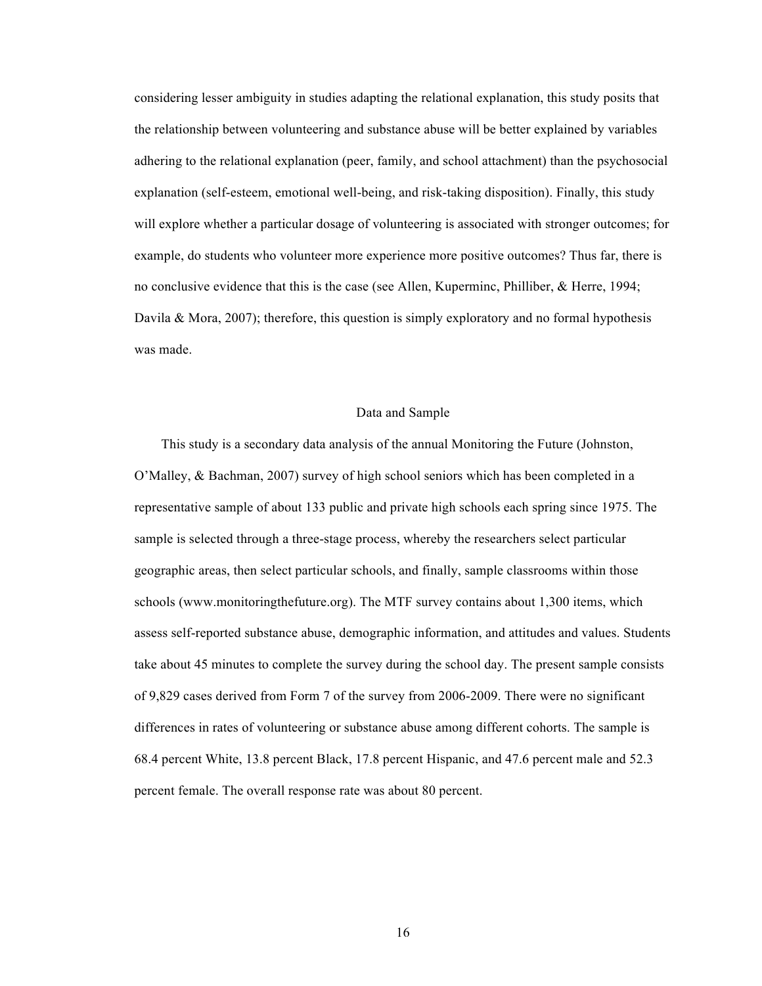considering lesser ambiguity in studies adapting the relational explanation, this study posits that the relationship between volunteering and substance abuse will be better explained by variables adhering to the relational explanation (peer, family, and school attachment) than the psychosocial explanation (self-esteem, emotional well-being, and risk-taking disposition). Finally, this study will explore whether a particular dosage of volunteering is associated with stronger outcomes; for example, do students who volunteer more experience more positive outcomes? Thus far, there is no conclusive evidence that this is the case (see Allen, Kuperminc, Philliber, & Herre, 1994; Davila & Mora, 2007); therefore, this question is simply exploratory and no formal hypothesis was made.

#### Data and Sample

This study is a secondary data analysis of the annual Monitoring the Future (Johnston, O'Malley, & Bachman, 2007) survey of high school seniors which has been completed in a representative sample of about 133 public and private high schools each spring since 1975. The sample is selected through a three-stage process, whereby the researchers select particular geographic areas, then select particular schools, and finally, sample classrooms within those schools (www.monitoringthefuture.org). The MTF survey contains about 1,300 items, which assess self-reported substance abuse, demographic information, and attitudes and values. Students take about 45 minutes to complete the survey during the school day. The present sample consists of 9,829 cases derived from Form 7 of the survey from 2006-2009. There were no significant differences in rates of volunteering or substance abuse among different cohorts. The sample is 68.4 percent White, 13.8 percent Black, 17.8 percent Hispanic, and 47.6 percent male and 52.3 percent female. The overall response rate was about 80 percent.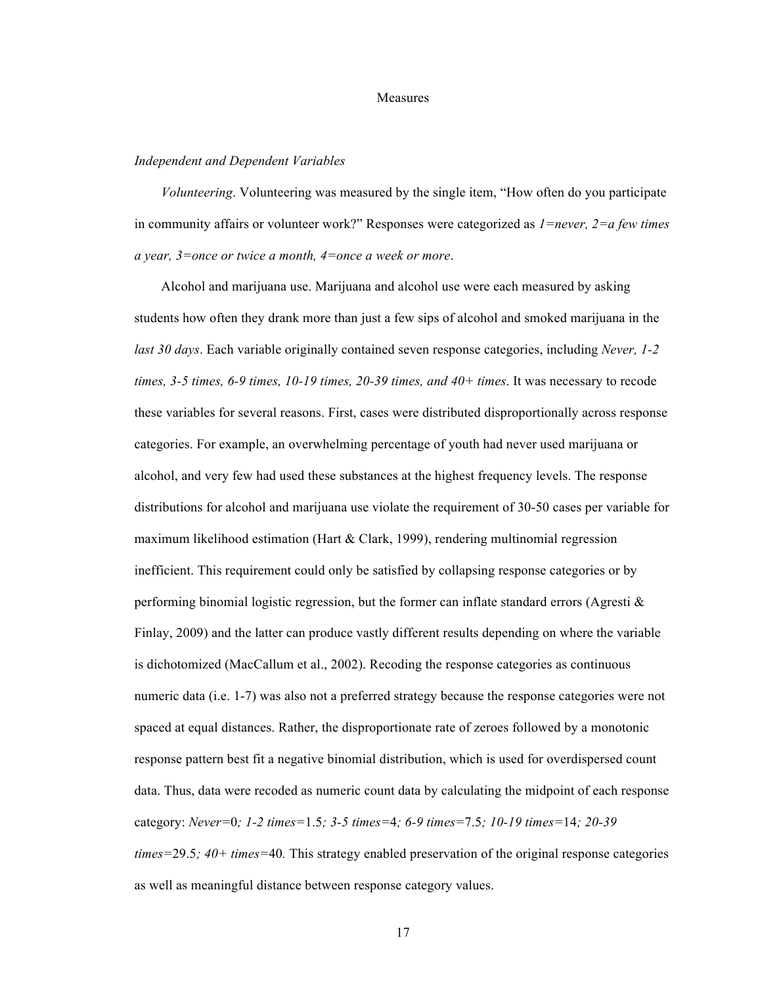#### **Measures**

#### *Independent and Dependent Variables*

*Volunteering*. Volunteering was measured by the single item, "How often do you participate in community affairs or volunteer work?" Responses were categorized as *1=never, 2=a few times a year, 3=once or twice a month, 4=once a week or more*.

Alcohol and marijuana use. Marijuana and alcohol use were each measured by asking students how often they drank more than just a few sips of alcohol and smoked marijuana in the *last 30 days*. Each variable originally contained seven response categories, including *Never, 1-2 times, 3-5 times, 6-9 times, 10-19 times, 20-39 times, and 40+ times*. It was necessary to recode these variables for several reasons. First, cases were distributed disproportionally across response categories. For example, an overwhelming percentage of youth had never used marijuana or alcohol, and very few had used these substances at the highest frequency levels. The response distributions for alcohol and marijuana use violate the requirement of 30-50 cases per variable for maximum likelihood estimation (Hart & Clark, 1999), rendering multinomial regression inefficient. This requirement could only be satisfied by collapsing response categories or by performing binomial logistic regression, but the former can inflate standard errors (Agresti  $\&$ Finlay, 2009) and the latter can produce vastly different results depending on where the variable is dichotomized (MacCallum et al., 2002). Recoding the response categories as continuous numeric data (i.e. 1-7) was also not a preferred strategy because the response categories were not spaced at equal distances. Rather, the disproportionate rate of zeroes followed by a monotonic response pattern best fit a negative binomial distribution, which is used for overdispersed count data. Thus, data were recoded as numeric count data by calculating the midpoint of each response category: *Never=*0*; 1-2 times=*1.5*; 3-5 times=*4*; 6-9 times=*7.5*; 10-19 times=*14*; 20-39 times=*29.5*; 40+ times=*40*.* This strategy enabled preservation of the original response categories as well as meaningful distance between response category values.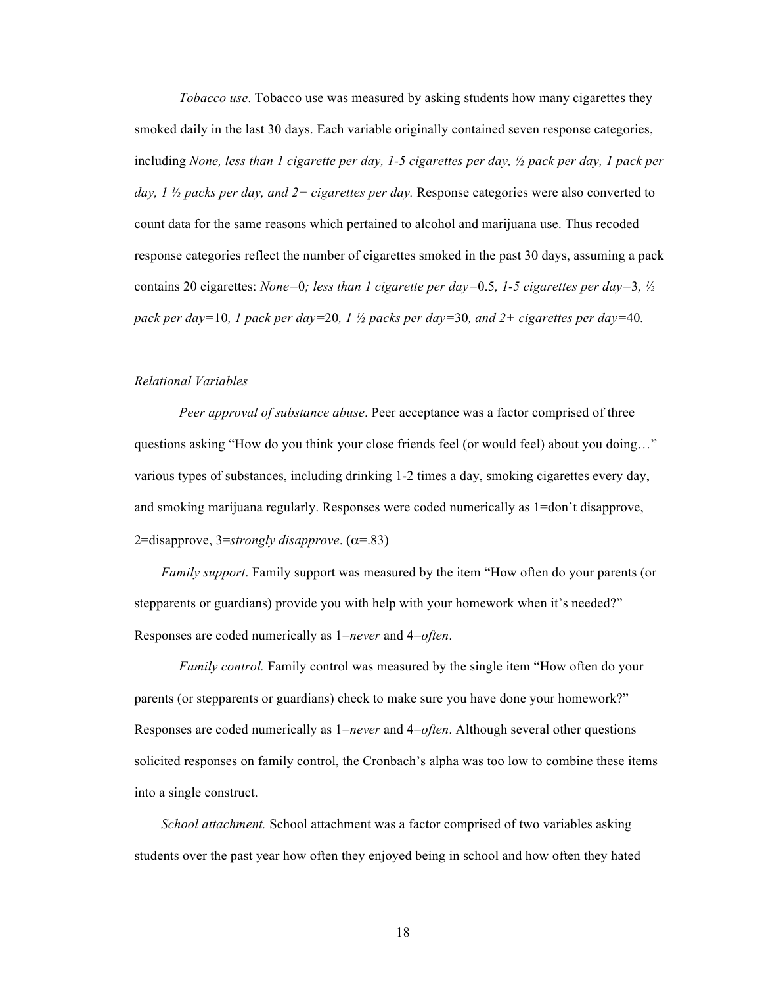*Tobacco use*. Tobacco use was measured by asking students how many cigarettes they smoked daily in the last 30 days. Each variable originally contained seven response categories, including *None, less than 1 cigarette per day, 1-5 cigarettes per day, ½ pack per day, 1 pack per day, 1 ½ packs per day, and 2+ cigarettes per day.* Response categories were also converted to count data for the same reasons which pertained to alcohol and marijuana use. Thus recoded response categories reflect the number of cigarettes smoked in the past 30 days, assuming a pack contains 20 cigarettes: *None=*0*; less than 1 cigarette per day=*0.5*, 1-5 cigarettes per day=*3*, ½ pack per day=*10*, 1 pack per day=*20*, 1 ½ packs per day=*30*, and 2+ cigarettes per day=*40*.*

#### *Relational Variables*

*Peer approval of substance abuse*. Peer acceptance was a factor comprised of three questions asking "How do you think your close friends feel (or would feel) about you doing…" various types of substances, including drinking 1-2 times a day, smoking cigarettes every day, and smoking marijuana regularly. Responses were coded numerically as 1=don't disapprove, 2=disapprove, 3=*strongly disapprove*. (α=.83)

*Family support*. Family support was measured by the item "How often do your parents (or stepparents or guardians) provide you with help with your homework when it's needed?" Responses are coded numerically as 1=*never* and 4=*often*.

*Family control.* Family control was measured by the single item "How often do your parents (or stepparents or guardians) check to make sure you have done your homework?" Responses are coded numerically as 1=*never* and 4=*often*. Although several other questions solicited responses on family control, the Cronbach's alpha was too low to combine these items into a single construct.

*School attachment.* School attachment was a factor comprised of two variables asking students over the past year how often they enjoyed being in school and how often they hated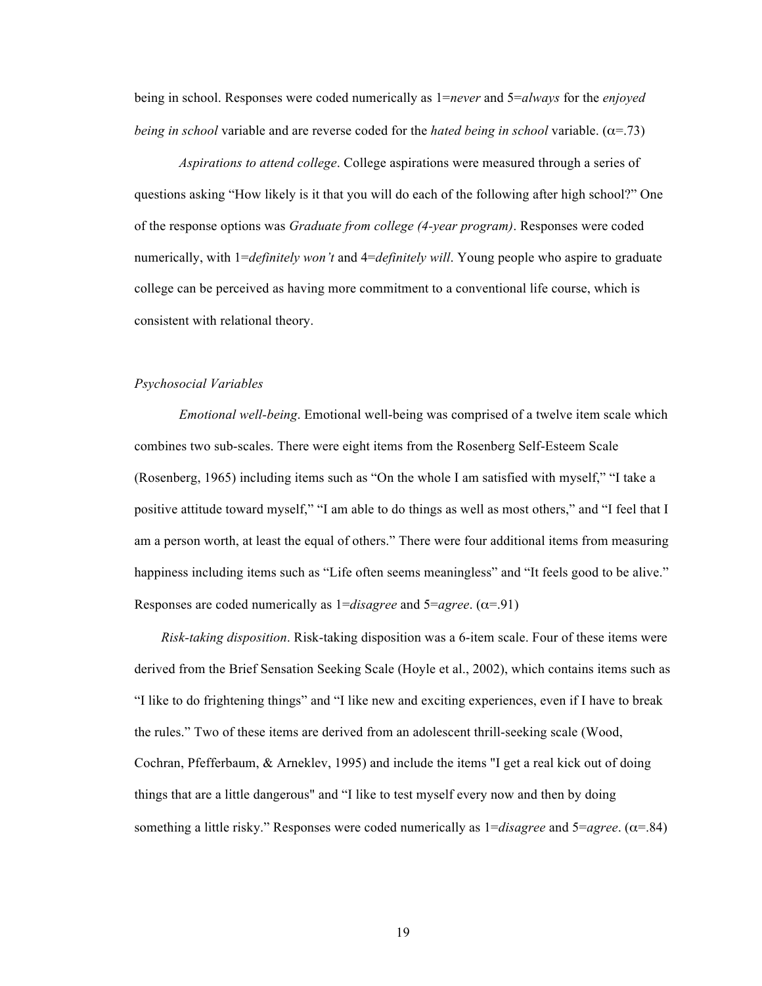being in school. Responses were coded numerically as 1=*never* and 5=*always* for the *enjoyed being in school* variable and are reverse coded for the *hated being in school* variable.  $(\alpha = .73)$ 

*Aspirations to attend college*. College aspirations were measured through a series of questions asking "How likely is it that you will do each of the following after high school?" One of the response options was *Graduate from college (4-year program)*. Responses were coded numerically, with 1=*definitely won't* and 4=*definitely will*. Young people who aspire to graduate college can be perceived as having more commitment to a conventional life course, which is consistent with relational theory.

## *Psychosocial Variables*

*Emotional well-being*. Emotional well-being was comprised of a twelve item scale which combines two sub-scales. There were eight items from the Rosenberg Self-Esteem Scale (Rosenberg, 1965) including items such as "On the whole I am satisfied with myself," "I take a positive attitude toward myself," "I am able to do things as well as most others," and "I feel that I am a person worth, at least the equal of others." There were four additional items from measuring happiness including items such as "Life often seems meaningless" and "It feels good to be alive." Responses are coded numerically as  $1 = disagree$  and  $5 = agree$ . ( $\alpha = .91$ )

*Risk-taking disposition*. Risk-taking disposition was a 6-item scale. Four of these items were derived from the Brief Sensation Seeking Scale (Hoyle et al., 2002), which contains items such as "I like to do frightening things" and "I like new and exciting experiences, even if I have to break the rules." Two of these items are derived from an adolescent thrill-seeking scale (Wood, Cochran, Pfefferbaum, & Arneklev, 1995) and include the items "I get a real kick out of doing things that are a little dangerous" and "I like to test myself every now and then by doing something a little risky." Responses were coded numerically as 1=*disagree* and 5=*agree*. (α=.84)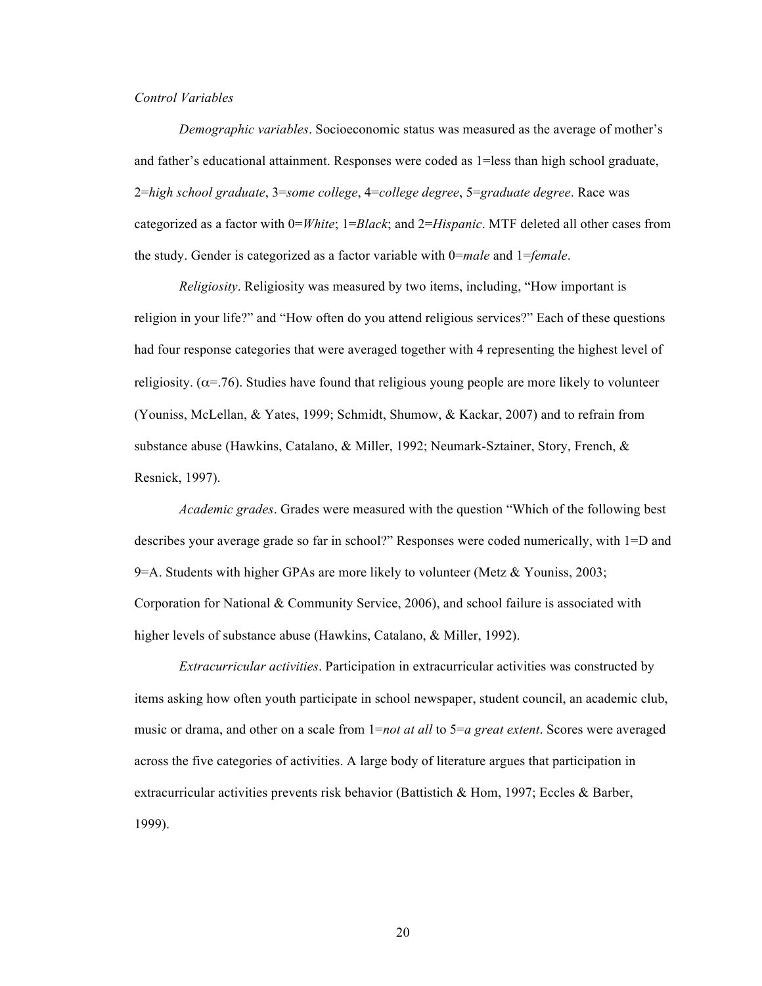### *Control Variables*

*Demographic variables*. Socioeconomic status was measured as the average of mother's and father's educational attainment. Responses were coded as 1=less than high school graduate, 2=*high school graduate*, 3=*some college*, 4=*college degree*, 5=*graduate degree*. Race was categorized as a factor with 0=*White*; 1=*Black*; and 2=*Hispanic*. MTF deleted all other cases from the study. Gender is categorized as a factor variable with 0=*male* and 1=*female*.

*Religiosity*. Religiosity was measured by two items, including, "How important is religion in your life?" and "How often do you attend religious services?" Each of these questions had four response categories that were averaged together with 4 representing the highest level of religiosity. ( $\alpha$ =.76). Studies have found that religious young people are more likely to volunteer (Youniss, McLellan, & Yates, 1999; Schmidt, Shumow, & Kackar, 2007) and to refrain from substance abuse (Hawkins, Catalano, & Miller, 1992; Neumark-Sztainer, Story, French, & Resnick, 1997).

*Academic grades*. Grades were measured with the question "Which of the following best describes your average grade so far in school?" Responses were coded numerically, with 1=D and 9=A. Students with higher GPAs are more likely to volunteer (Metz & Youniss, 2003; Corporation for National & Community Service, 2006), and school failure is associated with higher levels of substance abuse (Hawkins, Catalano, & Miller, 1992).

*Extracurricular activities*. Participation in extracurricular activities was constructed by items asking how often youth participate in school newspaper, student council, an academic club, music or drama, and other on a scale from 1=*not at all* to 5=*a great extent*. Scores were averaged across the five categories of activities. A large body of literature argues that participation in extracurricular activities prevents risk behavior (Battistich & Hom, 1997; Eccles & Barber, 1999).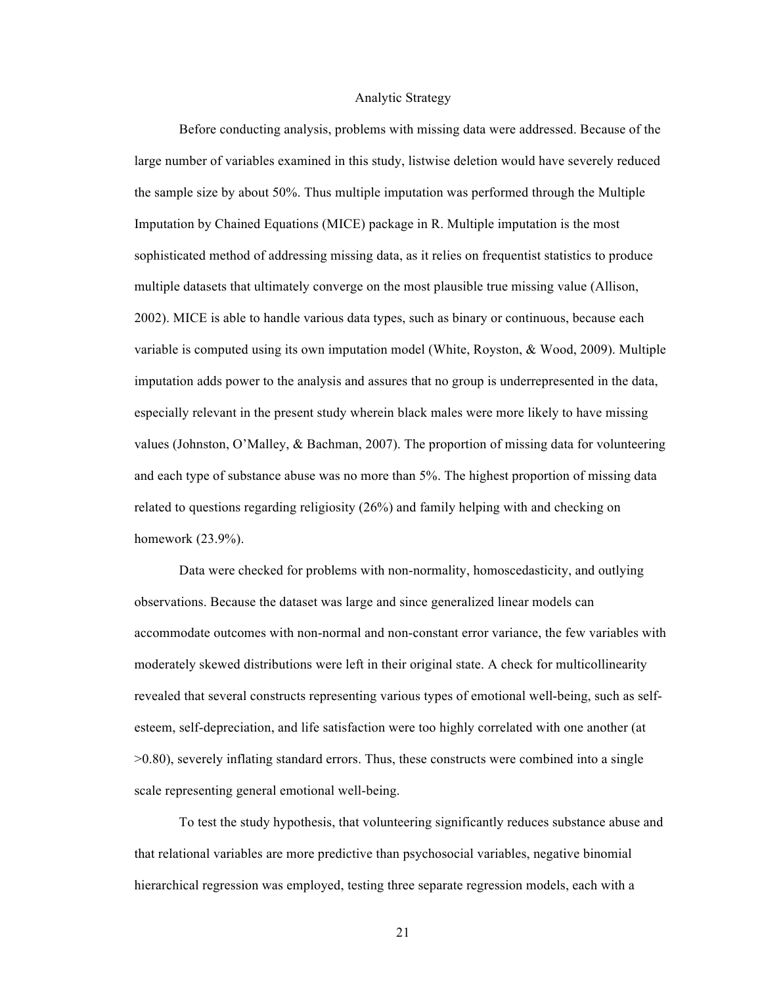#### Analytic Strategy

Before conducting analysis, problems with missing data were addressed. Because of the large number of variables examined in this study, listwise deletion would have severely reduced the sample size by about 50%. Thus multiple imputation was performed through the Multiple Imputation by Chained Equations (MICE) package in R. Multiple imputation is the most sophisticated method of addressing missing data, as it relies on frequentist statistics to produce multiple datasets that ultimately converge on the most plausible true missing value (Allison, 2002). MICE is able to handle various data types, such as binary or continuous, because each variable is computed using its own imputation model (White, Royston, & Wood, 2009). Multiple imputation adds power to the analysis and assures that no group is underrepresented in the data, especially relevant in the present study wherein black males were more likely to have missing values (Johnston, O'Malley, & Bachman, 2007). The proportion of missing data for volunteering and each type of substance abuse was no more than 5%. The highest proportion of missing data related to questions regarding religiosity (26%) and family helping with and checking on homework (23.9%).

Data were checked for problems with non-normality, homoscedasticity, and outlying observations. Because the dataset was large and since generalized linear models can accommodate outcomes with non-normal and non-constant error variance, the few variables with moderately skewed distributions were left in their original state. A check for multicollinearity revealed that several constructs representing various types of emotional well-being, such as selfesteem, self-depreciation, and life satisfaction were too highly correlated with one another (at >0.80), severely inflating standard errors. Thus, these constructs were combined into a single scale representing general emotional well-being.

To test the study hypothesis, that volunteering significantly reduces substance abuse and that relational variables are more predictive than psychosocial variables, negative binomial hierarchical regression was employed, testing three separate regression models, each with a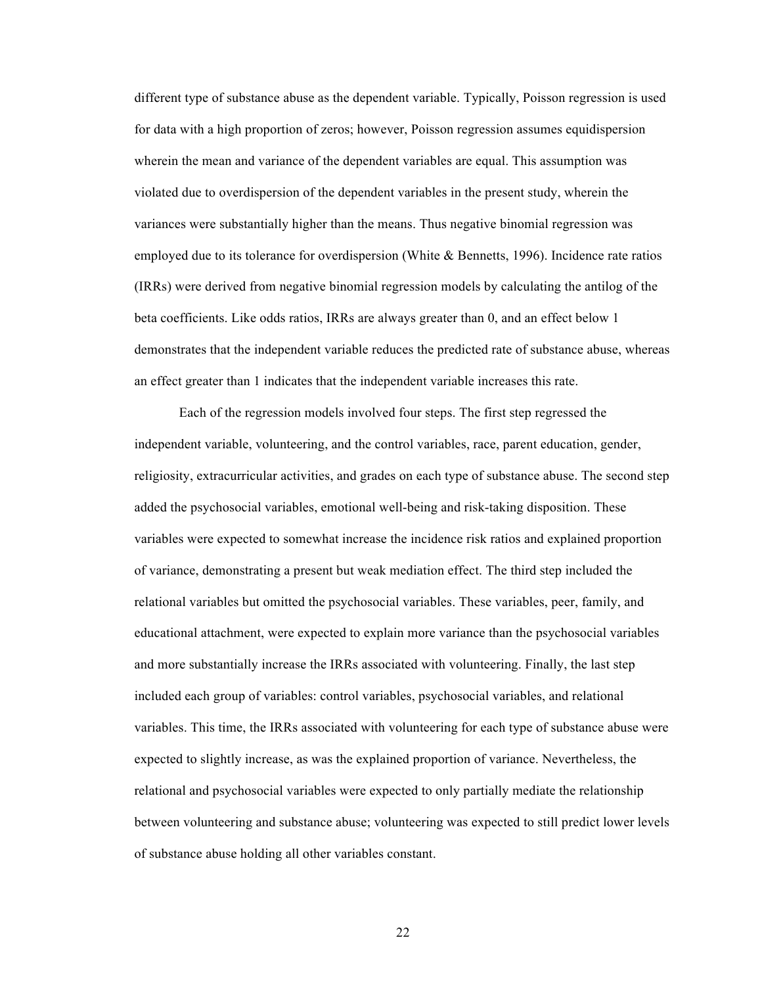different type of substance abuse as the dependent variable. Typically, Poisson regression is used for data with a high proportion of zeros; however, Poisson regression assumes equidispersion wherein the mean and variance of the dependent variables are equal. This assumption was violated due to overdispersion of the dependent variables in the present study, wherein the variances were substantially higher than the means. Thus negative binomial regression was employed due to its tolerance for overdispersion (White & Bennetts, 1996). Incidence rate ratios (IRRs) were derived from negative binomial regression models by calculating the antilog of the beta coefficients. Like odds ratios, IRRs are always greater than 0, and an effect below 1 demonstrates that the independent variable reduces the predicted rate of substance abuse, whereas an effect greater than 1 indicates that the independent variable increases this rate.

Each of the regression models involved four steps. The first step regressed the independent variable, volunteering, and the control variables, race, parent education, gender, religiosity, extracurricular activities, and grades on each type of substance abuse. The second step added the psychosocial variables, emotional well-being and risk-taking disposition. These variables were expected to somewhat increase the incidence risk ratios and explained proportion of variance, demonstrating a present but weak mediation effect. The third step included the relational variables but omitted the psychosocial variables. These variables, peer, family, and educational attachment, were expected to explain more variance than the psychosocial variables and more substantially increase the IRRs associated with volunteering. Finally, the last step included each group of variables: control variables, psychosocial variables, and relational variables. This time, the IRRs associated with volunteering for each type of substance abuse were expected to slightly increase, as was the explained proportion of variance. Nevertheless, the relational and psychosocial variables were expected to only partially mediate the relationship between volunteering and substance abuse; volunteering was expected to still predict lower levels of substance abuse holding all other variables constant.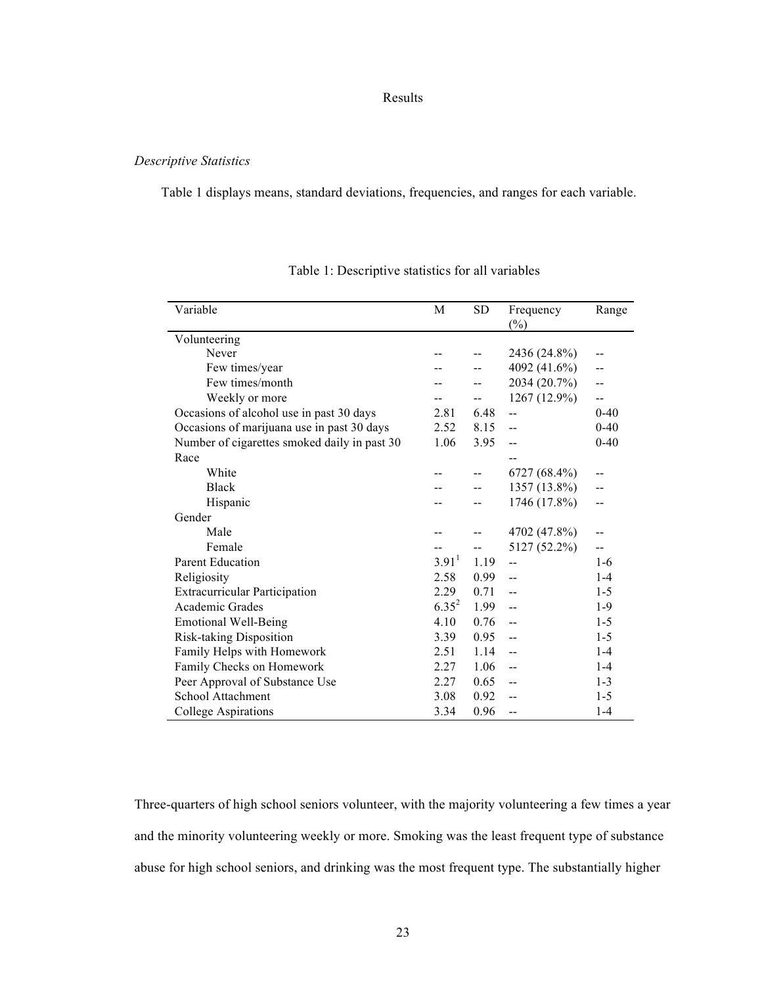## Results

### *Descriptive Statistics*

Table 1 displays means, standard deviations, frequencies, and ranges for each variable.

| Variable                                     | M                 | <b>SD</b> | Frequency<br>$(\%)$ | Range    |
|----------------------------------------------|-------------------|-----------|---------------------|----------|
| Volunteering                                 |                   |           |                     |          |
| Never                                        |                   |           | 2436 (24.8%)        |          |
| Few times/year                               |                   |           | 4092 (41.6%)        |          |
| Few times/month                              |                   |           | 2034 (20.7%)        | --       |
| Weekly or more                               |                   |           | 1267 (12.9%)        | --       |
| Occasions of alcohol use in past 30 days     | 2.81              | 6.48      | --                  | $0 - 40$ |
| Occasions of marijuana use in past 30 days   | 2.52              | 8.15      | $-$                 | $0-40$   |
| Number of cigarettes smoked daily in past 30 | 1.06              | 3.95      | --                  | $0-40$   |
| Race                                         |                   |           |                     |          |
| White                                        |                   |           | 6727 (68.4%)        | --       |
| <b>Black</b>                                 |                   |           | 1357 (13.8%)        | --       |
| Hispanic                                     |                   |           | 1746 (17.8%)        | --       |
| Gender                                       |                   |           |                     |          |
| Male                                         |                   |           | 4702 (47.8%)        |          |
| Female                                       |                   |           | 5127 (52.2%)        | --       |
| <b>Parent Education</b>                      | 3.91 <sup>1</sup> | 1.19      | --                  | $1-6$    |
| Religiosity                                  | 2.58              | 0.99      | --                  | $1 - 4$  |
| <b>Extracurricular Participation</b>         | 2.29              | 0.71      | $-$                 | $1 - 5$  |
| Academic Grades                              | $6.35^{2}$        | 1.99      | --                  | $1-9$    |
| <b>Emotional Well-Being</b>                  | 4.10              | 0.76      |                     | $1 - 5$  |
| Risk-taking Disposition                      | 3.39              | 0.95      | $-$                 | $1 - 5$  |
| Family Helps with Homework                   | 2.51              | 1.14      | --                  | $1 - 4$  |
| Family Checks on Homework                    | 2.27              | 1.06      |                     | $1 - 4$  |
| Peer Approval of Substance Use               | 2.27              | 0.65      | $-$                 | $1 - 3$  |
| School Attachment                            | 3.08              | 0.92      |                     | $1-5$    |
| <b>College Aspirations</b>                   | 3.34              | 0.96      |                     | $1 - 4$  |

Table 1: Descriptive statistics for all variables

Three-quarters of high school seniors volunteer, with the majority volunteering a few times a year and the minority volunteering weekly or more. Smoking was the least frequent type of substance abuse for high school seniors, and drinking was the most frequent type. The substantially higher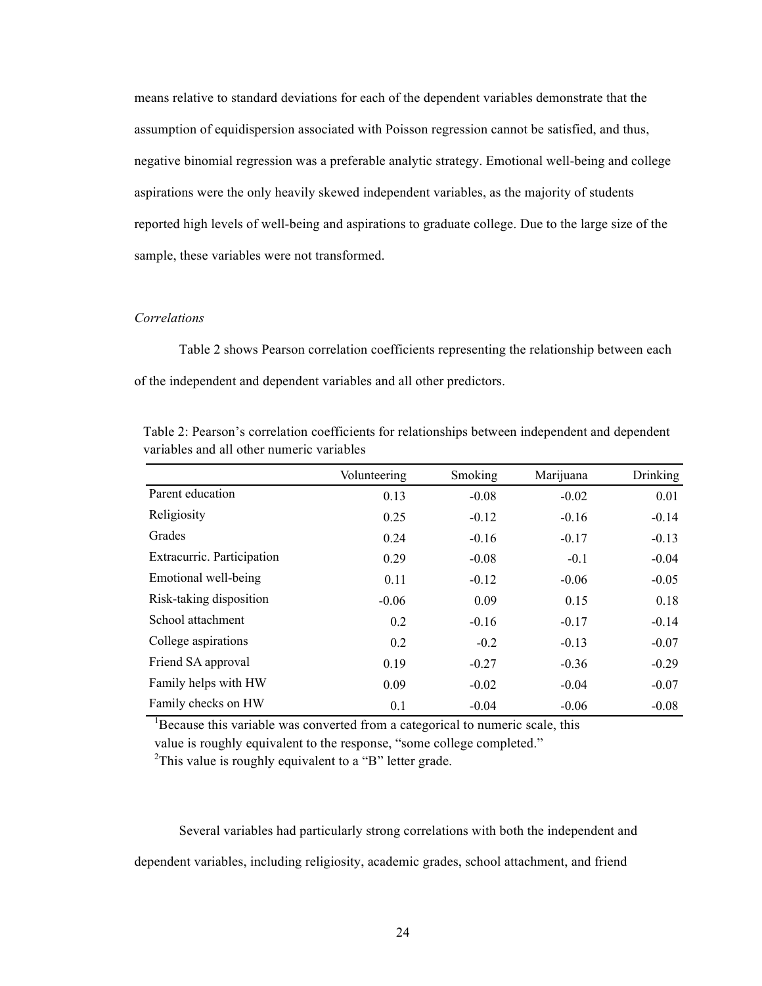means relative to standard deviations for each of the dependent variables demonstrate that the assumption of equidispersion associated with Poisson regression cannot be satisfied, and thus, negative binomial regression was a preferable analytic strategy. Emotional well-being and college aspirations were the only heavily skewed independent variables, as the majority of students reported high levels of well-being and aspirations to graduate college. Due to the large size of the sample, these variables were not transformed.

#### *Correlations*

Table 2 shows Pearson correlation coefficients representing the relationship between each of the independent and dependent variables and all other predictors.

|                            | Volunteering | Smoking | Marijuana | <b>Drinking</b> |
|----------------------------|--------------|---------|-----------|-----------------|
| Parent education           | 0.13         | $-0.08$ | $-0.02$   | 0.01            |
| Religiosity                | 0.25         | $-0.12$ | $-0.16$   | $-0.14$         |
| Grades                     | 0.24         | $-0.16$ | $-0.17$   | $-0.13$         |
| Extracurric. Participation | 0.29         | $-0.08$ | $-0.1$    | $-0.04$         |
| Emotional well-being       | 0.11         | $-0.12$ | $-0.06$   | $-0.05$         |
| Risk-taking disposition    | $-0.06$      | 0.09    | 0.15      | 0.18            |
| School attachment          | 0.2          | $-0.16$ | $-0.17$   | $-0.14$         |
| College aspirations        | 0.2          | $-0.2$  | $-0.13$   | $-0.07$         |
| Friend SA approval         | 0.19         | $-0.27$ | $-0.36$   | $-0.29$         |
| Family helps with HW       | 0.09         | $-0.02$ | $-0.04$   | $-0.07$         |
| Family checks on HW        | 0.1          | $-0.04$ | $-0.06$   | $-0.08$         |

Table 2: Pearson's correlation coefficients for relationships between independent and dependent variables and all other numeric variables

<sup>1</sup>Because this variable was converted from a categorical to numeric scale, this

value is roughly equivalent to the response, "some college completed."

<sup>2</sup>This value is roughly equivalent to a "B" letter grade.

Several variables had particularly strong correlations with both the independent and dependent variables, including religiosity, academic grades, school attachment, and friend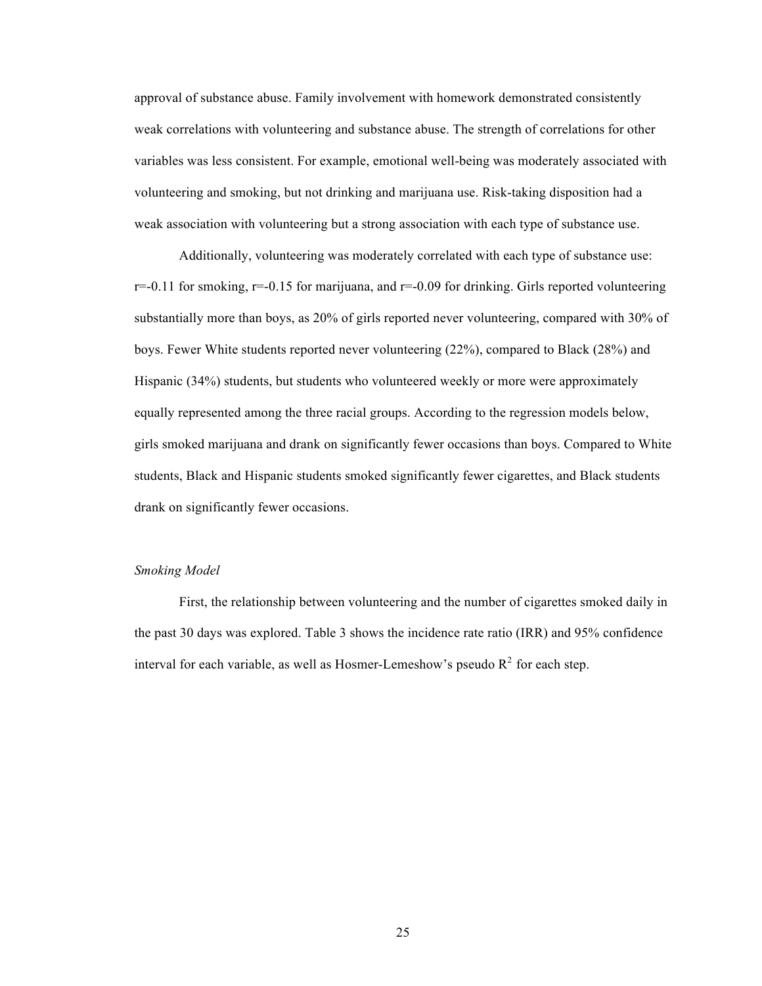approval of substance abuse. Family involvement with homework demonstrated consistently weak correlations with volunteering and substance abuse. The strength of correlations for other variables was less consistent. For example, emotional well-being was moderately associated with volunteering and smoking, but not drinking and marijuana use. Risk-taking disposition had a weak association with volunteering but a strong association with each type of substance use.

Additionally, volunteering was moderately correlated with each type of substance use:  $r=-0.11$  for smoking,  $r=-0.15$  for marijuana, and  $r=-0.09$  for drinking. Girls reported volunteering substantially more than boys, as 20% of girls reported never volunteering, compared with 30% of boys. Fewer White students reported never volunteering (22%), compared to Black (28%) and Hispanic (34%) students, but students who volunteered weekly or more were approximately equally represented among the three racial groups. According to the regression models below, girls smoked marijuana and drank on significantly fewer occasions than boys. Compared to White students, Black and Hispanic students smoked significantly fewer cigarettes, and Black students drank on significantly fewer occasions.

### *Smoking Model*

First, the relationship between volunteering and the number of cigarettes smoked daily in the past 30 days was explored. Table 3 shows the incidence rate ratio (IRR) and 95% confidence interval for each variable, as well as Hosmer-Lemeshow's pseudo  $R^2$  for each step.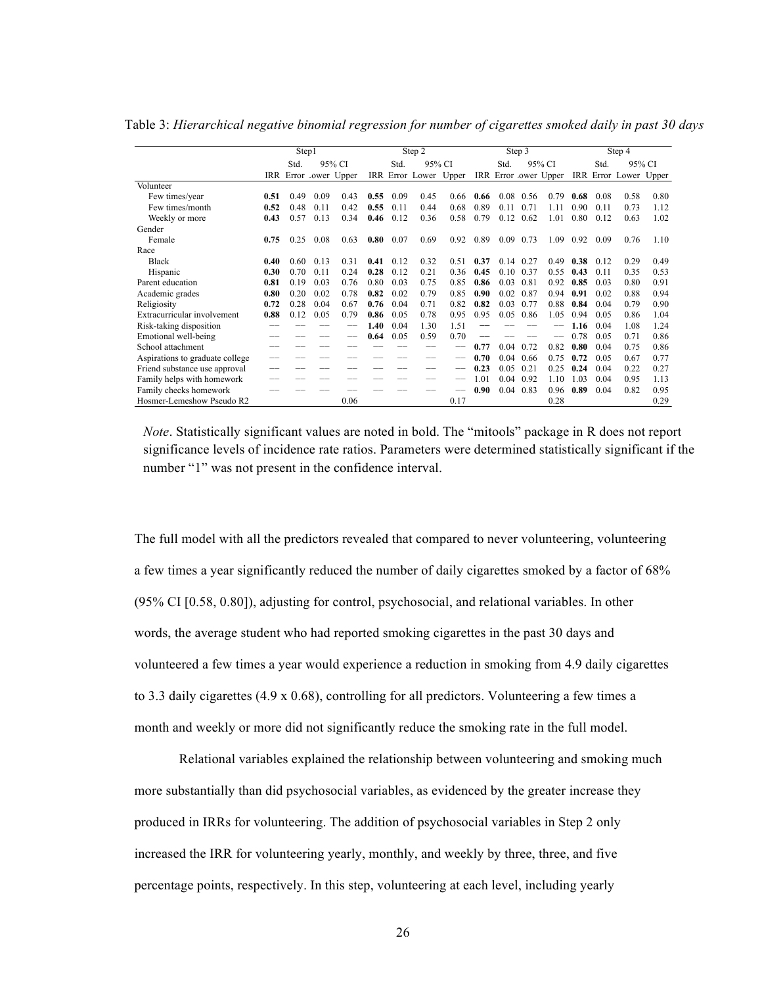Table 3: *Hierarchical negative binomial regression for number of cigarettes smoked daily in past 30 days*

|                                 | Step1          |      |      |                       |      | Step 2 |                       |      | Step 3 |      | Step 4         |                      |      |      |                       |      |
|---------------------------------|----------------|------|------|-----------------------|------|--------|-----------------------|------|--------|------|----------------|----------------------|------|------|-----------------------|------|
|                                 | 95% CI<br>Std. |      |      |                       | Std. | 95% CI | 95% CI<br>Std.        |      |        |      | Std.<br>95% CI |                      |      |      |                       |      |
|                                 |                |      |      | IRR Error Lower Upper |      |        | IRR Error Lower Upper |      |        |      |                | IRR Error ower Upper |      |      | IRR Error Lower Upper |      |
| Volunteer                       |                |      |      |                       |      |        |                       |      |        |      |                |                      |      |      |                       |      |
| Few times/year                  | 0.51           | 0.49 | 0.09 | 0.43                  | 0.55 | 0.09   | 0.45                  | 0.66 | 0.66   | 0.08 | 0.56           | 0.79                 | 0.68 | 0.08 | 0.58                  | 0.80 |
| Few times/month                 | 0.52           | 0.48 | 0.11 | 0.42                  | 0.55 | 0.11   | 0.44                  | 0.68 | 0.89   | 0.11 | 0.71           | 1.11                 | 0.90 | 0.11 | 0.73                  | 1.12 |
| Weekly or more                  | 0.43           | 0.57 | 0.13 | 0.34                  | 0.46 | 0.12   | 0.36                  | 0.58 | 0.79   | 0.12 | 0.62           | 1.01                 | 0.80 | 0.12 | 0.63                  | 1.02 |
| Gender                          |                |      |      |                       |      |        |                       |      |        |      |                |                      |      |      |                       |      |
| Female                          | 0.75           | 0.25 | 0.08 | 0.63                  | 0.80 | 0.07   | 0.69                  | 0.92 | 0.89   | 0.09 | 0.73           | 1.09                 | 0.92 | 0.09 | 0.76                  | 1.10 |
| Race                            |                |      |      |                       |      |        |                       |      |        |      |                |                      |      |      |                       |      |
| <b>Black</b>                    | 0.40           | 0.60 | 0.13 | 0.31                  | 0.41 | 0.12   | 0.32                  | 0.51 | 0.37   | 0.14 | 0.27           | 0.49                 | 0.38 | 0.12 | 0.29                  | 0.49 |
| Hispanic                        | 0.30           | 0.70 | 0.11 | 0.24                  | 0.28 | 0.12   | 0.21                  | 0.36 | 0.45   | 0.10 | 0.37           | 0.55                 | 0.43 | 0.11 | 0.35                  | 0.53 |
| Parent education                | 0.81           | 0.19 | 0.03 | 0.76                  | 0.80 | 0.03   | 0.75                  | 0.85 | 0.86   | 0.03 | 0.81           | 0.92                 | 0.85 | 0.03 | 0.80                  | 0.91 |
| Academic grades                 | 0.80           | 0.20 | 0.02 | 0.78                  | 0.82 | 0.02   | 0.79                  | 0.85 | 0.90   | 0.02 | 0.87           | 0.94                 | 0.91 | 0.02 | 0.88                  | 0.94 |
| Religiosity                     | 0.72           | 0.28 | 0.04 | 0.67                  | 0.76 | 0.04   | 0.71                  | 0.82 | 0.82   | 0.03 | 0.77           | 0.88                 | 0.84 | 0.04 | 0.79                  | 0.90 |
| Extracurricular involvement     | 0.88           | 0.12 | 0.05 | 0.79                  | 0.86 | 0.05   | 0.78                  | 0.95 | 0.95   | 0.05 | 0.86           | 1.05                 | 0.94 | 0.05 | 0.86                  | 1.04 |
| Risk-taking disposition         |                |      |      |                       | 1.40 | 0.04   | 1.30                  | 1.51 |        |      |                |                      | 1.16 | 0.04 | 1.08                  | 1.24 |
| Emotional well-being            |                |      |      |                       | 0.64 | 0.05   | 0.59                  | 0.70 |        |      |                |                      | 0.78 | 0.05 | 0.71                  | 0.86 |
| School attachment               |                |      |      |                       |      |        |                       |      | 0.77   | 0.04 | 0.72           | 0.82                 | 0.80 | 0.04 | 0.75                  | 0.86 |
| Aspirations to graduate college |                |      |      |                       |      |        |                       |      | 0.70   | 0.04 | 0.66           | 0.75                 | 0.72 | 0.05 | 0.67                  | 0.77 |
| Friend substance use approval   |                |      |      |                       |      |        |                       |      | 0.23   | 0.05 | 0.21           | 0.25                 | 0.24 | 0.04 | 0.22                  | 0.27 |
| Family helps with homework      |                |      |      |                       |      |        |                       |      | 1.01   | 0.04 | 0.92           | 1.10                 | 1.03 | 0.04 | 0.95                  | 1.13 |
| Family checks homework          |                |      |      |                       |      |        |                       |      | 0.90   |      | $0.04$ 0.83    | 0.96                 | 0.89 | 0.04 | 0.82                  | 0.95 |
| Hosmer-Lemeshow Pseudo R2       |                |      |      | 0.06                  |      |        |                       | 0.17 |        |      |                | 0.28                 |      |      |                       | 0.29 |

*Note*. Statistically significant values are noted in bold. The "mitools" package in R does not report significance levels of incidence rate ratios. Parameters were determined statistically significant if the number "1" was not present in the confidence interval.

The full model with all the predictors revealed that compared to never volunteering, volunteering a few times a year significantly reduced the number of daily cigarettes smoked by a factor of 68% (95% CI [0.58, 0.80]), adjusting for control, psychosocial, and relational variables. In other words, the average student who had reported smoking cigarettes in the past 30 days and volunteered a few times a year would experience a reduction in smoking from 4.9 daily cigarettes to 3.3 daily cigarettes (4.9 x 0.68), controlling for all predictors. Volunteering a few times a month and weekly or more did not significantly reduce the smoking rate in the full model.

Relational variables explained the relationship between volunteering and smoking much more substantially than did psychosocial variables, as evidenced by the greater increase they produced in IRRs for volunteering. The addition of psychosocial variables in Step 2 only increased the IRR for volunteering yearly, monthly, and weekly by three, three, and five percentage points, respectively. In this step, volunteering at each level, including yearly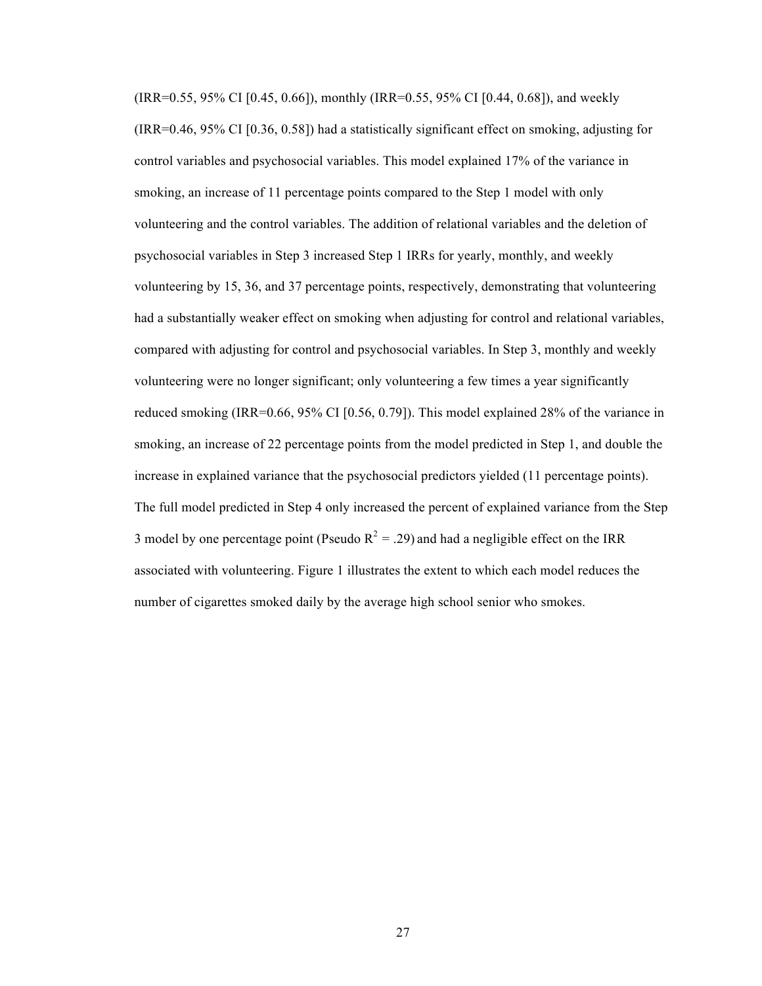(IRR=0.55, 95% CI [0.45, 0.66]), monthly (IRR=0.55, 95% CI [0.44, 0.68]), and weekly (IRR=0.46, 95% CI [0.36, 0.58]) had a statistically significant effect on smoking, adjusting for control variables and psychosocial variables. This model explained 17% of the variance in smoking, an increase of 11 percentage points compared to the Step 1 model with only volunteering and the control variables. The addition of relational variables and the deletion of psychosocial variables in Step 3 increased Step 1 IRRs for yearly, monthly, and weekly volunteering by 15, 36, and 37 percentage points, respectively, demonstrating that volunteering had a substantially weaker effect on smoking when adjusting for control and relational variables, compared with adjusting for control and psychosocial variables. In Step 3, monthly and weekly volunteering were no longer significant; only volunteering a few times a year significantly reduced smoking (IRR=0.66, 95% CI [0.56, 0.79]). This model explained 28% of the variance in smoking, an increase of 22 percentage points from the model predicted in Step 1, and double the increase in explained variance that the psychosocial predictors yielded (11 percentage points). The full model predicted in Step 4 only increased the percent of explained variance from the Step 3 model by one percentage point (Pseudo  $R^2 = .29$ ) and had a negligible effect on the IRR associated with volunteering. Figure 1 illustrates the extent to which each model reduces the number of cigarettes smoked daily by the average high school senior who smokes.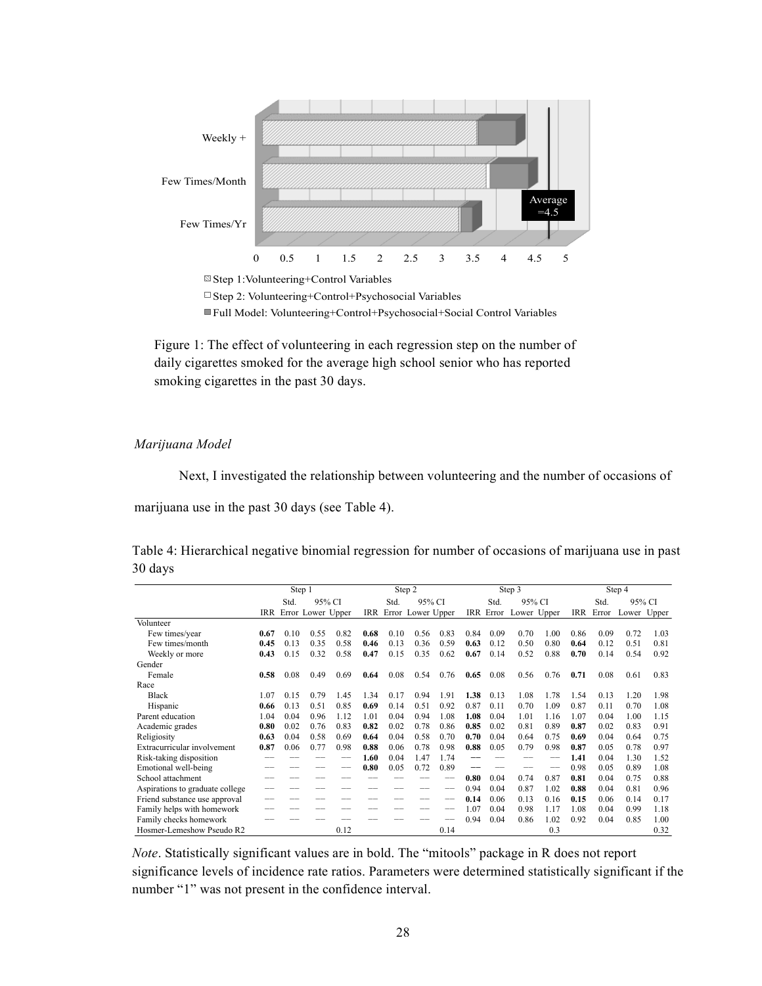

 $\Box$  Step 2: Volunteering+Control+Psychosocial Variables

Full Model: Volunteering+Control+Psychosocial+Social Control Variables

Figure 1: The effect of volunteering in each regression step on the number of daily cigarettes smoked for the average high school senior who has reported smoking cigarettes in the past 30 days.

*Marijuana Model*

Next, I investigated the relationship between volunteering and the number of occasions of

marijuana use in the past 30 days (see Table 4).

| Table 4: Hierarchical negative binomial regression for number of occasions of marijuana use in past |  |  |  |  |  |  |
|-----------------------------------------------------------------------------------------------------|--|--|--|--|--|--|
| 30 days                                                                                             |  |  |  |  |  |  |

|                                 | Step 1         |      |      |                       |      | Step 2 |                   |      |      |        | Step 3                |                | Step 4 |       |             |      |
|---------------------------------|----------------|------|------|-----------------------|------|--------|-------------------|------|------|--------|-----------------------|----------------|--------|-------|-------------|------|
|                                 | 95% CI<br>Std. |      |      |                       | Std. | 95% CI |                   |      | Std. | 95% CI |                       | 95% CI<br>Std. |        |       |             |      |
|                                 |                |      |      | IRR Error Lower Upper | IRR  |        | Error Lower Upper |      |      |        | IRR Error Lower Upper |                | IRR    | Error | Lower Upper |      |
| Volunteer                       |                |      |      |                       |      |        |                   |      |      |        |                       |                |        |       |             |      |
| Few times/year                  | 0.67           | 0.10 | 0.55 | 0.82                  | 0.68 | 0.10   | 0.56              | 0.83 | 0.84 | 0.09   | 0.70                  | 1.00           | 0.86   | 0.09  | 0.72        | 1.03 |
| Few times/month                 | 0.45           | 0.13 | 0.35 | 0.58                  | 0.46 | 0.13   | 0.36              | 0.59 | 0.63 | 0.12   | 0.50                  | 0.80           | 0.64   | 0.12  | 0.51        | 0.81 |
| Weekly or more                  | 0.43           | 0.15 | 0.32 | 0.58                  | 0.47 | 0.15   | 0.35              | 0.62 | 0.67 | 0.14   | 0.52                  | 0.88           | 0.70   | 0.14  | 0.54        | 0.92 |
| Gender                          |                |      |      |                       |      |        |                   |      |      |        |                       |                |        |       |             |      |
| Female                          | 0.58           | 0.08 | 0.49 | 0.69                  | 0.64 | 0.08   | 0.54              | 0.76 | 0.65 | 0.08   | 0.56                  | 0.76           | 0.71   | 0.08  | 0.61        | 0.83 |
| Race                            |                |      |      |                       |      |        |                   |      |      |        |                       |                |        |       |             |      |
| <b>Black</b>                    | 1.07           | 0.15 | 0.79 | 1.45                  | 1.34 | 0.17   | 0.94              | 1.91 | 1.38 | 0.13   | 1.08                  | 1.78           | 1.54   | 0.13  | 1.20        | 1.98 |
| Hispanic                        | 0.66           | 0.13 | 0.51 | 0.85                  | 0.69 | 0.14   | 0.51              | 0.92 | 0.87 | 0.11   | 0.70                  | 1.09           | 0.87   | 0.11  | 0.70        | 1.08 |
| Parent education                | 1.04           | 0.04 | 0.96 | 1.12                  | 1.01 | 0.04   | 0.94              | 1.08 | 1.08 | 0.04   | 1.01                  | 1.16           | 1.07   | 0.04  | 1.00        | 1.15 |
| Academic grades                 | 0.80           | 0.02 | 0.76 | 0.83                  | 0.82 | 0.02   | 0.78              | 0.86 | 0.85 | 0.02   | 0.81                  | 0.89           | 0.87   | 0.02  | 0.83        | 0.91 |
| Religiosity                     | 0.63           | 0.04 | 0.58 | 0.69                  | 0.64 | 0.04   | 0.58              | 0.70 | 0.70 | 0.04   | 0.64                  | 0.75           | 0.69   | 0.04  | 0.64        | 0.75 |
| Extracurricular involvement     | 0.87           | 0.06 | 0.77 | 0.98                  | 0.88 | 0.06   | 0.78              | 0.98 | 0.88 | 0.05   | 0.79                  | 0.98           | 0.87   | 0.05  | 0.78        | 0.97 |
| Risk-taking disposition         |                |      |      |                       | 1.60 | 0.04   | 1.47              | 1.74 |      |        |                       |                | 1.41   | 0.04  | 1.30        | 1.52 |
| Emotional well-being            |                |      |      |                       | 0.80 | 0.05   | 0.72              | 0.89 |      |        |                       |                | 0.98   | 0.05  | 0.89        | 1.08 |
| School attachment               |                |      |      |                       |      |        |                   |      | 0.80 | 0.04   | 0.74                  | 0.87           | 0.81   | 0.04  | 0.75        | 0.88 |
| Aspirations to graduate college |                |      |      |                       |      |        |                   |      | 0.94 | 0.04   | 0.87                  | 1.02           | 0.88   | 0.04  | 0.81        | 0.96 |
| Friend substance use approval   |                |      |      |                       |      |        |                   |      | 0.14 | 0.06   | 0.13                  | 0.16           | 0.15   | 0.06  | 0.14        | 0.17 |
| Family helps with homework      |                |      |      |                       |      |        |                   |      | 1.07 | 0.04   | 0.98                  | 1.17           | 1.08   | 0.04  | 0.99        | 1.18 |
| Family checks homework          |                |      |      |                       |      |        |                   |      | 0.94 | 0.04   | 0.86                  | 1.02           | 0.92   | 0.04  | 0.85        | 1.00 |
| Hosmer-Lemeshow Pseudo R2       |                |      |      | 0.12                  |      |        |                   | 0.14 |      |        |                       | 0.3            |        |       |             | 0.32 |

*Note*. Statistically significant values are in bold. The "mitools" package in R does not report significance levels of incidence rate ratios. Parameters were determined statistically significant if the number "1" was not present in the confidence interval.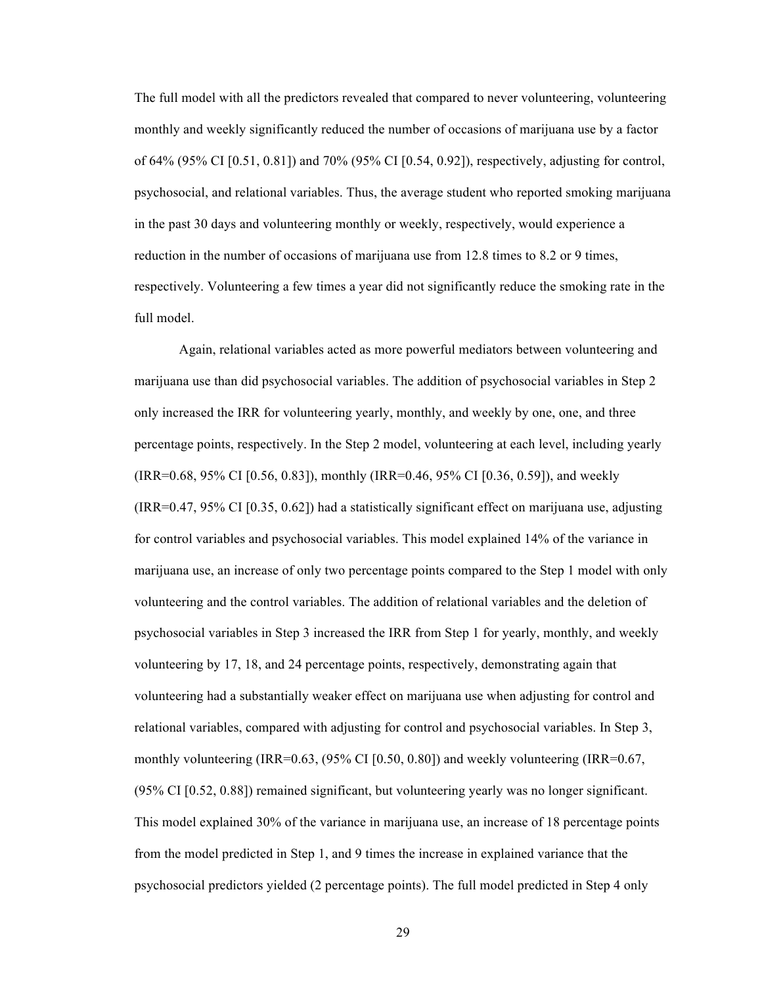The full model with all the predictors revealed that compared to never volunteering, volunteering monthly and weekly significantly reduced the number of occasions of marijuana use by a factor of 64% (95% CI [0.51, 0.81]) and 70% (95% CI [0.54, 0.92]), respectively, adjusting for control, psychosocial, and relational variables. Thus, the average student who reported smoking marijuana in the past 30 days and volunteering monthly or weekly, respectively, would experience a reduction in the number of occasions of marijuana use from 12.8 times to 8.2 or 9 times, respectively. Volunteering a few times a year did not significantly reduce the smoking rate in the full model.

Again, relational variables acted as more powerful mediators between volunteering and marijuana use than did psychosocial variables. The addition of psychosocial variables in Step 2 only increased the IRR for volunteering yearly, monthly, and weekly by one, one, and three percentage points, respectively. In the Step 2 model, volunteering at each level, including yearly (IRR=0.68, 95% CI [0.56, 0.83]), monthly (IRR=0.46, 95% CI [0.36, 0.59]), and weekly (IRR=0.47, 95% CI [0.35, 0.62]) had a statistically significant effect on marijuana use, adjusting for control variables and psychosocial variables. This model explained 14% of the variance in marijuana use, an increase of only two percentage points compared to the Step 1 model with only volunteering and the control variables. The addition of relational variables and the deletion of psychosocial variables in Step 3 increased the IRR from Step 1 for yearly, monthly, and weekly volunteering by 17, 18, and 24 percentage points, respectively, demonstrating again that volunteering had a substantially weaker effect on marijuana use when adjusting for control and relational variables, compared with adjusting for control and psychosocial variables. In Step 3, monthly volunteering (IRR=0.63,  $(95\% \text{ CI} [0.50, 0.80])$  and weekly volunteering (IRR=0.67, (95% CI [0.52, 0.88]) remained significant, but volunteering yearly was no longer significant. This model explained 30% of the variance in marijuana use, an increase of 18 percentage points from the model predicted in Step 1, and 9 times the increase in explained variance that the psychosocial predictors yielded (2 percentage points). The full model predicted in Step 4 only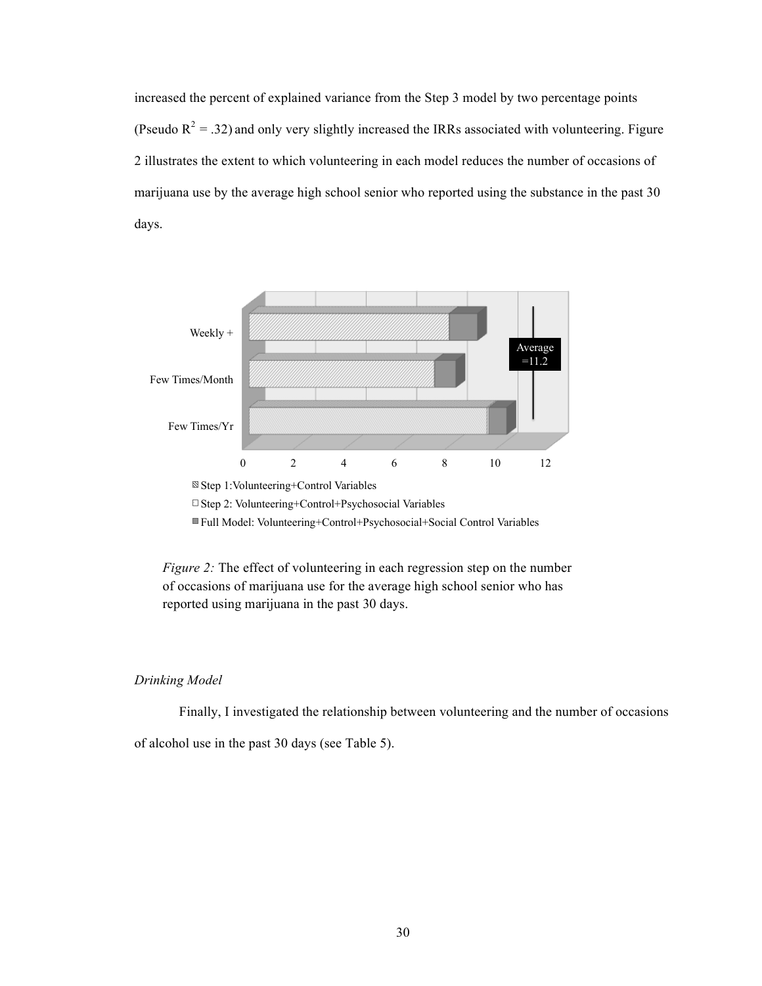increased the percent of explained variance from the Step 3 model by two percentage points (Pseudo  $R^2 = .32$ ) and only very slightly increased the IRRs associated with volunteering. Figure 2 illustrates the extent to which volunteering in each model reduces the number of occasions of marijuana use by the average high school senior who reported using the substance in the past 30 days.



Step 2: Volunteering+Control+Psychosocial Variables

Full Model: Volunteering+Control+Psychosocial+Social Control Variables

*Figure 2:* The effect of volunteering in each regression step on the number of occasions of marijuana use for the average high school senior who has reported using marijuana in the past 30 days.

#### *Drinking Model*

Finally, I investigated the relationship between volunteering and the number of occasions

of alcohol use in the past 30 days (see Table 5).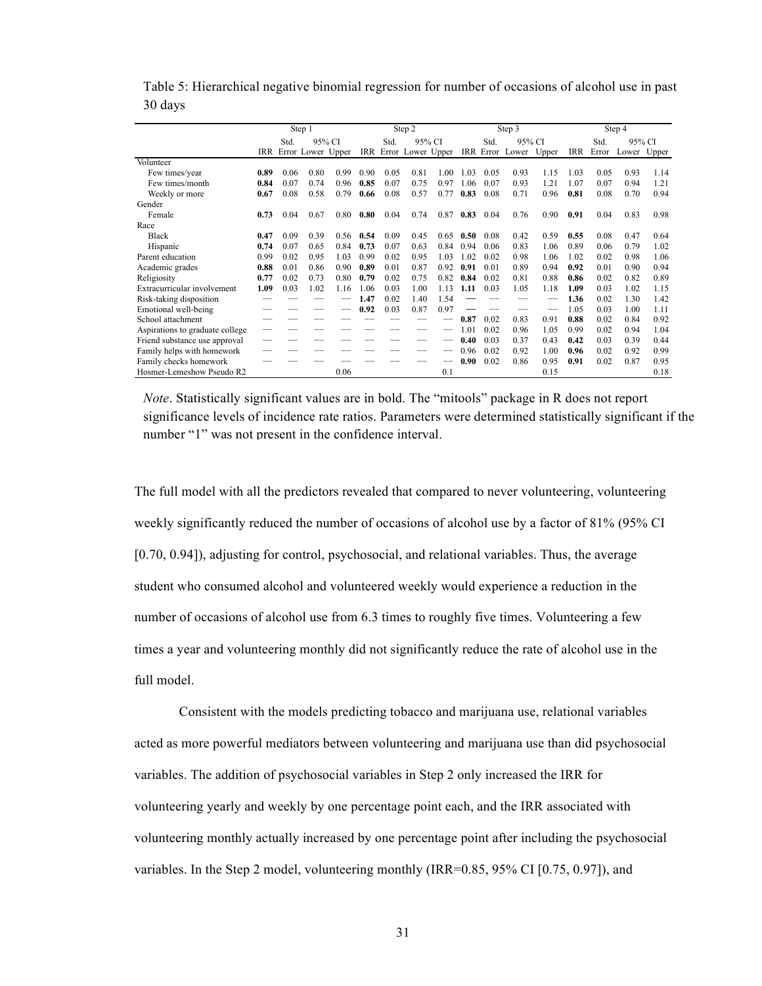|                                 | Step 1         |      |                       |      |      |        | Step 2                |      |      |        | Step 3          |       | Step 4 |        |             |      |
|---------------------------------|----------------|------|-----------------------|------|------|--------|-----------------------|------|------|--------|-----------------|-------|--------|--------|-------------|------|
|                                 | 95% CI<br>Std. |      |                       |      | Std. | 95% CI |                       |      | Std. | 95% CI |                 |       | Std.   | 95% CI |             |      |
|                                 |                |      | IRR Error Lower Upper |      |      |        | IRR Error Lower Upper |      |      |        | IRR Error Lower | Upper | IRR    | Error  | Lower Upper |      |
| Volunteer                       |                |      |                       |      |      |        |                       |      |      |        |                 |       |        |        |             |      |
| Few times/year                  | 0.89           | 0.06 | 0.80                  | 0.99 | 0.90 | 0.05   | 0.81                  | 1.00 | 1.03 | 0.05   | 0.93            | 1.15  | 1.03   | 0.05   | 0.93        | 1.14 |
| Few times/month                 | 0.84           | 0.07 | 0.74                  | 0.96 | 0.85 | 0.07   | 0.75                  | 0.97 | 1.06 | 0.07   | 0.93            | 1.21  | 1.07   | 0.07   | 0.94        | 1.21 |
| Weekly or more                  | 0.67           | 0.08 | 0.58                  | 0.79 | 0.66 | 0.08   | 0.57                  | 0.77 | 0.83 | 0.08   | 0.71            | 0.96  | 0.81   | 0.08   | 0.70        | 0.94 |
| Gender                          |                |      |                       |      |      |        |                       |      |      |        |                 |       |        |        |             |      |
| Female                          | 0.73           | 0.04 | 0.67                  | 0.80 | 0.80 | 0.04   | 0.74                  | 0.87 | 0.83 | 0.04   | 0.76            | 0.90  | 0.91   | 0.04   | 0.83        | 0.98 |
| Race                            |                |      |                       |      |      |        |                       |      |      |        |                 |       |        |        |             |      |
| <b>Black</b>                    | 0.47           | 0.09 | 0.39                  | 0.56 | 0.54 | 0.09   | 0.45                  | 0.65 | 0.50 | 0.08   | 0.42            | 0.59  | 0.55   | 0.08   | 0.47        | 0.64 |
| Hispanic                        | 0.74           | 0.07 | 0.65                  | 0.84 | 0.73 | 0.07   | 0.63                  | 0.84 | 0.94 | 0.06   | 0.83            | 1.06  | 0.89   | 0.06   | 0.79        | 1.02 |
| Parent education                | 0.99           | 0.02 | 0.95                  | 1.03 | 0.99 | 0.02   | 0.95                  | 1.03 | 1.02 | 0.02   | 0.98            | 1.06  | 1.02   | 0.02   | 0.98        | 1.06 |
| Academic grades                 | 0.88           | 0.01 | 0.86                  | 0.90 | 0.89 | 0.01   | 0.87                  | 0.92 | 0.91 | 0.01   | 0.89            | 0.94  | 0.92   | 0.01   | 0.90        | 0.94 |
| Religiosity                     | 0.77           | 0.02 | 0.73                  | 0.80 | 0.79 | 0.02   | 0.75                  | 0.82 | 0.84 | 0.02   | 0.81            | 0.88  | 0.86   | 0.02   | 0.82        | 0.89 |
| Extracurricular involvement     | 1.09           | 0.03 | 1.02                  | 1.16 | 1.06 | 0.03   | 1.00                  | 1.13 | 1.11 | 0.03   | 1.05            | 1.18  | 1.09   | 0.03   | 1.02        | 1.15 |
| Risk-taking disposition         |                |      |                       |      | 1.47 | 0.02   | 1.40                  | 1.54 |      |        |                 |       | 1.36   | 0.02   | 1.30        | 1.42 |
| Emotional well-being            |                |      |                       |      | 0.92 | 0.03   | 0.87                  | 0.97 |      |        |                 |       | 1.05   | 0.03   | 1.00        | 1.11 |
| School attachment               |                |      |                       |      |      |        |                       |      | 0.87 | 0.02   | 0.83            | 0.91  | 0.88   | 0.02   | 0.84        | 0.92 |
| Aspirations to graduate college |                |      |                       |      |      |        |                       |      | 1.01 | 0.02   | 0.96            | 1.05  | 0.99   | 0.02   | 0.94        | 1.04 |
| Friend substance use approval   |                |      |                       |      |      |        |                       |      | 0.40 | 0.03   | 0.37            | 0.43  | 0.42   | 0.03   | 0.39        | 0.44 |
| Family helps with homework      |                |      |                       |      |      |        |                       |      | 0.96 | 0.02   | 0.92            | 1.00  | 0.96   | 0.02   | 0.92        | 0.99 |
| Family checks homework          |                |      |                       |      |      |        |                       |      | 0.90 | 0.02   | 0.86            | 0.95  | 0.91   | 0.02   | 0.87        | 0.95 |
| Hosmer-Lemeshow Pseudo R2       |                |      |                       | 0.06 |      |        |                       | 0.1  |      |        |                 | 0.15  |        |        |             | 0.18 |

Table 5: Hierarchical negative binomial regression for number of occasions of alcohol use in past 30 days

*Note*. Statistically significant values are in bold. The "mitools" package in R does not report significance levels of incidence rate ratios. Parameters were determined statistically significant if the number "1" was not present in the confidence interval.

The full model with all the predictors revealed that compared to never volunteering, volunteering weekly significantly reduced the number of occasions of alcohol use by a factor of 81% (95% CI [0.70, 0.94]), adjusting for control, psychosocial, and relational variables. Thus, the average student who consumed alcohol and volunteered weekly would experience a reduction in the number of occasions of alcohol use from 6.3 times to roughly five times. Volunteering a few times a year and volunteering monthly did not significantly reduce the rate of alcohol use in the full model.

Consistent with the models predicting tobacco and marijuana use, relational variables acted as more powerful mediators between volunteering and marijuana use than did psychosocial variables. The addition of psychosocial variables in Step 2 only increased the IRR for volunteering yearly and weekly by one percentage point each, and the IRR associated with volunteering monthly actually increased by one percentage point after including the psychosocial variables. In the Step 2 model, volunteering monthly (IRR=0.85, 95% CI [0.75, 0.97]), and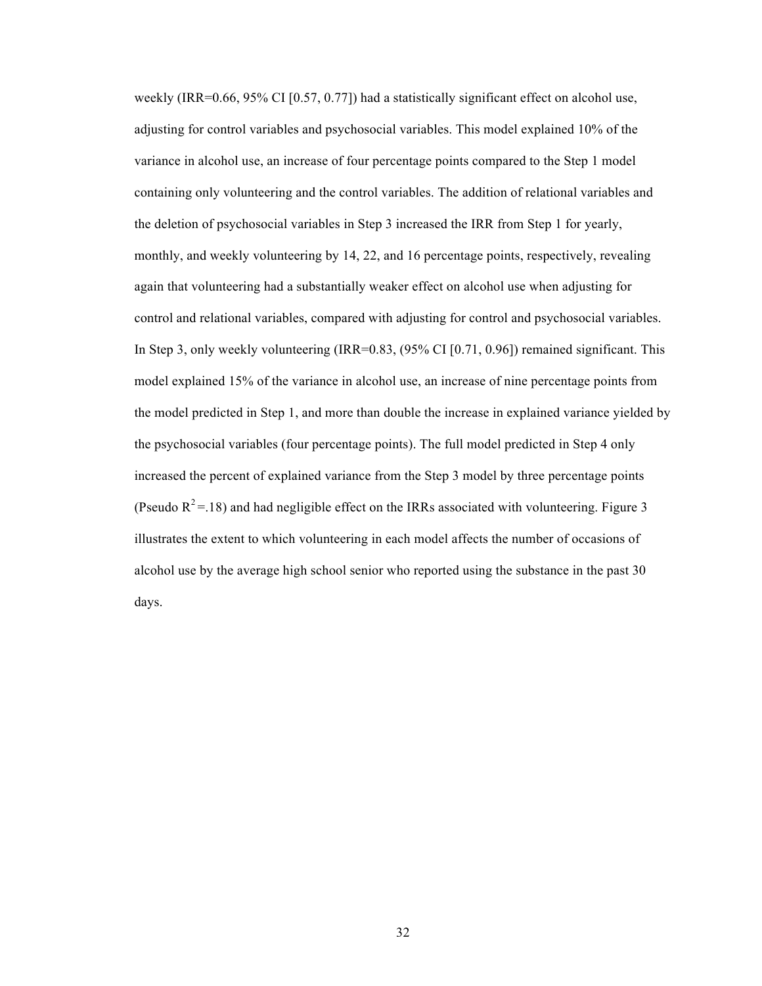weekly (IRR=0.66, 95% CI [0.57, 0.77]) had a statistically significant effect on alcohol use, adjusting for control variables and psychosocial variables. This model explained 10% of the variance in alcohol use, an increase of four percentage points compared to the Step 1 model containing only volunteering and the control variables. The addition of relational variables and the deletion of psychosocial variables in Step 3 increased the IRR from Step 1 for yearly, monthly, and weekly volunteering by 14, 22, and 16 percentage points, respectively, revealing again that volunteering had a substantially weaker effect on alcohol use when adjusting for control and relational variables, compared with adjusting for control and psychosocial variables. In Step 3, only weekly volunteering (IRR=0.83, (95% CI [0.71, 0.96]) remained significant. This model explained 15% of the variance in alcohol use, an increase of nine percentage points from the model predicted in Step 1, and more than double the increase in explained variance yielded by the psychosocial variables (four percentage points). The full model predicted in Step 4 only increased the percent of explained variance from the Step 3 model by three percentage points (Pseudo  $R^2$  = 18) and had negligible effect on the IRRs associated with volunteering. Figure 3 illustrates the extent to which volunteering in each model affects the number of occasions of alcohol use by the average high school senior who reported using the substance in the past 30 days.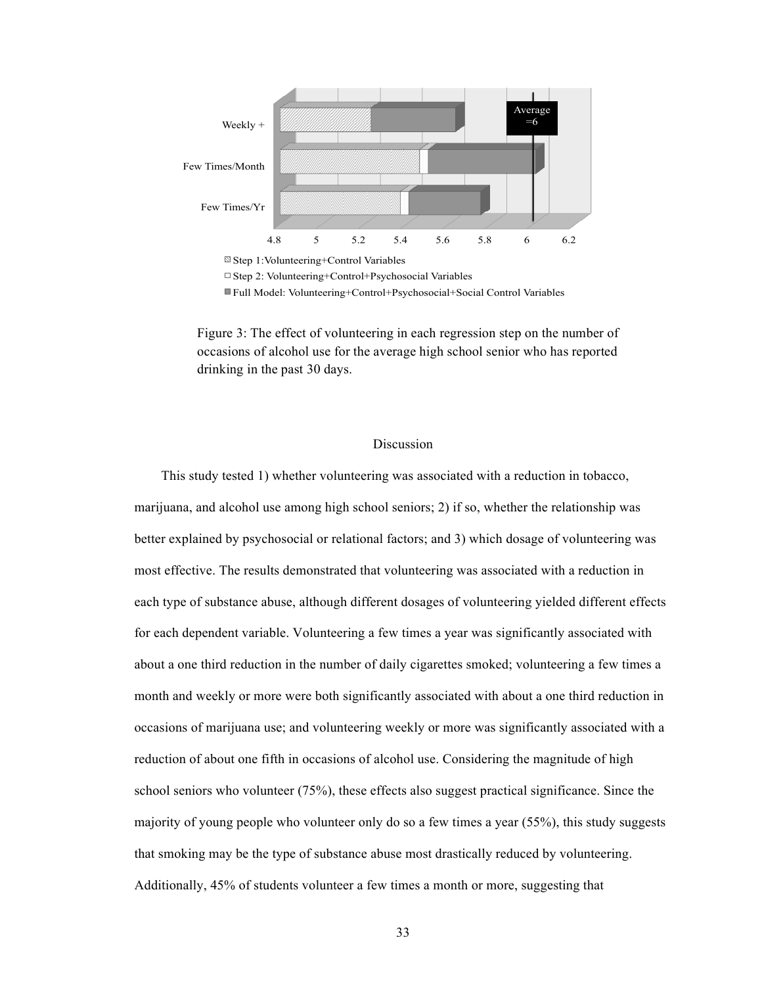

Full Model: Volunteering+Control+Psychosocial+Social Control Variables

Figure 3: The effect of volunteering in each regression step on the number of occasions of alcohol use for the average high school senior who has reported drinking in the past 30 days.

#### Discussion

This study tested 1) whether volunteering was associated with a reduction in tobacco, marijuana, and alcohol use among high school seniors; 2) if so, whether the relationship was better explained by psychosocial or relational factors; and 3) which dosage of volunteering was most effective. The results demonstrated that volunteering was associated with a reduction in each type of substance abuse, although different dosages of volunteering yielded different effects for each dependent variable. Volunteering a few times a year was significantly associated with about a one third reduction in the number of daily cigarettes smoked; volunteering a few times a month and weekly or more were both significantly associated with about a one third reduction in occasions of marijuana use; and volunteering weekly or more was significantly associated with a reduction of about one fifth in occasions of alcohol use. Considering the magnitude of high school seniors who volunteer (75%), these effects also suggest practical significance. Since the majority of young people who volunteer only do so a few times a year (55%), this study suggests that smoking may be the type of substance abuse most drastically reduced by volunteering. Additionally, 45% of students volunteer a few times a month or more, suggesting that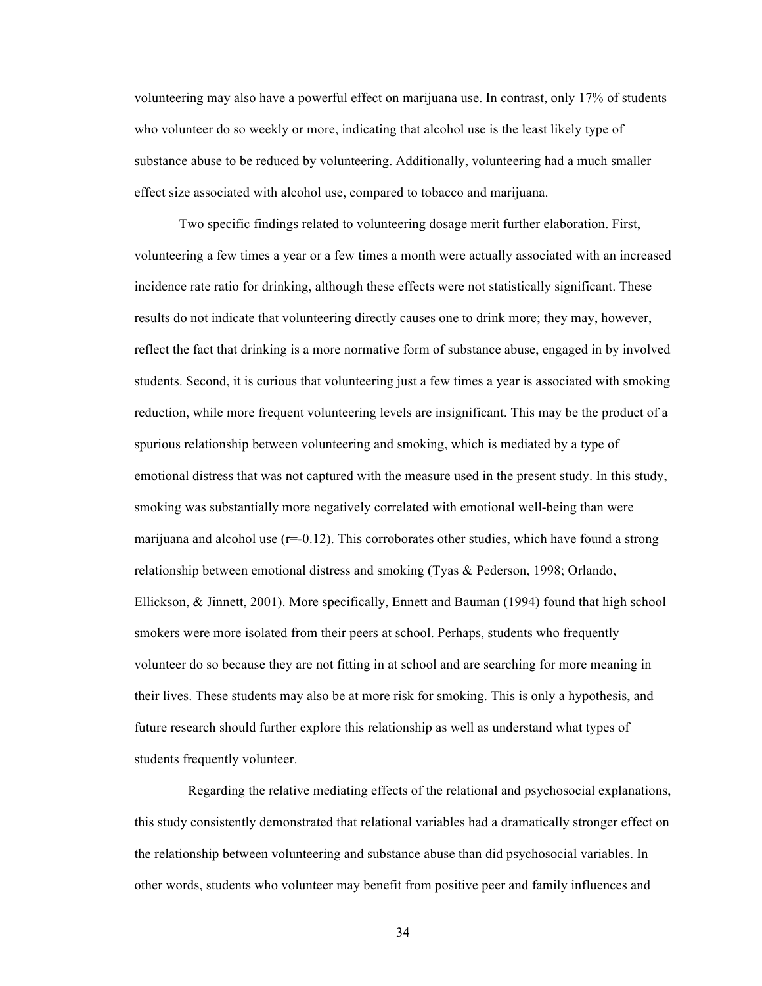volunteering may also have a powerful effect on marijuana use. In contrast, only 17% of students who volunteer do so weekly or more, indicating that alcohol use is the least likely type of substance abuse to be reduced by volunteering. Additionally, volunteering had a much smaller effect size associated with alcohol use, compared to tobacco and marijuana.

Two specific findings related to volunteering dosage merit further elaboration. First, volunteering a few times a year or a few times a month were actually associated with an increased incidence rate ratio for drinking, although these effects were not statistically significant. These results do not indicate that volunteering directly causes one to drink more; they may, however, reflect the fact that drinking is a more normative form of substance abuse, engaged in by involved students. Second, it is curious that volunteering just a few times a year is associated with smoking reduction, while more frequent volunteering levels are insignificant. This may be the product of a spurious relationship between volunteering and smoking, which is mediated by a type of emotional distress that was not captured with the measure used in the present study. In this study, smoking was substantially more negatively correlated with emotional well-being than were marijuana and alcohol use  $(r=-0.12)$ . This corroborates other studies, which have found a strong relationship between emotional distress and smoking (Tyas & Pederson, 1998; Orlando, Ellickson, & Jinnett, 2001). More specifically, Ennett and Bauman (1994) found that high school smokers were more isolated from their peers at school. Perhaps, students who frequently volunteer do so because they are not fitting in at school and are searching for more meaning in their lives. These students may also be at more risk for smoking. This is only a hypothesis, and future research should further explore this relationship as well as understand what types of students frequently volunteer.

Regarding the relative mediating effects of the relational and psychosocial explanations, this study consistently demonstrated that relational variables had a dramatically stronger effect on the relationship between volunteering and substance abuse than did psychosocial variables. In other words, students who volunteer may benefit from positive peer and family influences and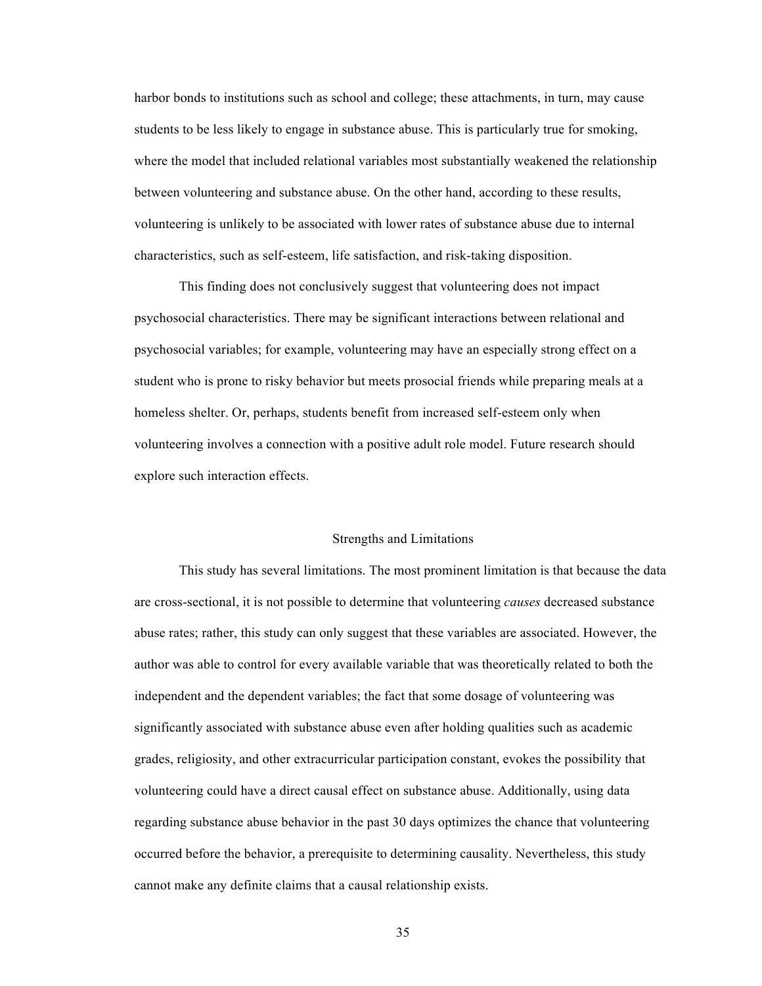harbor bonds to institutions such as school and college; these attachments, in turn, may cause students to be less likely to engage in substance abuse. This is particularly true for smoking, where the model that included relational variables most substantially weakened the relationship between volunteering and substance abuse. On the other hand, according to these results, volunteering is unlikely to be associated with lower rates of substance abuse due to internal characteristics, such as self-esteem, life satisfaction, and risk-taking disposition.

This finding does not conclusively suggest that volunteering does not impact psychosocial characteristics. There may be significant interactions between relational and psychosocial variables; for example, volunteering may have an especially strong effect on a student who is prone to risky behavior but meets prosocial friends while preparing meals at a homeless shelter. Or, perhaps, students benefit from increased self-esteem only when volunteering involves a connection with a positive adult role model. Future research should explore such interaction effects.

#### Strengths and Limitations

This study has several limitations. The most prominent limitation is that because the data are cross-sectional, it is not possible to determine that volunteering *causes* decreased substance abuse rates; rather, this study can only suggest that these variables are associated. However, the author was able to control for every available variable that was theoretically related to both the independent and the dependent variables; the fact that some dosage of volunteering was significantly associated with substance abuse even after holding qualities such as academic grades, religiosity, and other extracurricular participation constant, evokes the possibility that volunteering could have a direct causal effect on substance abuse. Additionally, using data regarding substance abuse behavior in the past 30 days optimizes the chance that volunteering occurred before the behavior, a prerequisite to determining causality. Nevertheless, this study cannot make any definite claims that a causal relationship exists.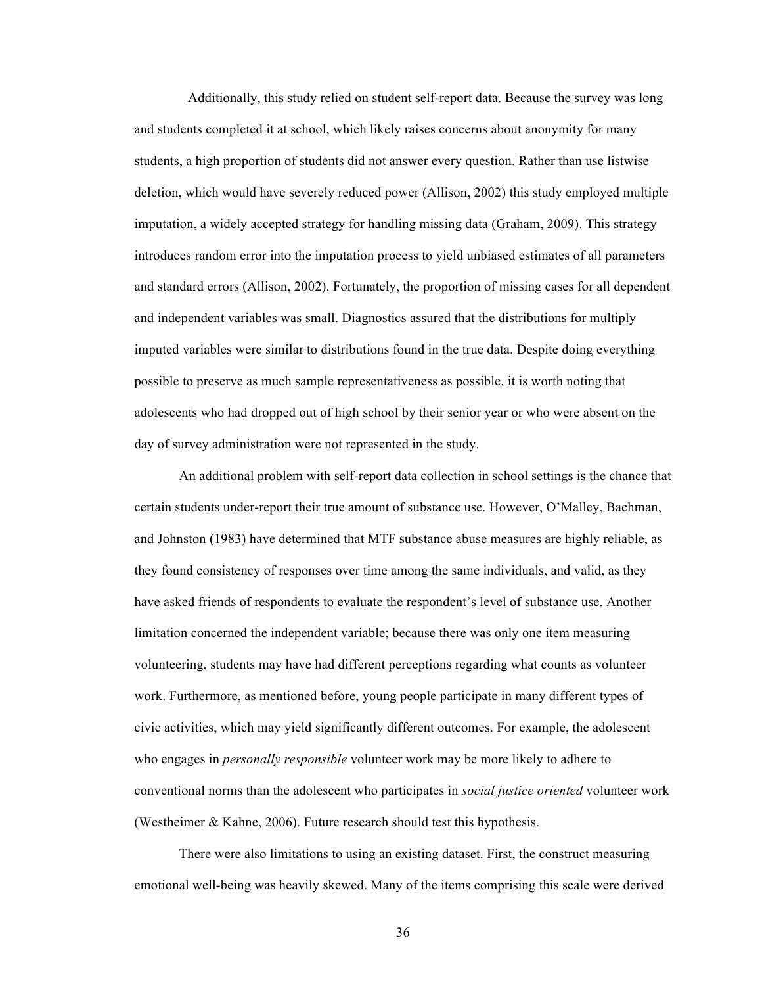Additionally, this study relied on student self-report data. Because the survey was long and students completed it at school, which likely raises concerns about anonymity for many students, a high proportion of students did not answer every question. Rather than use listwise deletion, which would have severely reduced power (Allison, 2002) this study employed multiple imputation, a widely accepted strategy for handling missing data (Graham, 2009). This strategy introduces random error into the imputation process to yield unbiased estimates of all parameters and standard errors (Allison, 2002). Fortunately, the proportion of missing cases for all dependent and independent variables was small. Diagnostics assured that the distributions for multiply imputed variables were similar to distributions found in the true data. Despite doing everything possible to preserve as much sample representativeness as possible, it is worth noting that adolescents who had dropped out of high school by their senior year or who were absent on the day of survey administration were not represented in the study.

An additional problem with self-report data collection in school settings is the chance that certain students under-report their true amount of substance use. However, O'Malley, Bachman, and Johnston (1983) have determined that MTF substance abuse measures are highly reliable, as they found consistency of responses over time among the same individuals, and valid, as they have asked friends of respondents to evaluate the respondent's level of substance use. Another limitation concerned the independent variable; because there was only one item measuring volunteering, students may have had different perceptions regarding what counts as volunteer work. Furthermore, as mentioned before, young people participate in many different types of civic activities, which may yield significantly different outcomes. For example, the adolescent who engages in *personally responsible* volunteer work may be more likely to adhere to conventional norms than the adolescent who participates in *social justice oriented* volunteer work (Westheimer & Kahne, 2006). Future research should test this hypothesis.

There were also limitations to using an existing dataset. First, the construct measuring emotional well-being was heavily skewed. Many of the items comprising this scale were derived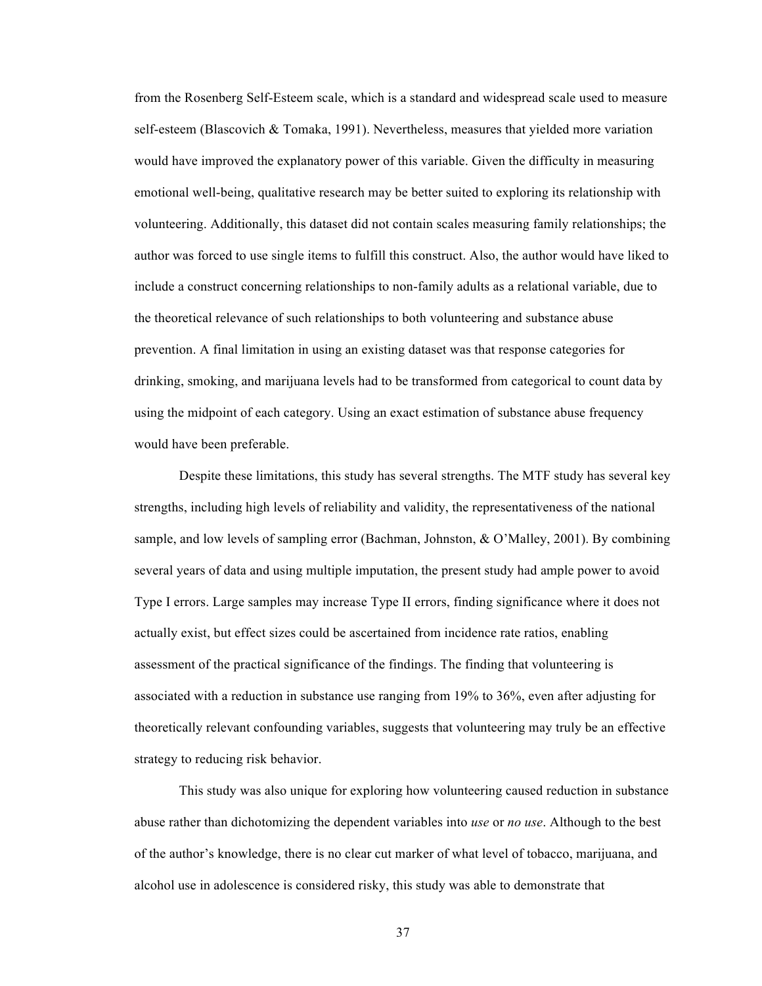from the Rosenberg Self-Esteem scale, which is a standard and widespread scale used to measure self-esteem (Blascovich & Tomaka, 1991). Nevertheless, measures that yielded more variation would have improved the explanatory power of this variable. Given the difficulty in measuring emotional well-being, qualitative research may be better suited to exploring its relationship with volunteering. Additionally, this dataset did not contain scales measuring family relationships; the author was forced to use single items to fulfill this construct. Also, the author would have liked to include a construct concerning relationships to non-family adults as a relational variable, due to the theoretical relevance of such relationships to both volunteering and substance abuse prevention. A final limitation in using an existing dataset was that response categories for drinking, smoking, and marijuana levels had to be transformed from categorical to count data by using the midpoint of each category. Using an exact estimation of substance abuse frequency would have been preferable.

Despite these limitations, this study has several strengths. The MTF study has several key strengths, including high levels of reliability and validity, the representativeness of the national sample, and low levels of sampling error (Bachman, Johnston, & O'Malley, 2001). By combining several years of data and using multiple imputation, the present study had ample power to avoid Type I errors. Large samples may increase Type II errors, finding significance where it does not actually exist, but effect sizes could be ascertained from incidence rate ratios, enabling assessment of the practical significance of the findings. The finding that volunteering is associated with a reduction in substance use ranging from 19% to 36%, even after adjusting for theoretically relevant confounding variables, suggests that volunteering may truly be an effective strategy to reducing risk behavior.

This study was also unique for exploring how volunteering caused reduction in substance abuse rather than dichotomizing the dependent variables into *use* or *no use*. Although to the best of the author's knowledge, there is no clear cut marker of what level of tobacco, marijuana, and alcohol use in adolescence is considered risky, this study was able to demonstrate that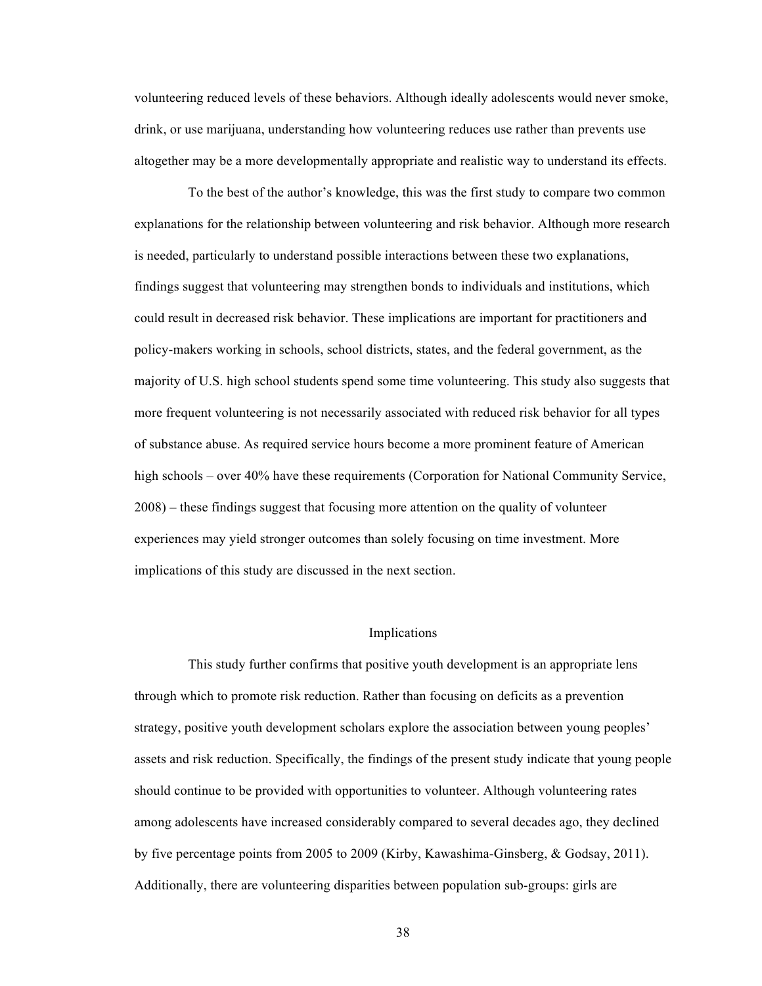volunteering reduced levels of these behaviors. Although ideally adolescents would never smoke, drink, or use marijuana, understanding how volunteering reduces use rather than prevents use altogether may be a more developmentally appropriate and realistic way to understand its effects.

To the best of the author's knowledge, this was the first study to compare two common explanations for the relationship between volunteering and risk behavior. Although more research is needed, particularly to understand possible interactions between these two explanations, findings suggest that volunteering may strengthen bonds to individuals and institutions, which could result in decreased risk behavior. These implications are important for practitioners and policy-makers working in schools, school districts, states, and the federal government, as the majority of U.S. high school students spend some time volunteering. This study also suggests that more frequent volunteering is not necessarily associated with reduced risk behavior for all types of substance abuse. As required service hours become a more prominent feature of American high schools – over 40% have these requirements (Corporation for National Community Service, 2008) – these findings suggest that focusing more attention on the quality of volunteer experiences may yield stronger outcomes than solely focusing on time investment. More implications of this study are discussed in the next section.

#### Implications

This study further confirms that positive youth development is an appropriate lens through which to promote risk reduction. Rather than focusing on deficits as a prevention strategy, positive youth development scholars explore the association between young peoples' assets and risk reduction. Specifically, the findings of the present study indicate that young people should continue to be provided with opportunities to volunteer. Although volunteering rates among adolescents have increased considerably compared to several decades ago, they declined by five percentage points from 2005 to 2009 (Kirby, Kawashima-Ginsberg, & Godsay, 2011). Additionally, there are volunteering disparities between population sub-groups: girls are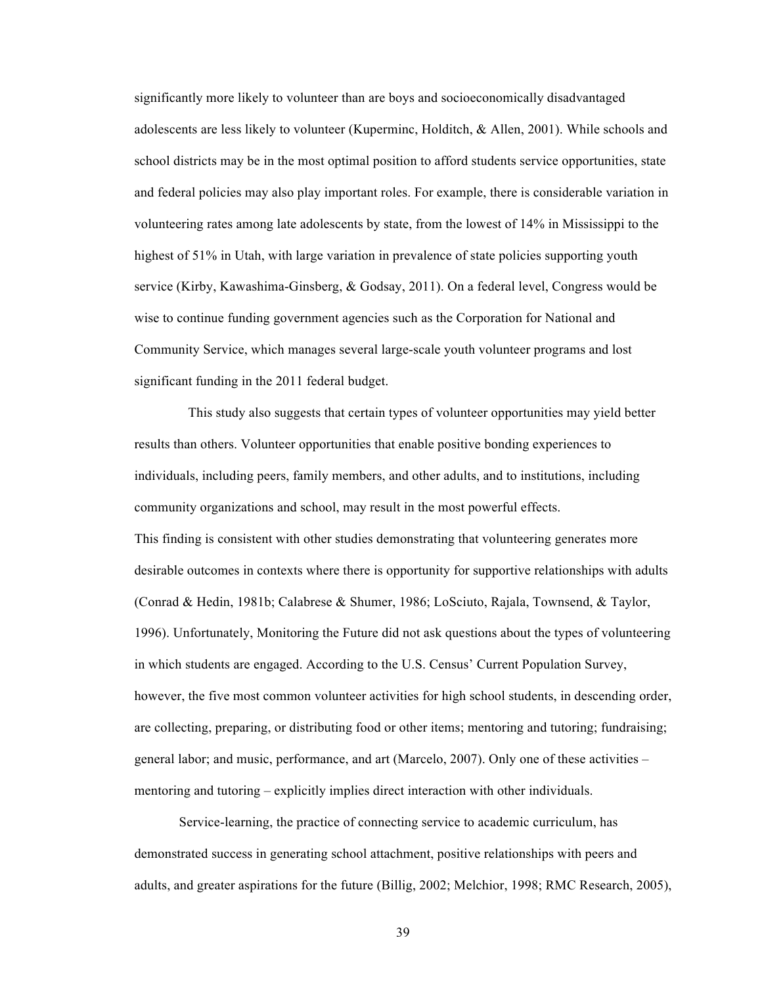significantly more likely to volunteer than are boys and socioeconomically disadvantaged adolescents are less likely to volunteer (Kuperminc, Holditch, & Allen, 2001). While schools and school districts may be in the most optimal position to afford students service opportunities, state and federal policies may also play important roles. For example, there is considerable variation in volunteering rates among late adolescents by state, from the lowest of 14% in Mississippi to the highest of 51% in Utah, with large variation in prevalence of state policies supporting youth service (Kirby, Kawashima-Ginsberg, & Godsay, 2011). On a federal level, Congress would be wise to continue funding government agencies such as the Corporation for National and Community Service, which manages several large-scale youth volunteer programs and lost significant funding in the 2011 federal budget.

This study also suggests that certain types of volunteer opportunities may yield better results than others. Volunteer opportunities that enable positive bonding experiences to individuals, including peers, family members, and other adults, and to institutions, including community organizations and school, may result in the most powerful effects. This finding is consistent with other studies demonstrating that volunteering generates more desirable outcomes in contexts where there is opportunity for supportive relationships with adults (Conrad & Hedin, 1981b; Calabrese & Shumer, 1986; LoSciuto, Rajala, Townsend, & Taylor, 1996). Unfortunately, Monitoring the Future did not ask questions about the types of volunteering in which students are engaged. According to the U.S. Census' Current Population Survey, however, the five most common volunteer activities for high school students, in descending order, are collecting, preparing, or distributing food or other items; mentoring and tutoring; fundraising; general labor; and music, performance, and art (Marcelo, 2007). Only one of these activities – mentoring and tutoring – explicitly implies direct interaction with other individuals.

Service-learning, the practice of connecting service to academic curriculum, has demonstrated success in generating school attachment, positive relationships with peers and adults, and greater aspirations for the future (Billig, 2002; Melchior, 1998; RMC Research, 2005),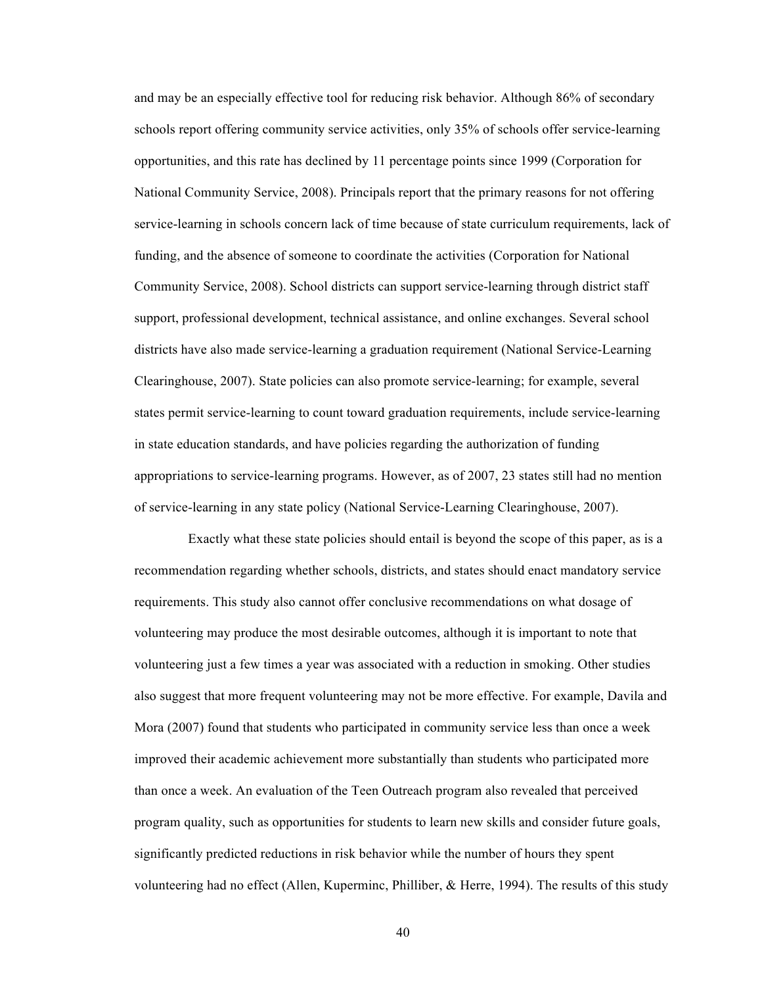and may be an especially effective tool for reducing risk behavior. Although 86% of secondary schools report offering community service activities, only 35% of schools offer service-learning opportunities, and this rate has declined by 11 percentage points since 1999 (Corporation for National Community Service, 2008). Principals report that the primary reasons for not offering service-learning in schools concern lack of time because of state curriculum requirements, lack of funding, and the absence of someone to coordinate the activities (Corporation for National Community Service, 2008). School districts can support service-learning through district staff support, professional development, technical assistance, and online exchanges. Several school districts have also made service-learning a graduation requirement (National Service-Learning Clearinghouse, 2007). State policies can also promote service-learning; for example, several states permit service-learning to count toward graduation requirements, include service-learning in state education standards, and have policies regarding the authorization of funding appropriations to service-learning programs. However, as of 2007, 23 states still had no mention of service-learning in any state policy (National Service-Learning Clearinghouse, 2007).

Exactly what these state policies should entail is beyond the scope of this paper, as is a recommendation regarding whether schools, districts, and states should enact mandatory service requirements. This study also cannot offer conclusive recommendations on what dosage of volunteering may produce the most desirable outcomes, although it is important to note that volunteering just a few times a year was associated with a reduction in smoking. Other studies also suggest that more frequent volunteering may not be more effective. For example, Davila and Mora (2007) found that students who participated in community service less than once a week improved their academic achievement more substantially than students who participated more than once a week. An evaluation of the Teen Outreach program also revealed that perceived program quality, such as opportunities for students to learn new skills and consider future goals, significantly predicted reductions in risk behavior while the number of hours they spent volunteering had no effect (Allen, Kuperminc, Philliber, & Herre, 1994). The results of this study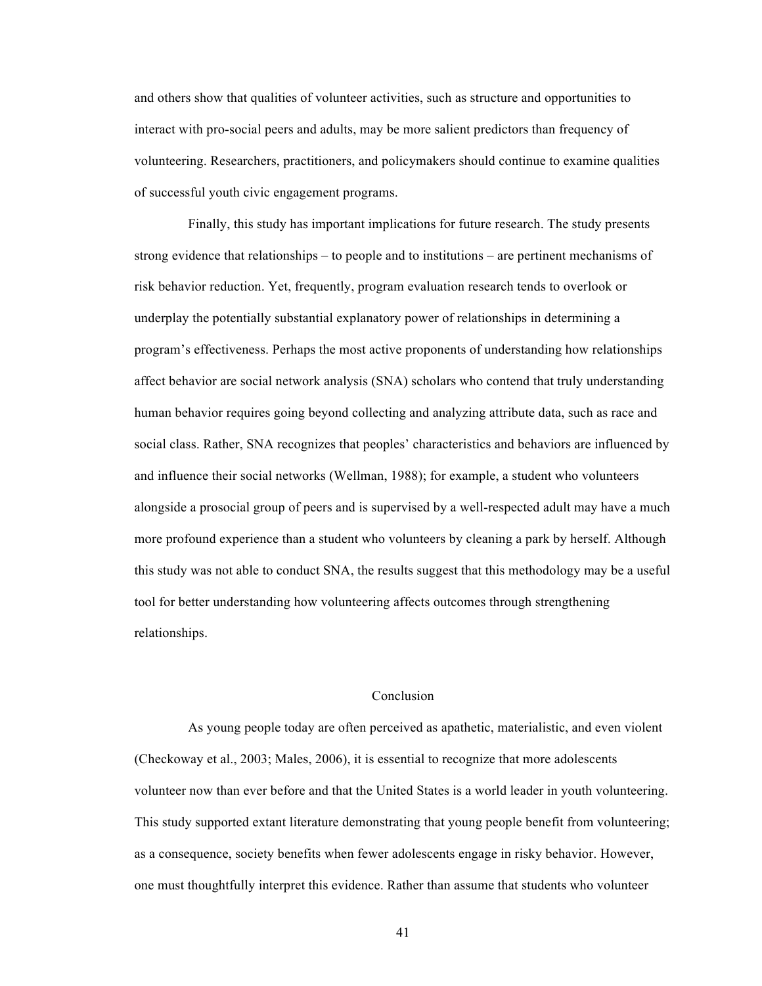and others show that qualities of volunteer activities, such as structure and opportunities to interact with pro-social peers and adults, may be more salient predictors than frequency of volunteering. Researchers, practitioners, and policymakers should continue to examine qualities of successful youth civic engagement programs.

Finally, this study has important implications for future research. The study presents strong evidence that relationships – to people and to institutions – are pertinent mechanisms of risk behavior reduction. Yet, frequently, program evaluation research tends to overlook or underplay the potentially substantial explanatory power of relationships in determining a program's effectiveness. Perhaps the most active proponents of understanding how relationships affect behavior are social network analysis (SNA) scholars who contend that truly understanding human behavior requires going beyond collecting and analyzing attribute data, such as race and social class. Rather, SNA recognizes that peoples' characteristics and behaviors are influenced by and influence their social networks (Wellman, 1988); for example, a student who volunteers alongside a prosocial group of peers and is supervised by a well-respected adult may have a much more profound experience than a student who volunteers by cleaning a park by herself. Although this study was not able to conduct SNA, the results suggest that this methodology may be a useful tool for better understanding how volunteering affects outcomes through strengthening relationships.

#### Conclusion

As young people today are often perceived as apathetic, materialistic, and even violent (Checkoway et al., 2003; Males, 2006), it is essential to recognize that more adolescents volunteer now than ever before and that the United States is a world leader in youth volunteering. This study supported extant literature demonstrating that young people benefit from volunteering; as a consequence, society benefits when fewer adolescents engage in risky behavior. However, one must thoughtfully interpret this evidence. Rather than assume that students who volunteer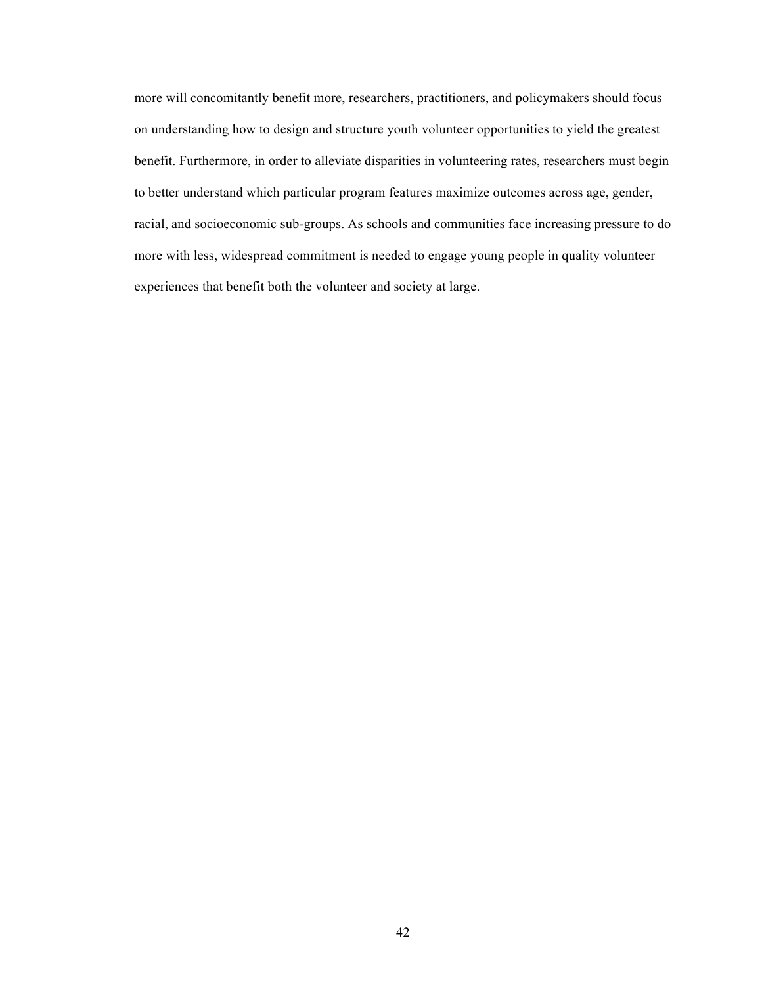more will concomitantly benefit more, researchers, practitioners, and policymakers should focus on understanding how to design and structure youth volunteer opportunities to yield the greatest benefit. Furthermore, in order to alleviate disparities in volunteering rates, researchers must begin to better understand which particular program features maximize outcomes across age, gender, racial, and socioeconomic sub-groups. As schools and communities face increasing pressure to do more with less, widespread commitment is needed to engage young people in quality volunteer experiences that benefit both the volunteer and society at large.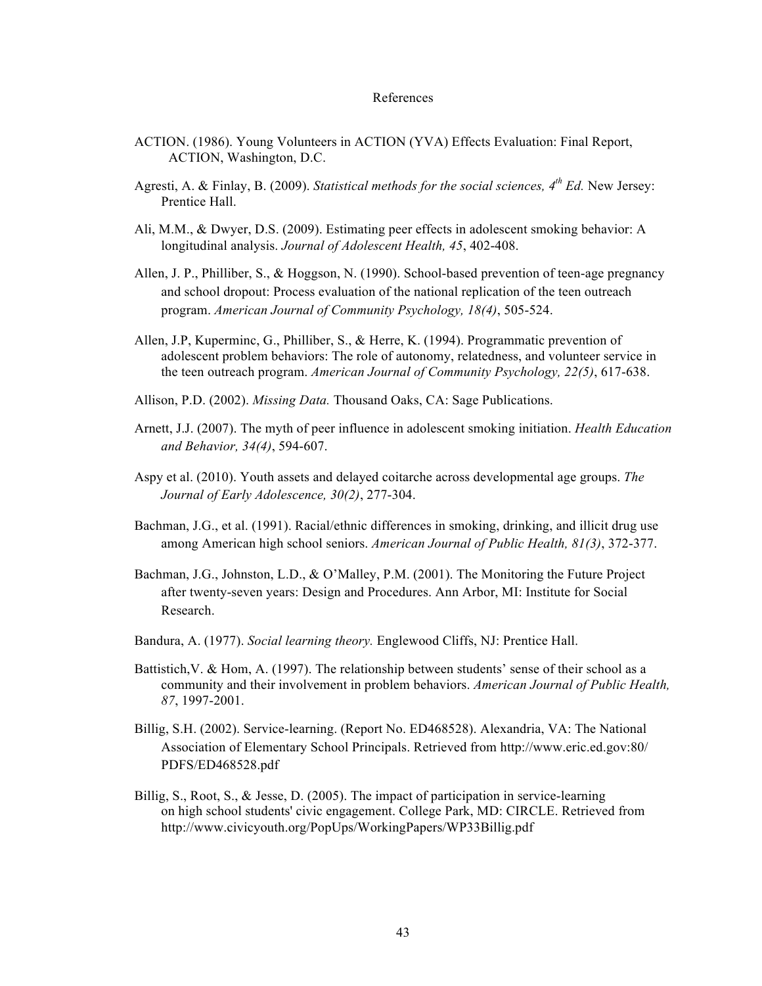#### References

- ACTION. (1986). Young Volunteers in ACTION (YVA) Effects Evaluation: Final Report, ACTION, Washington, D.C.
- Agresti, A. & Finlay, B. (2009). *Statistical methods for the social sciences, 4th Ed.* New Jersey: Prentice Hall.
- Ali, M.M., & Dwyer, D.S. (2009). Estimating peer effects in adolescent smoking behavior: A longitudinal analysis. *Journal of Adolescent Health, 45*, 402-408.
- Allen, J. P., Philliber, S., & Hoggson, N. (1990). School-based prevention of teen-age pregnancy and school dropout: Process evaluation of the national replication of the teen outreach program. *American Journal of Community Psychology, 18(4)*, 505-524.
- Allen, J.P, Kuperminc, G., Philliber, S., & Herre, K. (1994). Programmatic prevention of adolescent problem behaviors: The role of autonomy, relatedness, and volunteer service in the teen outreach program. *American Journal of Community Psychology, 22(5)*, 617-638.
- Allison, P.D. (2002). *Missing Data.* Thousand Oaks, CA: Sage Publications.
- Arnett, J.J. (2007). The myth of peer influence in adolescent smoking initiation. *Health Education and Behavior, 34(4)*, 594-607.
- Aspy et al. (2010). Youth assets and delayed coitarche across developmental age groups. *The Journal of Early Adolescence, 30(2)*, 277-304.
- Bachman, J.G., et al. (1991). Racial/ethnic differences in smoking, drinking, and illicit drug use among American high school seniors. *American Journal of Public Health, 81(3)*, 372-377.
- Bachman, J.G., Johnston, L.D., & O'Malley, P.M. (2001). The Monitoring the Future Project after twenty-seven years: Design and Procedures. Ann Arbor, MI: Institute for Social Research.
- Bandura, A. (1977). *Social learning theory.* Englewood Cliffs, NJ: Prentice Hall.
- Battistich,V. & Hom, A. (1997). The relationship between students' sense of their school as a community and their involvement in problem behaviors. *American Journal of Public Health, 87*, 1997-2001.
- Billig, S.H. (2002). Service-learning. (Report No. ED468528). Alexandria, VA: The National Association of Elementary School Principals. Retrieved from http://www.eric.ed.gov:80/ PDFS/ED468528.pdf
- Billig, S., Root, S., & Jesse, D. (2005). The impact of participation in service-learning on high school students' civic engagement. College Park, MD: CIRCLE. Retrieved from http://www.civicyouth.org/PopUps/WorkingPapers/WP33Billig.pdf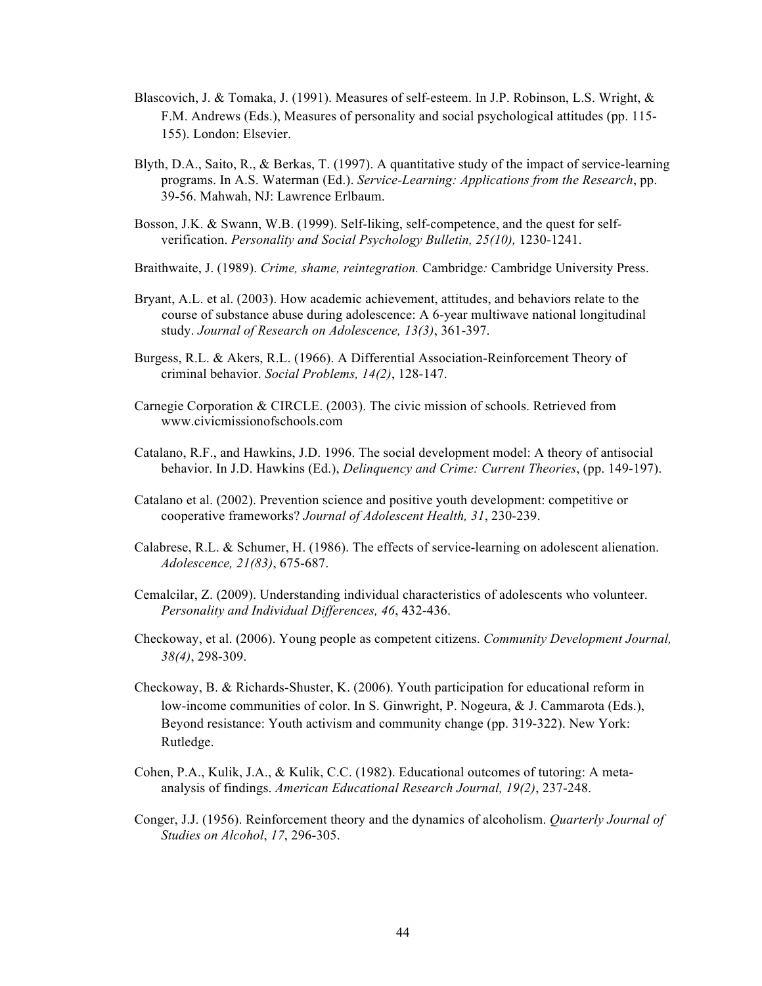- Blascovich, J. & Tomaka, J. (1991). Measures of self-esteem. In J.P. Robinson, L.S. Wright, & F.M. Andrews (Eds.), Measures of personality and social psychological attitudes (pp. 115- 155). London: Elsevier.
- Blyth, D.A., Saito, R., & Berkas, T. (1997). A quantitative study of the impact of service-learning programs. In A.S. Waterman (Ed.). *Service-Learning: Applications from the Research*, pp. 39-56. Mahwah, NJ: Lawrence Erlbaum.
- Bosson, J.K. & Swann, W.B. (1999). Self-liking, self-competence, and the quest for selfverification. *Personality and Social Psychology Bulletin, 25(10),* 1230-1241.
- Braithwaite, J. (1989). *Crime, shame, reintegration.* Cambridge*:* Cambridge University Press.
- Bryant, A.L. et al. (2003). How academic achievement, attitudes, and behaviors relate to the course of substance abuse during adolescence: A 6-year multiwave national longitudinal study. *Journal of Research on Adolescence, 13(3)*, 361-397.
- Burgess, R.L. & Akers, R.L. (1966). A Differential Association-Reinforcement Theory of criminal behavior. *Social Problems, 14(2)*, 128-147.
- Carnegie Corporation & CIRCLE. (2003). The civic mission of schools. Retrieved from www.civicmissionofschools.com
- Catalano, R.F., and Hawkins, J.D. 1996. The social development model: A theory of antisocial behavior. In J.D. Hawkins (Ed.), *Delinquency and Crime: Current Theories*, (pp. 149-197).
- Catalano et al. (2002). Prevention science and positive youth development: competitive or cooperative frameworks? *Journal of Adolescent Health, 31*, 230-239.
- Calabrese, R.L. & Schumer, H. (1986). The effects of service-learning on adolescent alienation. *Adolescence, 21(83)*, 675-687.
- Cemalcilar, Z. (2009). Understanding individual characteristics of adolescents who volunteer. *Personality and Individual Differences, 46*, 432-436.
- Checkoway, et al. (2006). Young people as competent citizens. *Community Development Journal, 38(4)*, 298-309.
- Checkoway, B. & Richards-Shuster, K. (2006). Youth participation for educational reform in low-income communities of color. In S. Ginwright, P. Nogeura, & J. Cammarota (Eds.), Beyond resistance: Youth activism and community change (pp. 319-322). New York: Rutledge.
- Cohen, P.A., Kulik, J.A., & Kulik, C.C. (1982). Educational outcomes of tutoring: A metaanalysis of findings. *American Educational Research Journal, 19(2)*, 237-248.
- Conger, J.J. (1956). Reinforcement theory and the dynamics of alcoholism. *Quarterly Journal of Studies on Alcohol*, *17*, 296-305.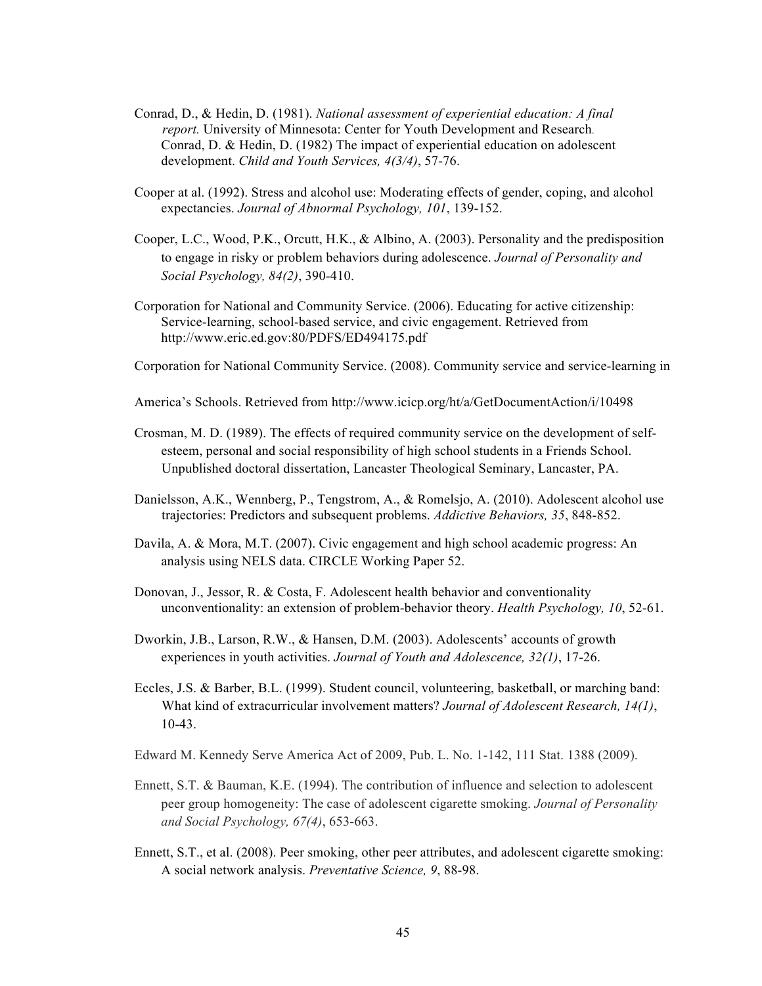- Conrad, D., & Hedin, D. (1981). *National assessment of experiential education: A final report.* University of Minnesota: Center for Youth Development and Research. Conrad, D. & Hedin, D. (1982) The impact of experiential education on adolescent development. *Child and Youth Services, 4(3/4)*, 57-76.
- Cooper at al. (1992). Stress and alcohol use: Moderating effects of gender, coping, and alcohol expectancies. *Journal of Abnormal Psychology, 101*, 139-152.
- Cooper, L.C., Wood, P.K., Orcutt, H.K., & Albino, A. (2003). Personality and the predisposition to engage in risky or problem behaviors during adolescence. *Journal of Personality and Social Psychology, 84(2)*, 390-410.
- Corporation for National and Community Service. (2006). Educating for active citizenship: Service-learning, school-based service, and civic engagement. Retrieved from http://www.eric.ed.gov:80/PDFS/ED494175.pdf
- Corporation for National Community Service. (2008). Community service and service-learning in
- America's Schools. Retrieved from http://www.icicp.org/ht/a/GetDocumentAction/i/10498
- Crosman, M. D. (1989). The effects of required community service on the development of self esteem, personal and social responsibility of high school students in a Friends School. Unpublished doctoral dissertation, Lancaster Theological Seminary, Lancaster, PA.
- Danielsson, A.K., Wennberg, P., Tengstrom, A., & Romelsjo, A. (2010). Adolescent alcohol use trajectories: Predictors and subsequent problems. *Addictive Behaviors, 35*, 848-852.
- Davila, A. & Mora, M.T. (2007). Civic engagement and high school academic progress: An analysis using NELS data. CIRCLE Working Paper 52.
- Donovan, J., Jessor, R. & Costa, F. Adolescent health behavior and conventionality unconventionality: an extension of problem-behavior theory. *Health Psychology, 10*, 52-61.
- Dworkin, J.B., Larson, R.W., & Hansen, D.M. (2003). Adolescents' accounts of growth experiences in youth activities. *Journal of Youth and Adolescence, 32(1)*, 17-26.
- Eccles, J.S. & Barber, B.L. (1999). Student council, volunteering, basketball, or marching band: What kind of extracurricular involvement matters? *Journal of Adolescent Research, 14(1)*, 10-43.
- Edward M. Kennedy Serve America Act of 2009, Pub. L. No. 1-142, 111 Stat. 1388 (2009).
- Ennett, S.T. & Bauman, K.E. (1994). The contribution of influence and selection to adolescent peer group homogeneity: The case of adolescent cigarette smoking. *Journal of Personality and Social Psychology, 67(4)*, 653-663.
- Ennett, S.T., et al. (2008). Peer smoking, other peer attributes, and adolescent cigarette smoking: A social network analysis. *Preventative Science, 9*, 88-98.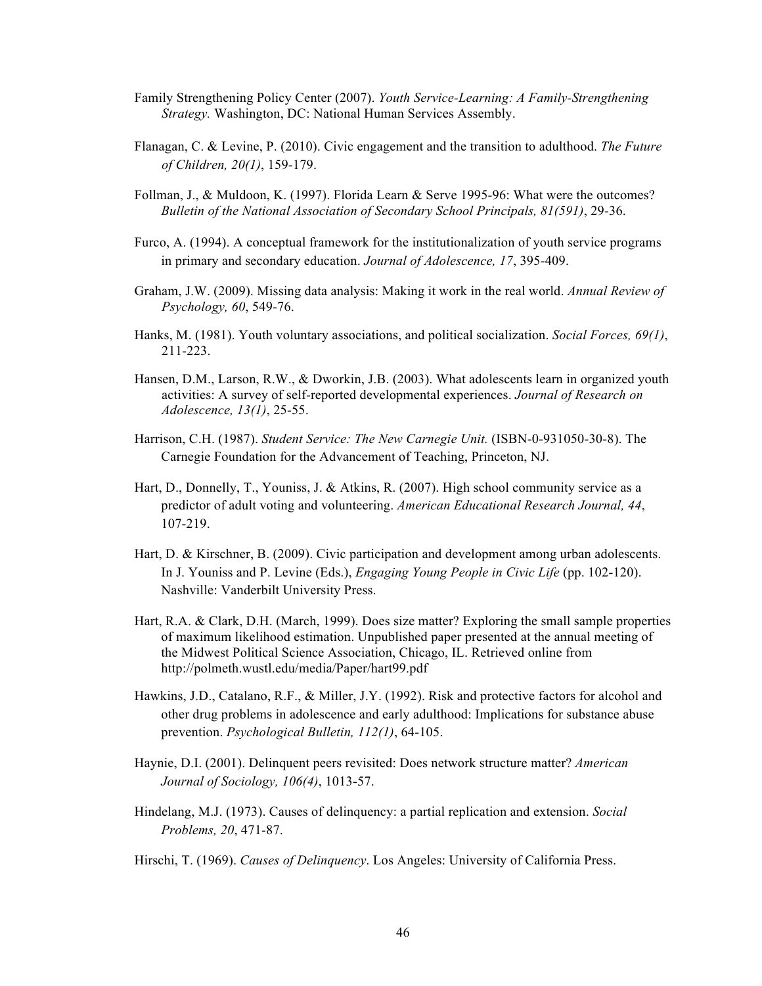- Family Strengthening Policy Center (2007). *Youth Service-Learning: A Family-Strengthening Strategy.* Washington, DC: National Human Services Assembly.
- Flanagan, C. & Levine, P. (2010). Civic engagement and the transition to adulthood. *The Future of Children, 20(1)*, 159-179.
- Follman, J., & Muldoon, K. (1997). Florida Learn & Serve 1995-96: What were the outcomes? *Bulletin of the National Association of Secondary School Principals, 81(591)*, 29-36.
- Furco, A. (1994). A conceptual framework for the institutionalization of youth service programs in primary and secondary education. *Journal of Adolescence, 17*, 395-409.
- Graham, J.W. (2009). Missing data analysis: Making it work in the real world. *Annual Review of Psychology, 60*, 549-76.
- Hanks, M. (1981). Youth voluntary associations, and political socialization. *Social Forces, 69(1)*, 211-223.
- Hansen, D.M., Larson, R.W., & Dworkin, J.B. (2003). What adolescents learn in organized youth activities: A survey of self-reported developmental experiences. *Journal of Research on Adolescence, 13(1)*, 25-55.
- Harrison, C.H. (1987). *Student Service: The New Carnegie Unit.* (ISBN-0-931050-30-8). The Carnegie Foundation for the Advancement of Teaching, Princeton, NJ.
- Hart, D., Donnelly, T., Youniss, J. & Atkins, R. (2007). High school community service as a predictor of adult voting and volunteering. *American Educational Research Journal, 44*, 107-219.
- Hart, D. & Kirschner, B. (2009). Civic participation and development among urban adolescents. In J. Youniss and P. Levine (Eds.), *Engaging Young People in Civic Life* (pp. 102-120). Nashville: Vanderbilt University Press.
- Hart, R.A. & Clark, D.H. (March, 1999). Does size matter? Exploring the small sample properties of maximum likelihood estimation. Unpublished paper presented at the annual meeting of the Midwest Political Science Association, Chicago, IL. Retrieved online from http://polmeth.wustl.edu/media/Paper/hart99.pdf
- Hawkins, J.D., Catalano, R.F., & Miller, J.Y. (1992). Risk and protective factors for alcohol and other drug problems in adolescence and early adulthood: Implications for substance abuse prevention. *Psychological Bulletin, 112(1)*, 64-105.
- Haynie, D.I. (2001). Delinquent peers revisited: Does network structure matter? *American Journal of Sociology, 106(4)*, 1013-57.
- Hindelang, M.J. (1973). Causes of delinquency: a partial replication and extension. *Social Problems, 20*, 471-87.
- Hirschi, T. (1969). *Causes of Delinquency*. Los Angeles: University of California Press.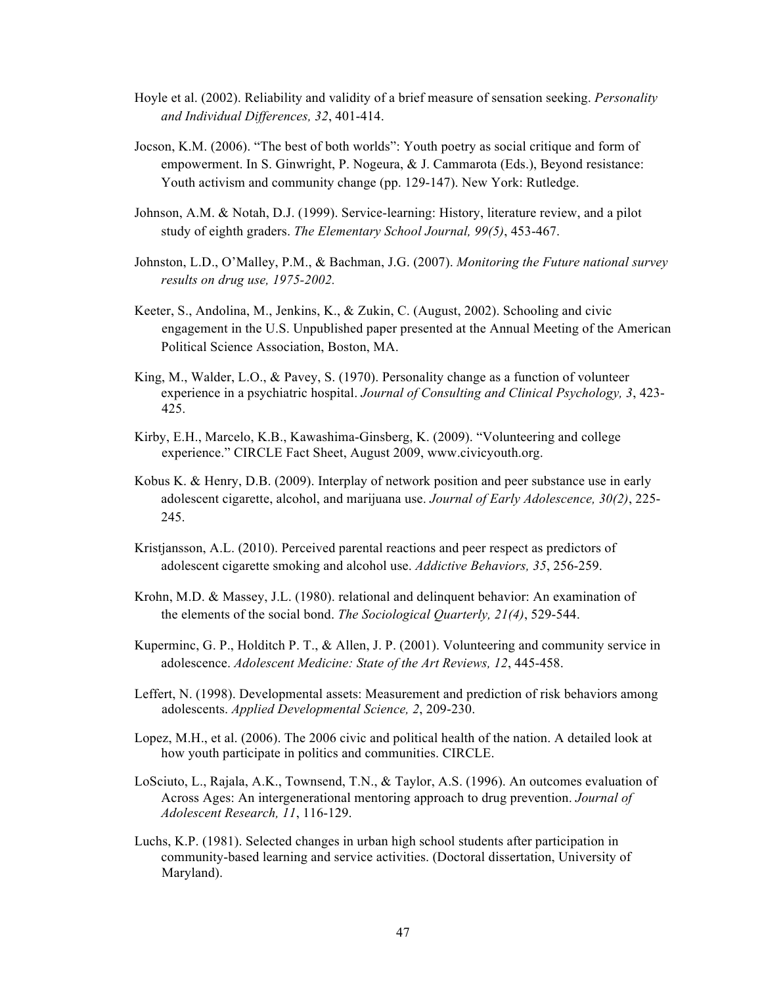- Hoyle et al. (2002). Reliability and validity of a brief measure of sensation seeking. *Personality and Individual Differences, 32*, 401-414.
- Jocson, K.M. (2006). "The best of both worlds": Youth poetry as social critique and form of empowerment. In S. Ginwright, P. Nogeura, & J. Cammarota (Eds.), Beyond resistance: Youth activism and community change (pp. 129-147). New York: Rutledge.
- Johnson, A.M. & Notah, D.J. (1999). Service-learning: History, literature review, and a pilot study of eighth graders. *The Elementary School Journal, 99(5)*, 453-467.
- Johnston, L.D., O'Malley, P.M., & Bachman, J.G. (2007). *Monitoring the Future national survey results on drug use, 1975-2002.*
- Keeter, S., Andolina, M., Jenkins, K., & Zukin, C. (August, 2002). Schooling and civic engagement in the U.S. Unpublished paper presented at the Annual Meeting of the American Political Science Association, Boston, MA.
- King, M., Walder, L.O., & Pavey, S. (1970). Personality change as a function of volunteer experience in a psychiatric hospital. *Journal of Consulting and Clinical Psychology, 3*, 423- 425.
- Kirby, E.H., Marcelo, K.B., Kawashima-Ginsberg, K. (2009). "Volunteering and college experience." CIRCLE Fact Sheet, August 2009, www.civicyouth.org.
- Kobus K. & Henry, D.B. (2009). Interplay of network position and peer substance use in early adolescent cigarette, alcohol, and marijuana use. *Journal of Early Adolescence, 30(2)*, 225- 245.
- Kristjansson, A.L. (2010). Perceived parental reactions and peer respect as predictors of adolescent cigarette smoking and alcohol use. *Addictive Behaviors, 35*, 256-259.
- Krohn, M.D. & Massey, J.L. (1980). relational and delinquent behavior: An examination of the elements of the social bond. *The Sociological Quarterly, 21(4)*, 529-544.
- Kuperminc, G. P., Holditch P. T., & Allen, J. P. (2001). Volunteering and community service in adolescence. *Adolescent Medicine: State of the Art Reviews, 12*, 445-458.
- Leffert, N. (1998). Developmental assets: Measurement and prediction of risk behaviors among adolescents. *Applied Developmental Science, 2*, 209-230.
- Lopez, M.H., et al. (2006). The 2006 civic and political health of the nation. A detailed look at how youth participate in politics and communities. CIRCLE.
- LoSciuto, L., Rajala, A.K., Townsend, T.N., & Taylor, A.S. (1996). An outcomes evaluation of Across Ages: An intergenerational mentoring approach to drug prevention. *Journal of Adolescent Research, 11*, 116-129.
- Luchs, K.P. (1981). Selected changes in urban high school students after participation in community-based learning and service activities. (Doctoral dissertation, University of Maryland).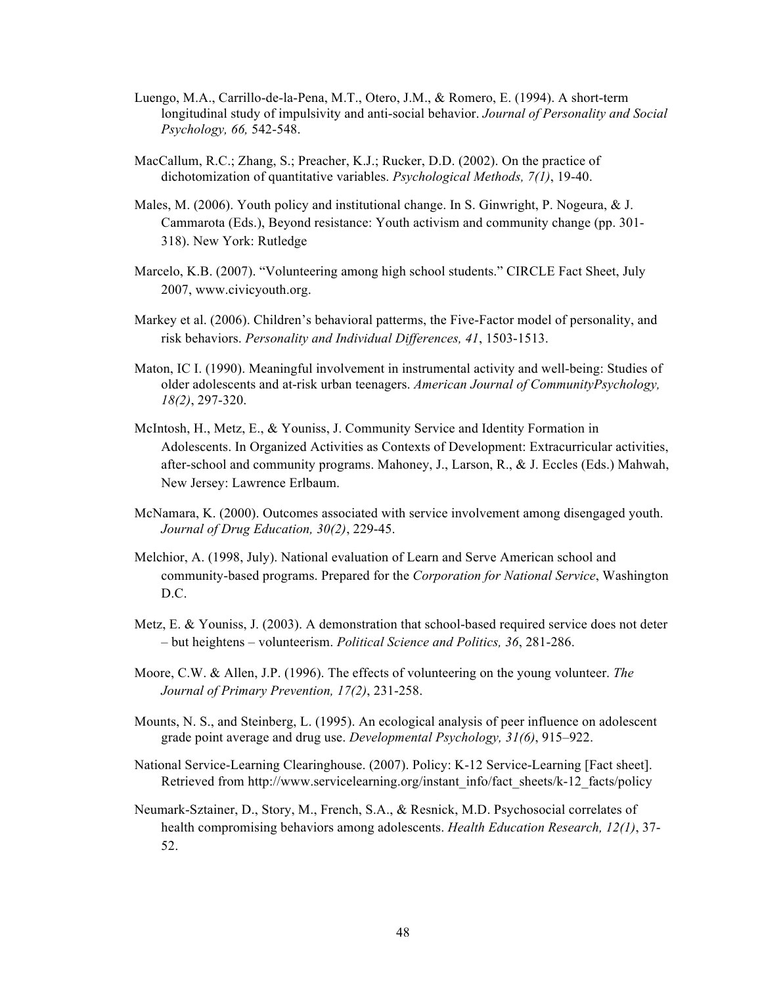- Luengo, M.A., Carrillo-de-la-Pena, M.T., Otero, J.M., & Romero, E. (1994). A short-term longitudinal study of impulsivity and anti-social behavior. *Journal of Personality and Social Psychology, 66,* 542-548.
- MacCallum, R.C.; Zhang, S.; Preacher, K.J.; Rucker, D.D. (2002). On the practice of dichotomization of quantitative variables. *Psychological Methods, 7(1)*, 19-40.
- Males, M. (2006). Youth policy and institutional change. In S. Ginwright, P. Nogeura, & J. Cammarota (Eds.), Beyond resistance: Youth activism and community change (pp. 301- 318). New York: Rutledge
- Marcelo, K.B. (2007). "Volunteering among high school students." CIRCLE Fact Sheet, July 2007, www.civicyouth.org.
- Markey et al. (2006). Children's behavioral patterms, the Five-Factor model of personality, and risk behaviors. *Personality and Individual Differences, 41*, 1503-1513.
- Maton, IC I. (1990). Meaningful involvement in instrumental activity and well-being: Studies of older adolescents and at-risk urban teenagers. *American Journal of CommunityPsychology, 18(2)*, 297-320.
- McIntosh, H., Metz, E., & Youniss, J. Community Service and Identity Formation in Adolescents. In Organized Activities as Contexts of Development: Extracurricular activities, after-school and community programs. Mahoney, J., Larson, R., & J. Eccles (Eds.) Mahwah, New Jersey: Lawrence Erlbaum.
- McNamara, K. (2000). Outcomes associated with service involvement among disengaged youth. *Journal of Drug Education, 30(2)*, 229-45.
- Melchior, A. (1998, July). National evaluation of Learn and Serve American school and community-based programs. Prepared for the *Corporation for National Service*, Washington D.C.
- Metz, E. & Youniss, J. (2003). A demonstration that school-based required service does not deter – but heightens – volunteerism. *Political Science and Politics, 36*, 281-286.
- Moore, C.W. & Allen, J.P. (1996). The effects of volunteering on the young volunteer. *The Journal of Primary Prevention, 17(2)*, 231-258.
- Mounts, N. S., and Steinberg, L. (1995). An ecological analysis of peer influence on adolescent grade point average and drug use. *Developmental Psychology, 31(6)*, 915–922.
- National Service-Learning Clearinghouse. (2007). Policy: K-12 Service-Learning [Fact sheet]. Retrieved from http://www.servicelearning.org/instant\_info/fact\_sheets/k-12\_facts/policy
- Neumark-Sztainer, D., Story, M., French, S.A., & Resnick, M.D. Psychosocial correlates of health compromising behaviors among adolescents. *Health Education Research, 12(1)*, 37- 52.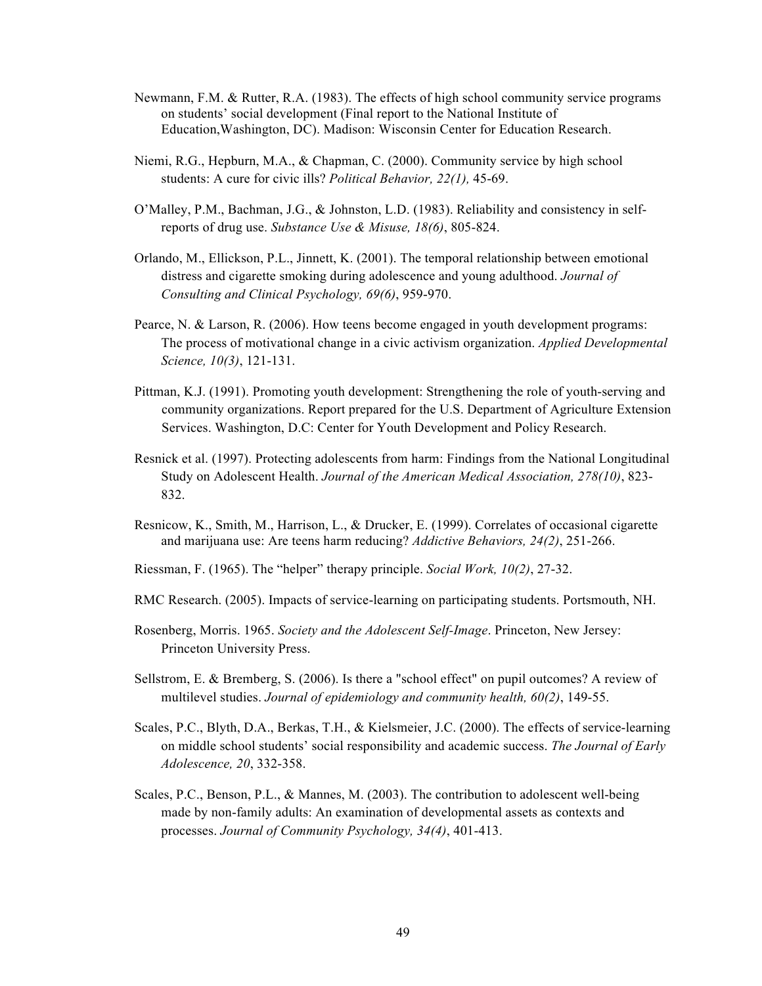- Newmann, F.M. & Rutter, R.A. (1983). The effects of high school community service programs on students' social development (Final report to the National Institute of Education,Washington, DC). Madison: Wisconsin Center for Education Research.
- Niemi, R.G., Hepburn, M.A., & Chapman, C. (2000). Community service by high school students: A cure for civic ills? *Political Behavior, 22(1),* 45-69.
- O'Malley, P.M., Bachman, J.G., & Johnston, L.D. (1983). Reliability and consistency in selfreports of drug use. *Substance Use & Misuse, 18(6)*, 805-824.
- Orlando, M., Ellickson, P.L., Jinnett, K. (2001). The temporal relationship between emotional distress and cigarette smoking during adolescence and young adulthood. *Journal of Consulting and Clinical Psychology, 69(6)*, 959-970.
- Pearce, N. & Larson, R. (2006). How teens become engaged in youth development programs: The process of motivational change in a civic activism organization. *Applied Developmental Science, 10(3)*, 121-131.
- Pittman, K.J. (1991). Promoting youth development: Strengthening the role of youth-serving and community organizations. Report prepared for the U.S. Department of Agriculture Extension Services. Washington, D.C: Center for Youth Development and Policy Research.
- Resnick et al. (1997). Protecting adolescents from harm: Findings from the National Longitudinal Study on Adolescent Health. *Journal of the American Medical Association, 278(10)*, 823- 832.
- Resnicow, K., Smith, M., Harrison, L., & Drucker, E. (1999). Correlates of occasional cigarette and marijuana use: Are teens harm reducing? *Addictive Behaviors, 24(2)*, 251-266.
- Riessman, F. (1965). The "helper" therapy principle. *Social Work, 10(2)*, 27-32.
- RMC Research. (2005). Impacts of service-learning on participating students. Portsmouth, NH.
- Rosenberg, Morris. 1965. *Society and the Adolescent Self-Image*. Princeton, New Jersey: Princeton University Press.
- Sellstrom, E. & Bremberg, S. (2006). Is there a "school effect" on pupil outcomes? A review of multilevel studies. *Journal of epidemiology and community health, 60(2)*, 149-55.
- Scales, P.C., Blyth, D.A., Berkas, T.H., & Kielsmeier, J.C. (2000). The effects of service-learning on middle school students' social responsibility and academic success. *The Journal of Early Adolescence, 20*, 332-358.
- Scales, P.C., Benson, P.L., & Mannes, M. (2003). The contribution to adolescent well-being made by non-family adults: An examination of developmental assets as contexts and processes. *Journal of Community Psychology, 34(4)*, 401-413.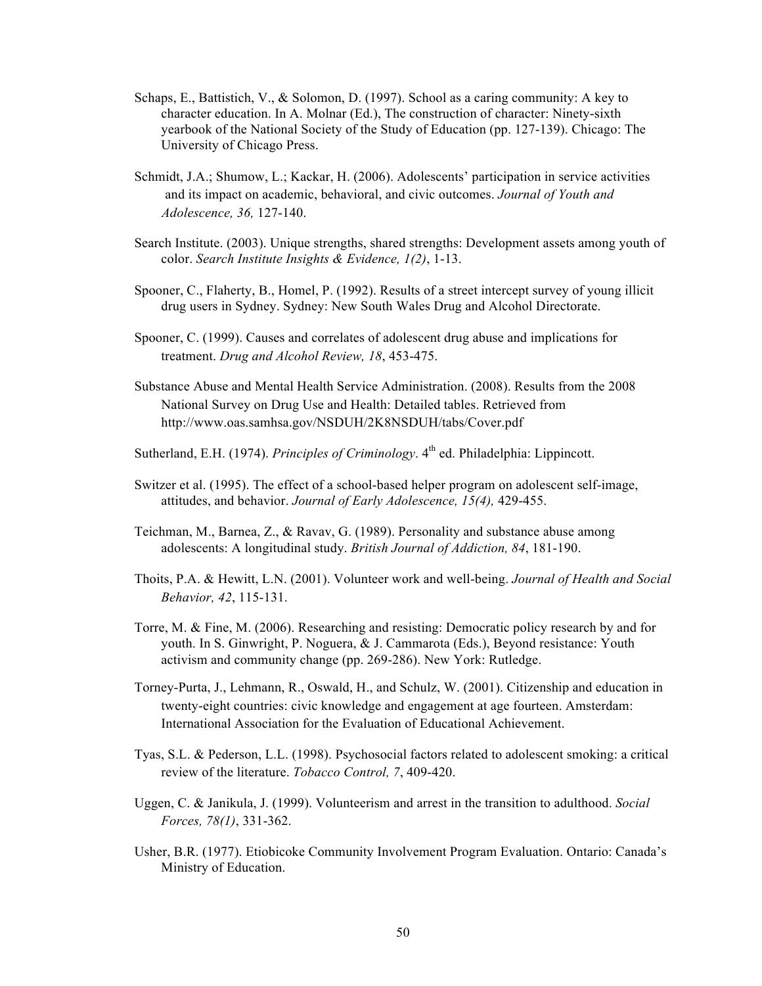- Schaps, E., Battistich, V., & Solomon, D. (1997). School as a caring community: A key to character education. In A. Molnar (Ed.), The construction of character: Ninety-sixth yearbook of the National Society of the Study of Education (pp. 127-139). Chicago: The University of Chicago Press.
- Schmidt, J.A.; Shumow, L.; Kackar, H. (2006). Adolescents' participation in service activities and its impact on academic, behavioral, and civic outcomes. *Journal of Youth and Adolescence, 36,* 127-140.
- Search Institute. (2003). Unique strengths, shared strengths: Development assets among youth of color. *Search Institute Insights & Evidence, 1(2)*, 1-13.
- Spooner, C., Flaherty, B., Homel, P. (1992). Results of a street intercept survey of young illicit drug users in Sydney. Sydney: New South Wales Drug and Alcohol Directorate.
- Spooner, C. (1999). Causes and correlates of adolescent drug abuse and implications for treatment. *Drug and Alcohol Review, 18*, 453-475.
- Substance Abuse and Mental Health Service Administration. (2008). Results from the 2008 National Survey on Drug Use and Health: Detailed tables. Retrieved from http://www.oas.samhsa.gov/NSDUH/2K8NSDUH/tabs/Cover.pdf
- Sutherland, E.H. (1974). *Principles of Criminology*. 4<sup>th</sup> ed. Philadelphia: Lippincott.
- Switzer et al. (1995). The effect of a school-based helper program on adolescent self-image, attitudes, and behavior. *Journal of Early Adolescence, 15(4),* 429-455.
- Teichman, M., Barnea, Z., & Ravav, G. (1989). Personality and substance abuse among adolescents: A longitudinal study. *British Journal of Addiction, 84*, 181-190.
- Thoits, P.A. & Hewitt, L.N. (2001). Volunteer work and well-being. *Journal of Health and Social Behavior, 42*, 115-131.
- Torre, M. & Fine, M. (2006). Researching and resisting: Democratic policy research by and for youth. In S. Ginwright, P. Noguera, & J. Cammarota (Eds.), Beyond resistance: Youth activism and community change (pp. 269-286). New York: Rutledge.
- Torney-Purta, J., Lehmann, R., Oswald, H., and Schulz, W. (2001). Citizenship and education in twenty-eight countries: civic knowledge and engagement at age fourteen. Amsterdam: International Association for the Evaluation of Educational Achievement.
- Tyas, S.L. & Pederson, L.L. (1998). Psychosocial factors related to adolescent smoking: a critical review of the literature. *Tobacco Control, 7*, 409-420.
- Uggen, C. & Janikula, J. (1999). Volunteerism and arrest in the transition to adulthood. *Social Forces, 78(1)*, 331-362.
- Usher, B.R. (1977). Etiobicoke Community Involvement Program Evaluation. Ontario: Canada's Ministry of Education.